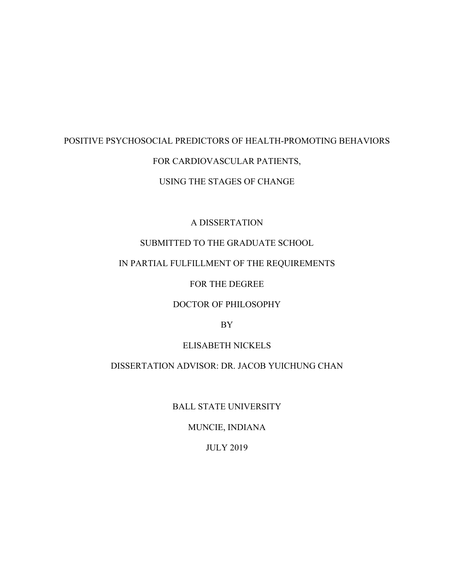# POSITIVE PSYCHOSOCIAL PREDICTORS OF HEALTH-PROMOTING BEHAVIORS FOR CARDIOVASCULAR PATIENTS,

# USING THE STAGES OF CHANGE

# A DISSERTATION

# SUBMITTED TO THE GRADUATE SCHOOL

## IN PARTIAL FULFILLMENT OF THE REQUIREMENTS

## FOR THE DEGREE

# DOCTOR OF PHILOSOPHY

## BY

## ELISABETH NICKELS

# DISSERTATION ADVISOR: DR. JACOB YUICHUNG CHAN

## BALL STATE UNIVERSITY

# MUNCIE, INDIANA

## JULY 2019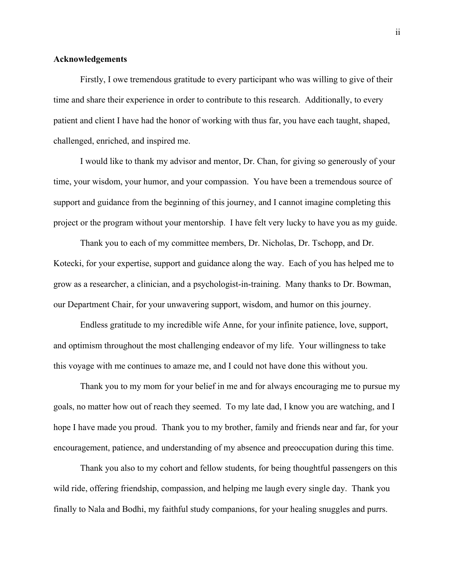#### **Acknowledgements**

Firstly, I owe tremendous gratitude to every participant who was willing to give of their time and share their experience in order to contribute to this research. Additionally, to every patient and client I have had the honor of working with thus far, you have each taught, shaped, challenged, enriched, and inspired me.

I would like to thank my advisor and mentor, Dr. Chan, for giving so generously of your time, your wisdom, your humor, and your compassion. You have been a tremendous source of support and guidance from the beginning of this journey, and I cannot imagine completing this project or the program without your mentorship. I have felt very lucky to have you as my guide.

Thank you to each of my committee members, Dr. Nicholas, Dr. Tschopp, and Dr. Kotecki, for your expertise, support and guidance along the way. Each of you has helped me to grow as a researcher, a clinician, and a psychologist-in-training. Many thanks to Dr. Bowman, our Department Chair, for your unwavering support, wisdom, and humor on this journey.

Endless gratitude to my incredible wife Anne, for your infinite patience, love, support, and optimism throughout the most challenging endeavor of my life. Your willingness to take this voyage with me continues to amaze me, and I could not have done this without you.

Thank you to my mom for your belief in me and for always encouraging me to pursue my goals, no matter how out of reach they seemed. To my late dad, I know you are watching, and I hope I have made you proud. Thank you to my brother, family and friends near and far, for your encouragement, patience, and understanding of my absence and preoccupation during this time.

Thank you also to my cohort and fellow students, for being thoughtful passengers on this wild ride, offering friendship, compassion, and helping me laugh every single day. Thank you finally to Nala and Bodhi, my faithful study companions, for your healing snuggles and purrs.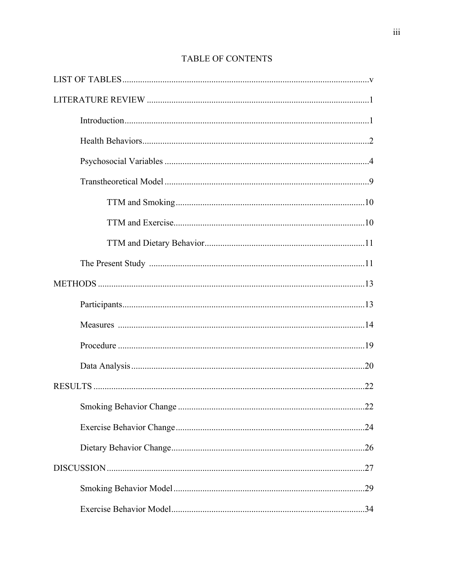# TABLE OF CONTENTS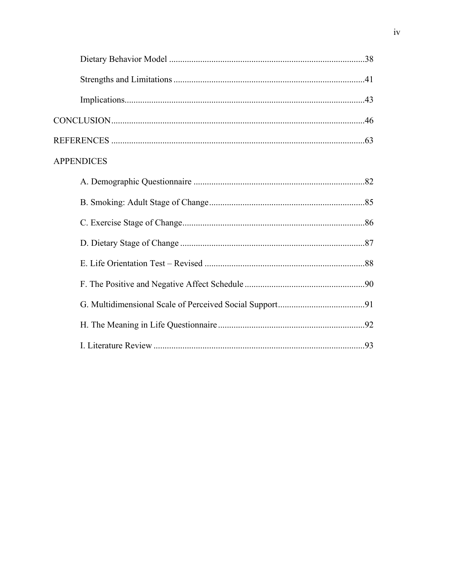| <b>APPENDICES</b> |  |
|-------------------|--|
|                   |  |
|                   |  |
|                   |  |
|                   |  |
|                   |  |
|                   |  |
|                   |  |
|                   |  |
|                   |  |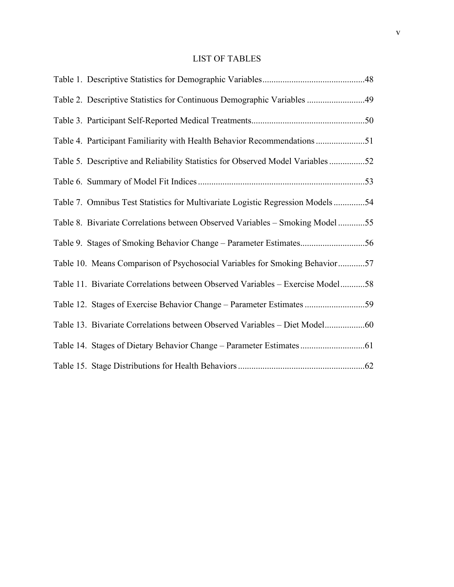# LIST OF TABLES

| Table 2. Descriptive Statistics for Continuous Demographic Variables 49         |  |
|---------------------------------------------------------------------------------|--|
|                                                                                 |  |
| Table 4. Participant Familiarity with Health Behavior Recommendations 51        |  |
| Table 5. Descriptive and Reliability Statistics for Observed Model Variables 52 |  |
|                                                                                 |  |
| Table 7. Omnibus Test Statistics for Multivariate Logistic Regression Models54  |  |
| Table 8. Bivariate Correlations between Observed Variables - Smoking Model 55   |  |
|                                                                                 |  |
| Table 10. Means Comparison of Psychosocial Variables for Smoking Behavior57     |  |
| Table 11. Bivariate Correlations between Observed Variables - Exercise Model58  |  |
| Table 12. Stages of Exercise Behavior Change - Parameter Estimates 59           |  |
| Table 13. Bivariate Correlations between Observed Variables - Diet Model        |  |
|                                                                                 |  |
|                                                                                 |  |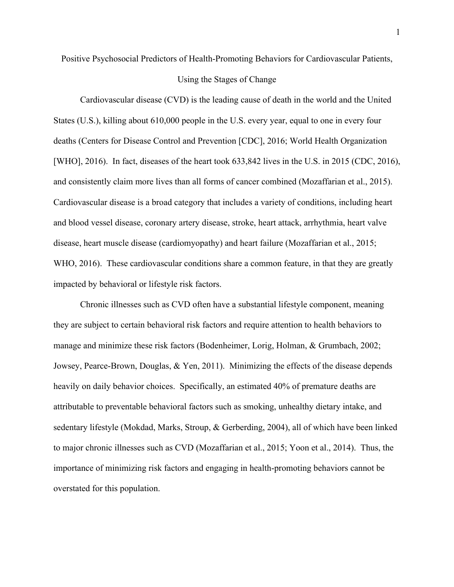Positive Psychosocial Predictors of Health-Promoting Behaviors for Cardiovascular Patients,

#### Using the Stages of Change

Cardiovascular disease (CVD) is the leading cause of death in the world and the United States (U.S.), killing about 610,000 people in the U.S. every year, equal to one in every four deaths (Centers for Disease Control and Prevention [CDC], 2016; World Health Organization [WHO], 2016). In fact, diseases of the heart took 633,842 lives in the U.S. in 2015 (CDC, 2016), and consistently claim more lives than all forms of cancer combined (Mozaffarian et al., 2015). Cardiovascular disease is a broad category that includes a variety of conditions, including heart and blood vessel disease, coronary artery disease, stroke, heart attack, arrhythmia, heart valve disease, heart muscle disease (cardiomyopathy) and heart failure (Mozaffarian et al., 2015; WHO, 2016). These cardiovascular conditions share a common feature, in that they are greatly impacted by behavioral or lifestyle risk factors.

Chronic illnesses such as CVD often have a substantial lifestyle component, meaning they are subject to certain behavioral risk factors and require attention to health behaviors to manage and minimize these risk factors (Bodenheimer, Lorig, Holman, & Grumbach, 2002; Jowsey, Pearce-Brown, Douglas, & Yen, 2011). Minimizing the effects of the disease depends heavily on daily behavior choices. Specifically, an estimated 40% of premature deaths are attributable to preventable behavioral factors such as smoking, unhealthy dietary intake, and sedentary lifestyle (Mokdad, Marks, Stroup, & Gerberding, 2004), all of which have been linked to major chronic illnesses such as CVD (Mozaffarian et al., 2015; Yoon et al., 2014). Thus, the importance of minimizing risk factors and engaging in health-promoting behaviors cannot be overstated for this population.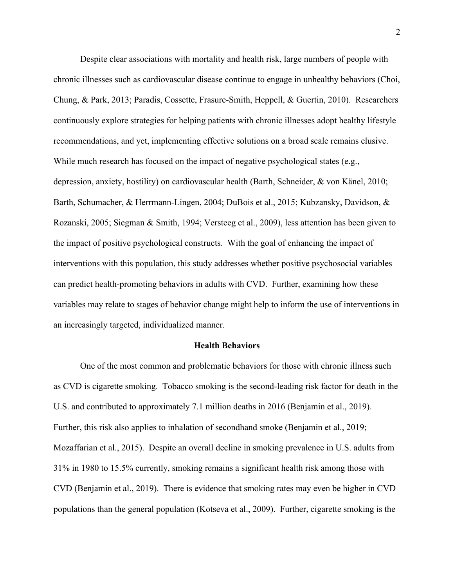Despite clear associations with mortality and health risk, large numbers of people with chronic illnesses such as cardiovascular disease continue to engage in unhealthy behaviors (Choi, Chung, & Park, 2013; Paradis, Cossette, Frasure-Smith, Heppell, & Guertin, 2010). Researchers continuously explore strategies for helping patients with chronic illnesses adopt healthy lifestyle recommendations, and yet, implementing effective solutions on a broad scale remains elusive. While much research has focused on the impact of negative psychological states (e.g., depression, anxiety, hostility) on cardiovascular health (Barth, Schneider, & von Känel, 2010; Barth, Schumacher, & Herrmann-Lingen, 2004; DuBois et al., 2015; Kubzansky, Davidson, & Rozanski, 2005; Siegman & Smith, 1994; Versteeg et al., 2009), less attention has been given to the impact of positive psychological constructs. With the goal of enhancing the impact of interventions with this population, this study addresses whether positive psychosocial variables can predict health-promoting behaviors in adults with CVD. Further, examining how these variables may relate to stages of behavior change might help to inform the use of interventions in an increasingly targeted, individualized manner.

#### **Health Behaviors**

One of the most common and problematic behaviors for those with chronic illness such as CVD is cigarette smoking. Tobacco smoking is the second-leading risk factor for death in the U.S. and contributed to approximately 7.1 million deaths in 2016 (Benjamin et al., 2019). Further, this risk also applies to inhalation of secondhand smoke (Benjamin et al., 2019; Mozaffarian et al., 2015). Despite an overall decline in smoking prevalence in U.S. adults from 31% in 1980 to 15.5% currently, smoking remains a significant health risk among those with CVD (Benjamin et al., 2019). There is evidence that smoking rates may even be higher in CVD populations than the general population (Kotseva et al., 2009). Further, cigarette smoking is the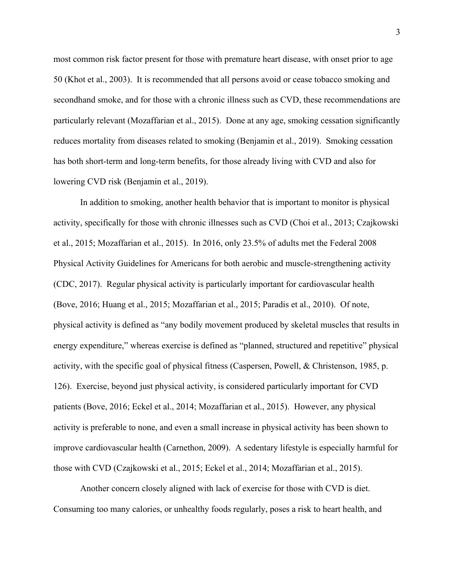most common risk factor present for those with premature heart disease, with onset prior to age 50 (Khot et al., 2003). It is recommended that all persons avoid or cease tobacco smoking and secondhand smoke, and for those with a chronic illness such as CVD, these recommendations are particularly relevant (Mozaffarian et al., 2015). Done at any age, smoking cessation significantly reduces mortality from diseases related to smoking (Benjamin et al., 2019). Smoking cessation has both short-term and long-term benefits, for those already living with CVD and also for lowering CVD risk (Benjamin et al., 2019).

In addition to smoking, another health behavior that is important to monitor is physical activity, specifically for those with chronic illnesses such as CVD (Choi et al., 2013; Czajkowski et al., 2015; Mozaffarian et al., 2015). In 2016, only 23.5% of adults met the Federal 2008 Physical Activity Guidelines for Americans for both aerobic and muscle-strengthening activity (CDC, 2017). Regular physical activity is particularly important for cardiovascular health (Bove, 2016; Huang et al., 2015; Mozaffarian et al., 2015; Paradis et al., 2010). Of note, physical activity is defined as "any bodily movement produced by skeletal muscles that results in energy expenditure," whereas exercise is defined as "planned, structured and repetitive" physical activity, with the specific goal of physical fitness (Caspersen, Powell, & Christenson, 1985, p. 126). Exercise, beyond just physical activity, is considered particularly important for CVD patients (Bove, 2016; Eckel et al., 2014; Mozaffarian et al., 2015). However, any physical activity is preferable to none, and even a small increase in physical activity has been shown to improve cardiovascular health (Carnethon, 2009). A sedentary lifestyle is especially harmful for those with CVD (Czajkowski et al., 2015; Eckel et al., 2014; Mozaffarian et al., 2015).

Another concern closely aligned with lack of exercise for those with CVD is diet. Consuming too many calories, or unhealthy foods regularly, poses a risk to heart health, and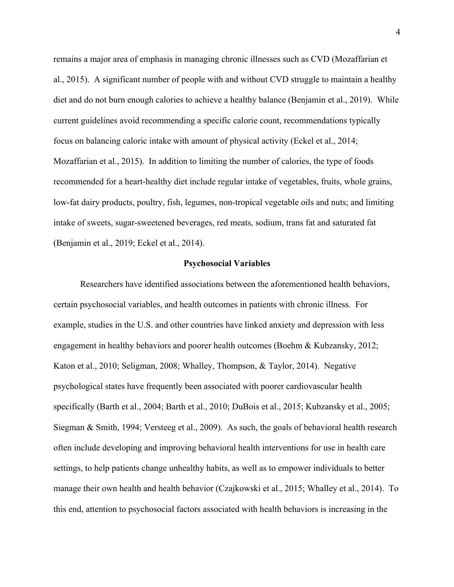remains a major area of emphasis in managing chronic illnesses such as CVD (Mozaffarian et al., 2015). A significant number of people with and without CVD struggle to maintain a healthy diet and do not burn enough calories to achieve a healthy balance (Benjamin et al., 2019). While current guidelines avoid recommending a specific calorie count, recommendations typically focus on balancing caloric intake with amount of physical activity (Eckel et al., 2014; Mozaffarian et al., 2015). In addition to limiting the number of calories, the type of foods recommended for a heart-healthy diet include regular intake of vegetables, fruits, whole grains, low-fat dairy products, poultry, fish, legumes, non-tropical vegetable oils and nuts; and limiting intake of sweets, sugar-sweetened beverages, red meats, sodium, trans fat and saturated fat (Benjamin et al., 2019; Eckel et al., 2014).

#### **Psychosocial Variables**

Researchers have identified associations between the aforementioned health behaviors, certain psychosocial variables, and health outcomes in patients with chronic illness. For example, studies in the U.S. and other countries have linked anxiety and depression with less engagement in healthy behaviors and poorer health outcomes (Boehm & Kubzansky, 2012; Katon et al., 2010; Seligman, 2008; Whalley, Thompson, & Taylor, 2014). Negative psychological states have frequently been associated with poorer cardiovascular health specifically (Barth et al., 2004; Barth et al., 2010; DuBois et al., 2015; Kubzansky et al., 2005; Siegman & Smith, 1994; Versteeg et al., 2009). As such, the goals of behavioral health research often include developing and improving behavioral health interventions for use in health care settings, to help patients change unhealthy habits, as well as to empower individuals to better manage their own health and health behavior (Czajkowski et al., 2015; Whalley et al., 2014). To this end, attention to psychosocial factors associated with health behaviors is increasing in the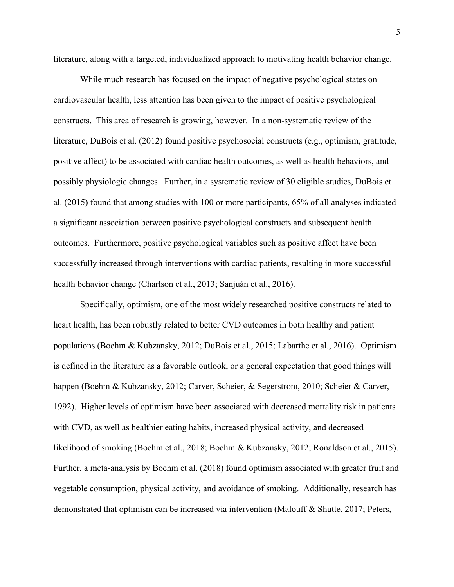literature, along with a targeted, individualized approach to motivating health behavior change.

While much research has focused on the impact of negative psychological states on cardiovascular health, less attention has been given to the impact of positive psychological constructs. This area of research is growing, however. In a non-systematic review of the literature, DuBois et al. (2012) found positive psychosocial constructs (e.g., optimism, gratitude, positive affect) to be associated with cardiac health outcomes, as well as health behaviors, and possibly physiologic changes. Further, in a systematic review of 30 eligible studies, DuBois et al. (2015) found that among studies with 100 or more participants, 65% of all analyses indicated a significant association between positive psychological constructs and subsequent health outcomes. Furthermore, positive psychological variables such as positive affect have been successfully increased through interventions with cardiac patients, resulting in more successful health behavior change (Charlson et al., 2013; Sanjuán et al., 2016).

Specifically, optimism, one of the most widely researched positive constructs related to heart health, has been robustly related to better CVD outcomes in both healthy and patient populations (Boehm & Kubzansky, 2012; DuBois et al., 2015; Labarthe et al., 2016). Optimism is defined in the literature as a favorable outlook, or a general expectation that good things will happen (Boehm & Kubzansky, 2012; Carver, Scheier, & Segerstrom, 2010; Scheier & Carver, 1992). Higher levels of optimism have been associated with decreased mortality risk in patients with CVD, as well as healthier eating habits, increased physical activity, and decreased likelihood of smoking (Boehm et al., 2018; Boehm & Kubzansky, 2012; Ronaldson et al., 2015). Further, a meta-analysis by Boehm et al. (2018) found optimism associated with greater fruit and vegetable consumption, physical activity, and avoidance of smoking. Additionally, research has demonstrated that optimism can be increased via intervention (Malouff & Shutte, 2017; Peters,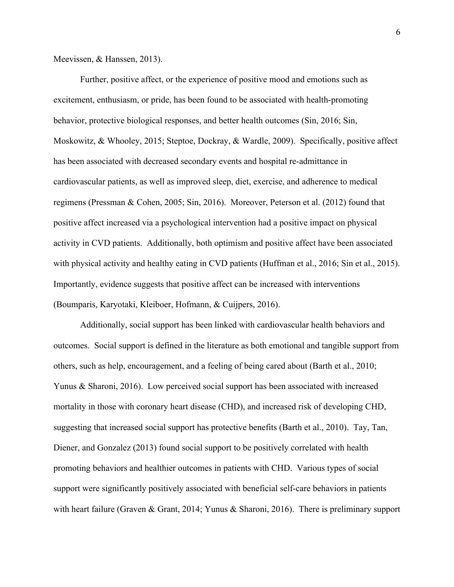Meevissen, & Hanssen, 2013).

Further, positive affect, or the experience of positive mood and emotions such as excitement, enthusiasm, or pride, has been found to be associated with health-promoting behavior, protective biological responses, and better health outcomes (Sin, 2016; Sin, Moskowitz, & Whooley, 2015; Steptoe, Dockray, & Wardle, 2009). Specifically, positive affect has been associated with decreased secondary events and hospital re-admittance in cardiovascular patients, as well as improved sleep, diet, exercise, and adherence to medical regimens (Pressman & Cohen, 2005; Sin, 2016). Moreover, Peterson et al. (2012) found that positive affect increased via a psychological intervention had a positive impact on physical activity in CVD patients. Additionally, both optimism and positive affect have been associated with physical activity and healthy eating in CVD patients (Huffman et al., 2016; Sin et al., 2015). Importantly, evidence suggests that positive affect can be increased with interventions (Boumparis, Karyotaki, Kleiboer, Hofmann, & Cuijpers, 2016).

Additionally, social support has been linked with cardiovascular health behaviors and outcomes. Social support is defined in the literature as both emotional and tangible support from others, such as help, encouragement, and a feeling of being cared about (Barth et al., 2010; Yunus & Sharoni, 2016). Low perceived social support has been associated with increased mortality in those with coronary heart disease (CHD), and increased risk of developing CHD, suggesting that increased social support has protective benefits (Barth et al., 2010). Tay, Tan, Diener, and Gonzalez (2013) found social support to be positively correlated with health promoting behaviors and healthier outcomes in patients with CHD. Various types of social support were significantly positively associated with beneficial self-care behaviors in patients with heart failure (Graven & Grant, 2014; Yunus & Sharoni, 2016). There is preliminary support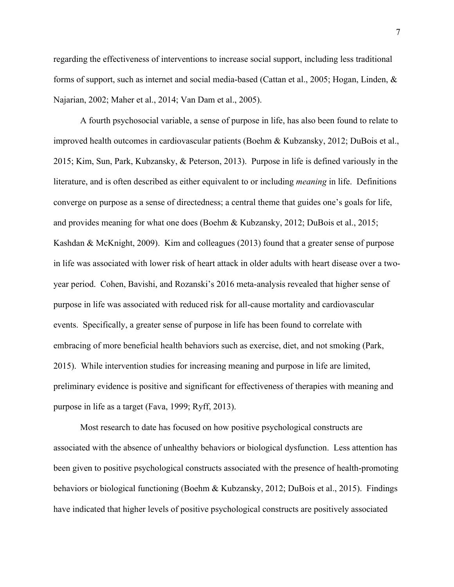regarding the effectiveness of interventions to increase social support, including less traditional forms of support, such as internet and social media-based (Cattan et al., 2005; Hogan, Linden, & Najarian, 2002; Maher et al., 2014; Van Dam et al., 2005).

A fourth psychosocial variable, a sense of purpose in life, has also been found to relate to improved health outcomes in cardiovascular patients (Boehm & Kubzansky, 2012; DuBois et al., 2015; Kim, Sun, Park, Kubzansky, & Peterson, 2013). Purpose in life is defined variously in the literature, and is often described as either equivalent to or including *meaning* in life. Definitions converge on purpose as a sense of directedness; a central theme that guides one's goals for life, and provides meaning for what one does (Boehm & Kubzansky, 2012; DuBois et al., 2015; Kashdan & McKnight, 2009). Kim and colleagues (2013) found that a greater sense of purpose in life was associated with lower risk of heart attack in older adults with heart disease over a twoyear period. Cohen, Bavishi, and Rozanski's 2016 meta-analysis revealed that higher sense of purpose in life was associated with reduced risk for all-cause mortality and cardiovascular events. Specifically, a greater sense of purpose in life has been found to correlate with embracing of more beneficial health behaviors such as exercise, diet, and not smoking (Park, 2015). While intervention studies for increasing meaning and purpose in life are limited, preliminary evidence is positive and significant for effectiveness of therapies with meaning and purpose in life as a target (Fava, 1999; Ryff, 2013).

Most research to date has focused on how positive psychological constructs are associated with the absence of unhealthy behaviors or biological dysfunction. Less attention has been given to positive psychological constructs associated with the presence of health-promoting behaviors or biological functioning (Boehm & Kubzansky, 2012; DuBois et al., 2015). Findings have indicated that higher levels of positive psychological constructs are positively associated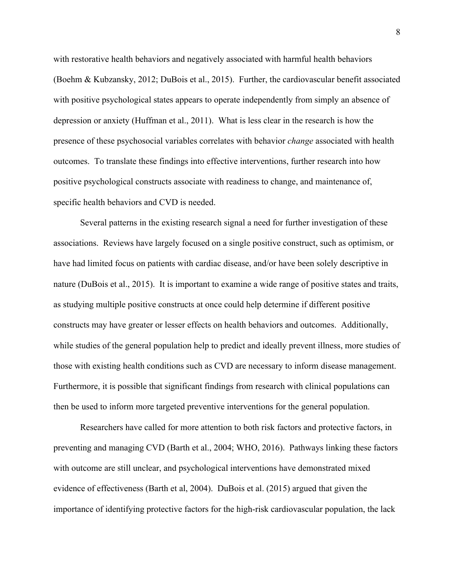with restorative health behaviors and negatively associated with harmful health behaviors (Boehm & Kubzansky, 2012; DuBois et al., 2015). Further, the cardiovascular benefit associated with positive psychological states appears to operate independently from simply an absence of depression or anxiety (Huffman et al., 2011). What is less clear in the research is how the presence of these psychosocial variables correlates with behavior *change* associated with health outcomes. To translate these findings into effective interventions, further research into how positive psychological constructs associate with readiness to change, and maintenance of, specific health behaviors and CVD is needed.

Several patterns in the existing research signal a need for further investigation of these associations. Reviews have largely focused on a single positive construct, such as optimism, or have had limited focus on patients with cardiac disease, and/or have been solely descriptive in nature (DuBois et al., 2015). It is important to examine a wide range of positive states and traits, as studying multiple positive constructs at once could help determine if different positive constructs may have greater or lesser effects on health behaviors and outcomes. Additionally, while studies of the general population help to predict and ideally prevent illness, more studies of those with existing health conditions such as CVD are necessary to inform disease management. Furthermore, it is possible that significant findings from research with clinical populations can then be used to inform more targeted preventive interventions for the general population.

Researchers have called for more attention to both risk factors and protective factors, in preventing and managing CVD (Barth et al., 2004; WHO, 2016). Pathways linking these factors with outcome are still unclear, and psychological interventions have demonstrated mixed evidence of effectiveness (Barth et al, 2004). DuBois et al. (2015) argued that given the importance of identifying protective factors for the high-risk cardiovascular population, the lack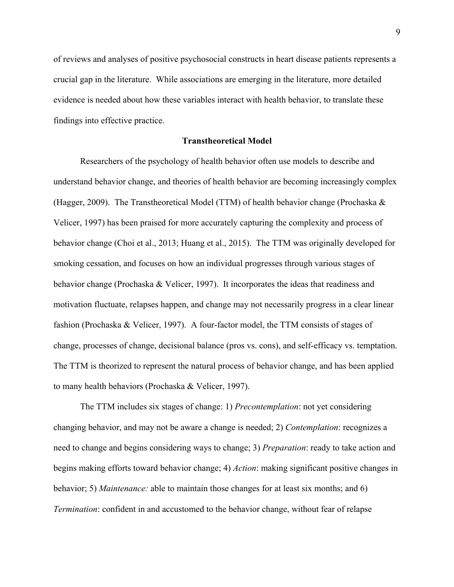of reviews and analyses of positive psychosocial constructs in heart disease patients represents a crucial gap in the literature. While associations are emerging in the literature, more detailed evidence is needed about how these variables interact with health behavior, to translate these findings into effective practice.

#### **Transtheoretical Model**

Researchers of the psychology of health behavior often use models to describe and understand behavior change, and theories of health behavior are becoming increasingly complex (Hagger, 2009). The Transtheoretical Model (TTM) of health behavior change (Prochaska & Velicer, 1997) has been praised for more accurately capturing the complexity and process of behavior change (Choi et al., 2013; Huang et al., 2015). The TTM was originally developed for smoking cessation, and focuses on how an individual progresses through various stages of behavior change (Prochaska & Velicer, 1997). It incorporates the ideas that readiness and motivation fluctuate, relapses happen, and change may not necessarily progress in a clear linear fashion (Prochaska & Velicer, 1997). A four-factor model, the TTM consists of stages of change, processes of change, decisional balance (pros vs. cons), and self-efficacy vs. temptation. The TTM is theorized to represent the natural process of behavior change, and has been applied to many health behaviors (Prochaska & Velicer, 1997).

The TTM includes six stages of change: 1) *Precontemplation*: not yet considering changing behavior, and may not be aware a change is needed; 2) *Contemplation*: recognizes a need to change and begins considering ways to change; 3) *Preparation*: ready to take action and begins making efforts toward behavior change; 4) *Action*: making significant positive changes in behavior; 5) *Maintenance:* able to maintain those changes for at least six months; and 6) *Termination*: confident in and accustomed to the behavior change, without fear of relapse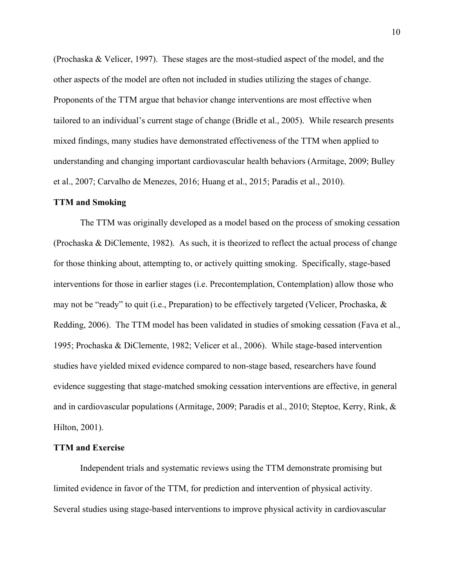(Prochaska & Velicer, 1997). These stages are the most-studied aspect of the model, and the other aspects of the model are often not included in studies utilizing the stages of change. Proponents of the TTM argue that behavior change interventions are most effective when tailored to an individual's current stage of change (Bridle et al., 2005). While research presents mixed findings, many studies have demonstrated effectiveness of the TTM when applied to understanding and changing important cardiovascular health behaviors (Armitage, 2009; Bulley et al., 2007; Carvalho de Menezes, 2016; Huang et al., 2015; Paradis et al., 2010).

#### **TTM and Smoking**

The TTM was originally developed as a model based on the process of smoking cessation (Prochaska & DiClemente, 1982). As such, it is theorized to reflect the actual process of change for those thinking about, attempting to, or actively quitting smoking. Specifically, stage-based interventions for those in earlier stages (i.e. Precontemplation, Contemplation) allow those who may not be "ready" to quit (i.e., Preparation) to be effectively targeted (Velicer, Prochaska, & Redding, 2006). The TTM model has been validated in studies of smoking cessation (Fava et al., 1995; Prochaska & DiClemente, 1982; Velicer et al., 2006). While stage-based intervention studies have yielded mixed evidence compared to non-stage based, researchers have found evidence suggesting that stage-matched smoking cessation interventions are effective, in general and in cardiovascular populations (Armitage, 2009; Paradis et al., 2010; Steptoe, Kerry, Rink, & Hilton, 2001).

### **TTM and Exercise**

Independent trials and systematic reviews using the TTM demonstrate promising but limited evidence in favor of the TTM, for prediction and intervention of physical activity. Several studies using stage-based interventions to improve physical activity in cardiovascular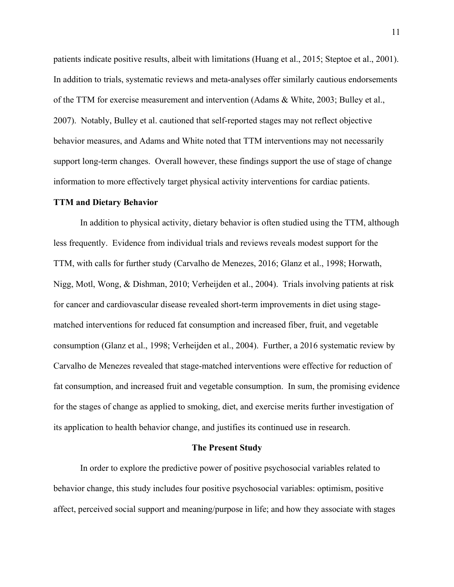patients indicate positive results, albeit with limitations (Huang et al., 2015; Steptoe et al., 2001). In addition to trials, systematic reviews and meta-analyses offer similarly cautious endorsements of the TTM for exercise measurement and intervention (Adams & White, 2003; Bulley et al., 2007). Notably, Bulley et al. cautioned that self-reported stages may not reflect objective behavior measures, and Adams and White noted that TTM interventions may not necessarily support long-term changes. Overall however, these findings support the use of stage of change information to more effectively target physical activity interventions for cardiac patients.

#### **TTM and Dietary Behavior**

In addition to physical activity, dietary behavior is often studied using the TTM, although less frequently. Evidence from individual trials and reviews reveals modest support for the TTM, with calls for further study (Carvalho de Menezes, 2016; Glanz et al., 1998; Horwath, Nigg, Motl, Wong, & Dishman, 2010; Verheijden et al., 2004). Trials involving patients at risk for cancer and cardiovascular disease revealed short-term improvements in diet using stagematched interventions for reduced fat consumption and increased fiber, fruit, and vegetable consumption (Glanz et al., 1998; Verheijden et al., 2004). Further, a 2016 systematic review by Carvalho de Menezes revealed that stage-matched interventions were effective for reduction of fat consumption, and increased fruit and vegetable consumption. In sum, the promising evidence for the stages of change as applied to smoking, diet, and exercise merits further investigation of its application to health behavior change, and justifies its continued use in research.

#### **The Present Study**

In order to explore the predictive power of positive psychosocial variables related to behavior change, this study includes four positive psychosocial variables: optimism, positive affect, perceived social support and meaning/purpose in life; and how they associate with stages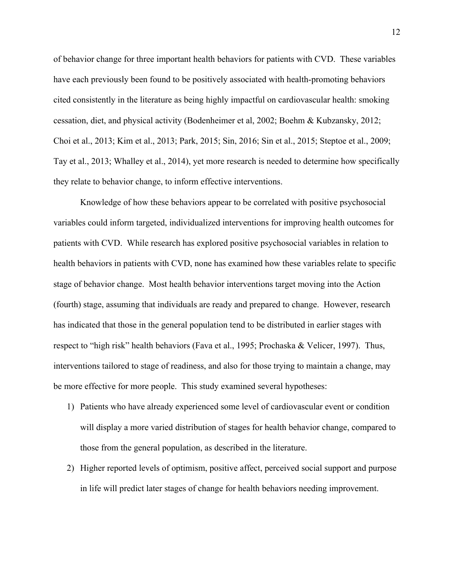of behavior change for three important health behaviors for patients with CVD. These variables have each previously been found to be positively associated with health-promoting behaviors cited consistently in the literature as being highly impactful on cardiovascular health: smoking cessation, diet, and physical activity (Bodenheimer et al, 2002; Boehm & Kubzansky, 2012; Choi et al., 2013; Kim et al., 2013; Park, 2015; Sin, 2016; Sin et al., 2015; Steptoe et al., 2009; Tay et al., 2013; Whalley et al., 2014), yet more research is needed to determine how specifically they relate to behavior change, to inform effective interventions.

Knowledge of how these behaviors appear to be correlated with positive psychosocial variables could inform targeted, individualized interventions for improving health outcomes for patients with CVD. While research has explored positive psychosocial variables in relation to health behaviors in patients with CVD, none has examined how these variables relate to specific stage of behavior change. Most health behavior interventions target moving into the Action (fourth) stage, assuming that individuals are ready and prepared to change. However, research has indicated that those in the general population tend to be distributed in earlier stages with respect to "high risk" health behaviors (Fava et al., 1995; Prochaska & Velicer, 1997). Thus, interventions tailored to stage of readiness, and also for those trying to maintain a change, may be more effective for more people. This study examined several hypotheses:

- 1) Patients who have already experienced some level of cardiovascular event or condition will display a more varied distribution of stages for health behavior change, compared to those from the general population, as described in the literature.
- 2) Higher reported levels of optimism, positive affect, perceived social support and purpose in life will predict later stages of change for health behaviors needing improvement.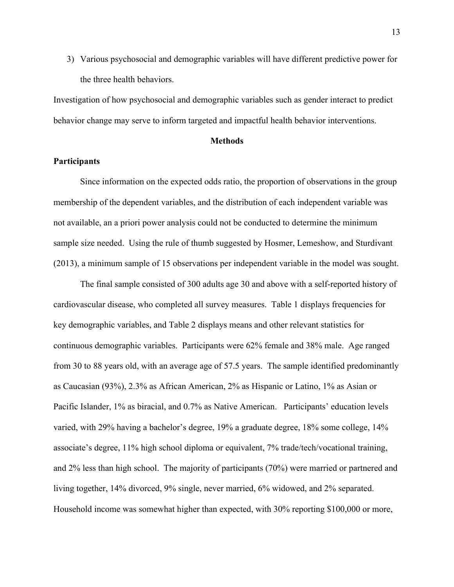3) Various psychosocial and demographic variables will have different predictive power for the three health behaviors.

Investigation of how psychosocial and demographic variables such as gender interact to predict behavior change may serve to inform targeted and impactful health behavior interventions.

#### **Methods**

### **Participants**

Since information on the expected odds ratio, the proportion of observations in the group membership of the dependent variables, and the distribution of each independent variable was not available, an a priori power analysis could not be conducted to determine the minimum sample size needed. Using the rule of thumb suggested by Hosmer, Lemeshow, and Sturdivant (2013), a minimum sample of 15 observations per independent variable in the model was sought.

The final sample consisted of 300 adults age 30 and above with a self-reported history of cardiovascular disease, who completed all survey measures. Table 1 displays frequencies for key demographic variables, and Table 2 displays means and other relevant statistics for continuous demographic variables. Participants were 62% female and 38% male. Age ranged from 30 to 88 years old, with an average age of 57.5 years. The sample identified predominantly as Caucasian (93%), 2.3% as African American, 2% as Hispanic or Latino, 1% as Asian or Pacific Islander, 1% as biracial, and 0.7% as Native American. Participants' education levels varied, with 29% having a bachelor's degree, 19% a graduate degree, 18% some college, 14% associate's degree, 11% high school diploma or equivalent, 7% trade/tech/vocational training, and 2% less than high school. The majority of participants (70%) were married or partnered and living together, 14% divorced, 9% single, never married, 6% widowed, and 2% separated. Household income was somewhat higher than expected, with 30% reporting \$100,000 or more,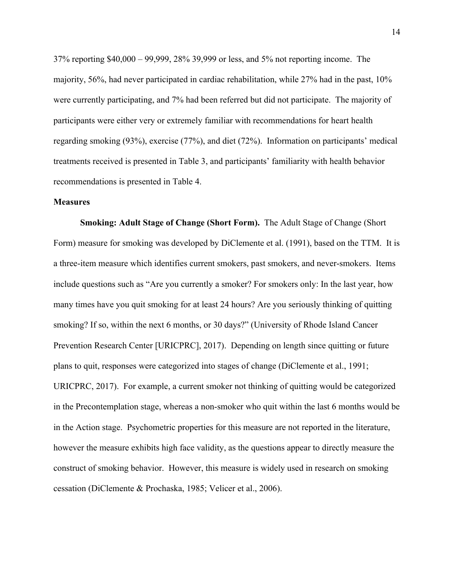37% reporting \$40,000 – 99,999, 28% 39,999 or less, and 5% not reporting income. The majority, 56%, had never participated in cardiac rehabilitation, while 27% had in the past, 10% were currently participating, and 7% had been referred but did not participate. The majority of participants were either very or extremely familiar with recommendations for heart health regarding smoking (93%), exercise (77%), and diet (72%). Information on participants' medical treatments received is presented in Table 3, and participants' familiarity with health behavior recommendations is presented in Table 4.

#### **Measures**

**Smoking: Adult Stage of Change (Short Form).**The Adult Stage of Change (Short Form) measure for smoking was developed by DiClemente et al. (1991), based on the TTM. It is a three-item measure which identifies current smokers, past smokers, and never-smokers. Items include questions such as "Are you currently a smoker? For smokers only: In the last year, how many times have you quit smoking for at least 24 hours? Are you seriously thinking of quitting smoking? If so, within the next 6 months, or 30 days?" (University of Rhode Island Cancer Prevention Research Center [URICPRC], 2017). Depending on length since quitting or future plans to quit, responses were categorized into stages of change (DiClemente et al., 1991; URICPRC, 2017). For example, a current smoker not thinking of quitting would be categorized in the Precontemplation stage, whereas a non-smoker who quit within the last 6 months would be in the Action stage. Psychometric properties for this measure are not reported in the literature, however the measure exhibits high face validity, as the questions appear to directly measure the construct of smoking behavior. However, this measure is widely used in research on smoking cessation (DiClemente & Prochaska, 1985; Velicer et al., 2006).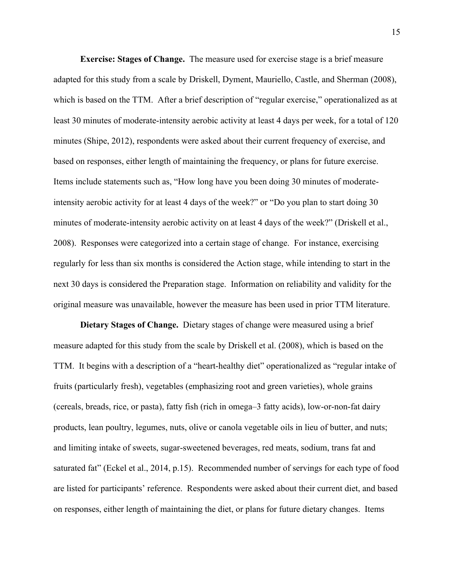**Exercise: Stages of Change.** The measure used for exercise stage is a brief measure adapted for this study from a scale by Driskell, Dyment, Mauriello, Castle, and Sherman (2008), which is based on the TTM. After a brief description of "regular exercise," operationalized as at least 30 minutes of moderate-intensity aerobic activity at least 4 days per week, for a total of 120 minutes (Shipe, 2012), respondents were asked about their current frequency of exercise, and based on responses, either length of maintaining the frequency, or plans for future exercise. Items include statements such as, "How long have you been doing 30 minutes of moderateintensity aerobic activity for at least 4 days of the week?" or "Do you plan to start doing 30 minutes of moderate-intensity aerobic activity on at least 4 days of the week?" (Driskell et al., 2008). Responses were categorized into a certain stage of change. For instance, exercising regularly for less than six months is considered the Action stage, while intending to start in the next 30 days is considered the Preparation stage. Information on reliability and validity for the original measure was unavailable, however the measure has been used in prior TTM literature.

**Dietary Stages of Change.** Dietary stages of change were measured using a brief measure adapted for this study from the scale by Driskell et al. (2008), which is based on the TTM. It begins with a description of a "heart-healthy diet" operationalized as "regular intake of fruits (particularly fresh), vegetables (emphasizing root and green varieties), whole grains (cereals, breads, rice, or pasta), fatty fish (rich in omega–3 fatty acids), low-or-non-fat dairy products, lean poultry, legumes, nuts, olive or canola vegetable oils in lieu of butter, and nuts; and limiting intake of sweets, sugar-sweetened beverages, red meats, sodium, trans fat and saturated fat" (Eckel et al., 2014, p.15). Recommended number of servings for each type of food are listed for participants' reference. Respondents were asked about their current diet, and based on responses, either length of maintaining the diet, or plans for future dietary changes. Items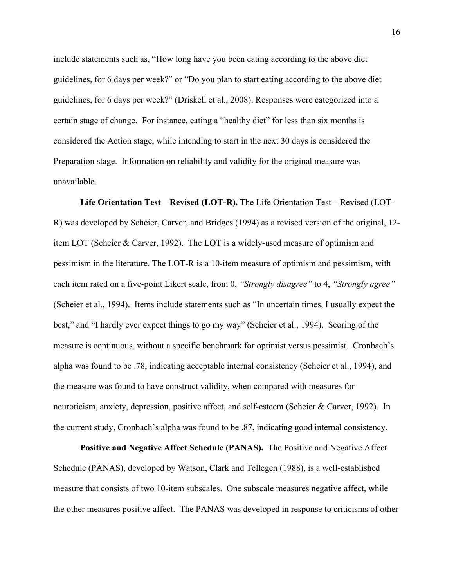include statements such as, "How long have you been eating according to the above diet guidelines, for 6 days per week?" or "Do you plan to start eating according to the above diet guidelines, for 6 days per week?" (Driskell et al., 2008). Responses were categorized into a certain stage of change. For instance, eating a "healthy diet" for less than six months is considered the Action stage, while intending to start in the next 30 days is considered the Preparation stage. Information on reliability and validity for the original measure was unavailable.

**Life Orientation Test – Revised (LOT-R).** The Life Orientation Test – Revised (LOT-R) was developed by Scheier, Carver, and Bridges (1994) as a revised version of the original, 12 item LOT (Scheier & Carver, 1992). The LOT is a widely-used measure of optimism and pessimism in the literature. The LOT-R is a 10-item measure of optimism and pessimism, with each item rated on a five-point Likert scale, from 0, *"Strongly disagree"* to 4, *"Strongly agree"* (Scheier et al., 1994). Items include statements such as "In uncertain times, I usually expect the best," and "I hardly ever expect things to go my way" (Scheier et al., 1994). Scoring of the measure is continuous, without a specific benchmark for optimist versus pessimist. Cronbach's alpha was found to be .78, indicating acceptable internal consistency (Scheier et al., 1994), and the measure was found to have construct validity, when compared with measures for neuroticism, anxiety, depression, positive affect, and self-esteem (Scheier & Carver, 1992). In the current study, Cronbach's alpha was found to be .87, indicating good internal consistency.

**Positive and Negative Affect Schedule (PANAS).** The Positive and Negative Affect Schedule (PANAS), developed by Watson, Clark and Tellegen (1988), is a well-established measure that consists of two 10-item subscales. One subscale measures negative affect, while the other measures positive affect. The PANAS was developed in response to criticisms of other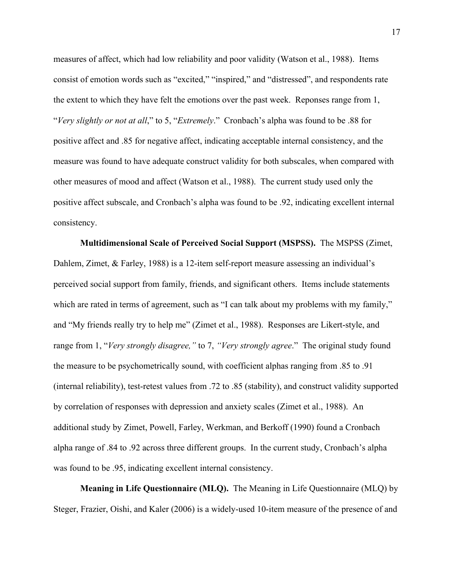measures of affect, which had low reliability and poor validity (Watson et al., 1988). Items consist of emotion words such as "excited," "inspired," and "distressed", and respondents rate the extent to which they have felt the emotions over the past week. Reponses range from 1, "*Very slightly or not at all*," to 5, "*Extremely*." Cronbach's alpha was found to be .88 for positive affect and .85 for negative affect, indicating acceptable internal consistency, and the measure was found to have adequate construct validity for both subscales, when compared with other measures of mood and affect (Watson et al., 1988). The current study used only the positive affect subscale, and Cronbach's alpha was found to be .92, indicating excellent internal consistency.

**Multidimensional Scale of Perceived Social Support (MSPSS).** The MSPSS (Zimet, Dahlem, Zimet, & Farley, 1988) is a 12-item self-report measure assessing an individual's perceived social support from family, friends, and significant others. Items include statements which are rated in terms of agreement, such as "I can talk about my problems with my family," and "My friends really try to help me" (Zimet et al., 1988). Responses are Likert-style, and range from 1, "*Very strongly disagree,"* to 7, *"Very strongly agree*." The original study found the measure to be psychometrically sound, with coefficient alphas ranging from .85 to .91 (internal reliability), test-retest values from .72 to .85 (stability), and construct validity supported by correlation of responses with depression and anxiety scales (Zimet et al., 1988). An additional study by Zimet, Powell, Farley, Werkman, and Berkoff (1990) found a Cronbach alpha range of .84 to .92 across three different groups. In the current study, Cronbach's alpha was found to be .95, indicating excellent internal consistency.

**Meaning in Life Questionnaire (MLQ).** The Meaning in Life Questionnaire (MLQ) by Steger, Frazier, Oishi, and Kaler (2006) is a widely-used 10-item measure of the presence of and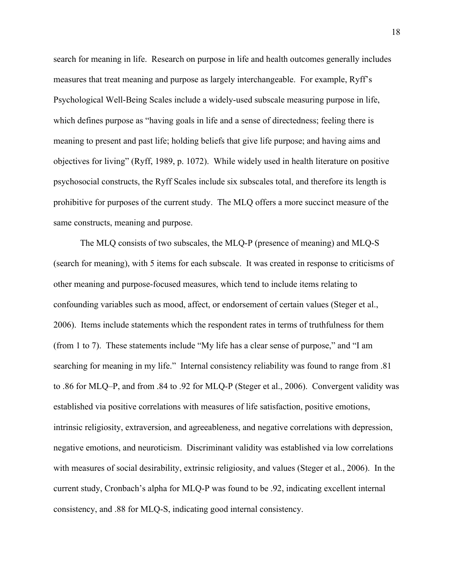search for meaning in life. Research on purpose in life and health outcomes generally includes measures that treat meaning and purpose as largely interchangeable. For example, Ryff's Psychological Well-Being Scales include a widely-used subscale measuring purpose in life, which defines purpose as "having goals in life and a sense of directedness; feeling there is meaning to present and past life; holding beliefs that give life purpose; and having aims and objectives for living" (Ryff, 1989, p. 1072). While widely used in health literature on positive psychosocial constructs, the Ryff Scales include six subscales total, and therefore its length is prohibitive for purposes of the current study. The MLQ offers a more succinct measure of the same constructs, meaning and purpose.

The MLQ consists of two subscales, the MLQ-P (presence of meaning) and MLQ-S (search for meaning), with 5 items for each subscale. It was created in response to criticisms of other meaning and purpose-focused measures, which tend to include items relating to confounding variables such as mood, affect, or endorsement of certain values (Steger et al., 2006). Items include statements which the respondent rates in terms of truthfulness for them (from 1 to 7). These statements include "My life has a clear sense of purpose," and "I am searching for meaning in my life." Internal consistency reliability was found to range from .81 to .86 for MLQ–P, and from .84 to .92 for MLQ-P (Steger et al., 2006). Convergent validity was established via positive correlations with measures of life satisfaction, positive emotions, intrinsic religiosity, extraversion, and agreeableness, and negative correlations with depression, negative emotions, and neuroticism. Discriminant validity was established via low correlations with measures of social desirability, extrinsic religiosity, and values (Steger et al., 2006). In the current study, Cronbach's alpha for MLQ-P was found to be .92, indicating excellent internal consistency, and .88 for MLQ-S, indicating good internal consistency.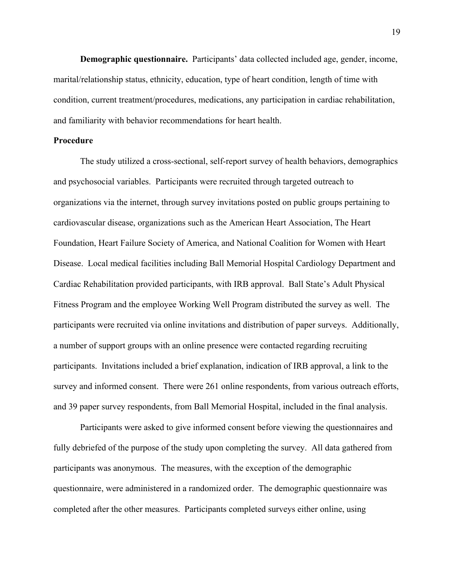**Demographic questionnaire.** Participants' data collected included age, gender, income, marital/relationship status, ethnicity, education, type of heart condition, length of time with condition, current treatment/procedures, medications, any participation in cardiac rehabilitation, and familiarity with behavior recommendations for heart health.

#### **Procedure**

The study utilized a cross-sectional, self-report survey of health behaviors, demographics and psychosocial variables. Participants were recruited through targeted outreach to organizations via the internet, through survey invitations posted on public groups pertaining to cardiovascular disease, organizations such as the American Heart Association, The Heart Foundation, Heart Failure Society of America, and National Coalition for Women with Heart Disease. Local medical facilities including Ball Memorial Hospital Cardiology Department and Cardiac Rehabilitation provided participants, with IRB approval. Ball State's Adult Physical Fitness Program and the employee Working Well Program distributed the survey as well. The participants were recruited via online invitations and distribution of paper surveys. Additionally, a number of support groups with an online presence were contacted regarding recruiting participants. Invitations included a brief explanation, indication of IRB approval, a link to the survey and informed consent. There were 261 online respondents, from various outreach efforts, and 39 paper survey respondents, from Ball Memorial Hospital, included in the final analysis.

Participants were asked to give informed consent before viewing the questionnaires and fully debriefed of the purpose of the study upon completing the survey. All data gathered from participants was anonymous. The measures, with the exception of the demographic questionnaire, were administered in a randomized order. The demographic questionnaire was completed after the other measures. Participants completed surveys either online, using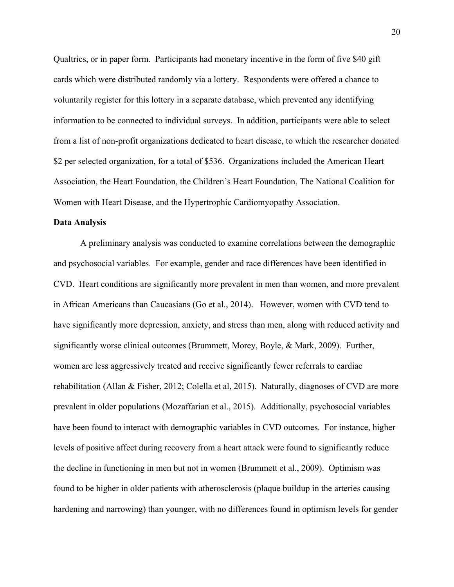Qualtrics, or in paper form. Participants had monetary incentive in the form of five \$40 gift cards which were distributed randomly via a lottery. Respondents were offered a chance to voluntarily register for this lottery in a separate database, which prevented any identifying information to be connected to individual surveys. In addition, participants were able to select from a list of non-profit organizations dedicated to heart disease, to which the researcher donated \$2 per selected organization, for a total of \$536. Organizations included the American Heart Association, the Heart Foundation, the Children's Heart Foundation, The National Coalition for Women with Heart Disease, and the Hypertrophic Cardiomyopathy Association.

#### **Data Analysis**

A preliminary analysis was conducted to examine correlations between the demographic and psychosocial variables. For example, gender and race differences have been identified in CVD. Heart conditions are significantly more prevalent in men than women, and more prevalent in African Americans than Caucasians (Go et al., 2014). However, women with CVD tend to have significantly more depression, anxiety, and stress than men, along with reduced activity and significantly worse clinical outcomes (Brummett, Morey, Boyle, & Mark, 2009). Further, women are less aggressively treated and receive significantly fewer referrals to cardiac rehabilitation (Allan & Fisher, 2012; Colella et al, 2015). Naturally, diagnoses of CVD are more prevalent in older populations (Mozaffarian et al., 2015). Additionally, psychosocial variables have been found to interact with demographic variables in CVD outcomes. For instance, higher levels of positive affect during recovery from a heart attack were found to significantly reduce the decline in functioning in men but not in women (Brummett et al., 2009). Optimism was found to be higher in older patients with atherosclerosis (plaque buildup in the arteries causing hardening and narrowing) than younger, with no differences found in optimism levels for gender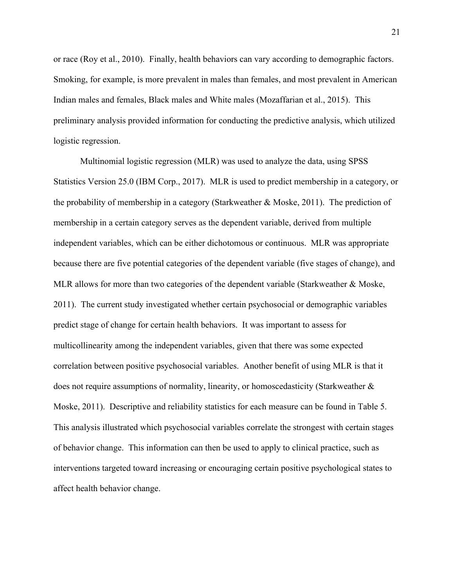or race (Roy et al., 2010). Finally, health behaviors can vary according to demographic factors. Smoking, for example, is more prevalent in males than females, and most prevalent in American Indian males and females, Black males and White males (Mozaffarian et al., 2015). This preliminary analysis provided information for conducting the predictive analysis, which utilized logistic regression.

Multinomial logistic regression (MLR) was used to analyze the data, using SPSS Statistics Version 25.0 (IBM Corp., 2017). MLR is used to predict membership in a category, or the probability of membership in a category (Starkweather & Moske, 2011). The prediction of membership in a certain category serves as the dependent variable, derived from multiple independent variables, which can be either dichotomous or continuous. MLR was appropriate because there are five potential categories of the dependent variable (five stages of change), and MLR allows for more than two categories of the dependent variable (Starkweather & Moske, 2011). The current study investigated whether certain psychosocial or demographic variables predict stage of change for certain health behaviors. It was important to assess for multicollinearity among the independent variables, given that there was some expected correlation between positive psychosocial variables. Another benefit of using MLR is that it does not require assumptions of normality, linearity, or homoscedasticity (Starkweather & Moske, 2011). Descriptive and reliability statistics for each measure can be found in Table 5. This analysis illustrated which psychosocial variables correlate the strongest with certain stages of behavior change. This information can then be used to apply to clinical practice, such as interventions targeted toward increasing or encouraging certain positive psychological states to affect health behavior change.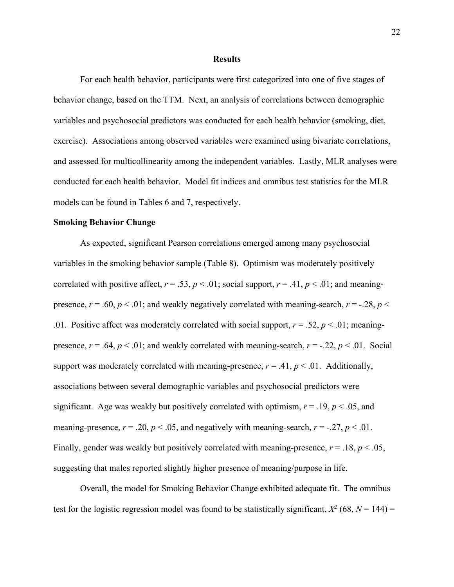#### **Results**

For each health behavior, participants were first categorized into one of five stages of behavior change, based on the TTM. Next, an analysis of correlations between demographic variables and psychosocial predictors was conducted for each health behavior (smoking, diet, exercise). Associations among observed variables were examined using bivariate correlations, and assessed for multicollinearity among the independent variables. Lastly, MLR analyses were conducted for each health behavior. Model fit indices and omnibus test statistics for the MLR models can be found in Tables 6 and 7, respectively.

#### **Smoking Behavior Change**

As expected, significant Pearson correlations emerged among many psychosocial variables in the smoking behavior sample (Table 8). Optimism was moderately positively correlated with positive affect,  $r = .53$ ,  $p < .01$ ; social support,  $r = .41$ ,  $p < .01$ ; and meaningpresence,  $r = .60$ ,  $p < .01$ ; and weakly negatively correlated with meaning-search,  $r = -.28$ ,  $p <$ .01. Positive affect was moderately correlated with social support,  $r = .52$ ,  $p < .01$ ; meaningpresence,  $r = .64$ ,  $p < .01$ ; and weakly correlated with meaning-search,  $r = .22$ ,  $p < .01$ . Social support was moderately correlated with meaning-presence,  $r = .41$ ,  $p < .01$ . Additionally, associations between several demographic variables and psychosocial predictors were significant. Age was weakly but positively correlated with optimism,  $r = .19$ ,  $p < .05$ , and meaning-presence,  $r = .20$ ,  $p < .05$ , and negatively with meaning-search,  $r = .27$ ,  $p < .01$ . Finally, gender was weakly but positively correlated with meaning-presence, *r* = .18, *p* < .05, suggesting that males reported slightly higher presence of meaning/purpose in life.

Overall, the model for Smoking Behavior Change exhibited adequate fit. The omnibus test for the logistic regression model was found to be statistically significant,  $X^2$  (68,  $N = 144$ ) =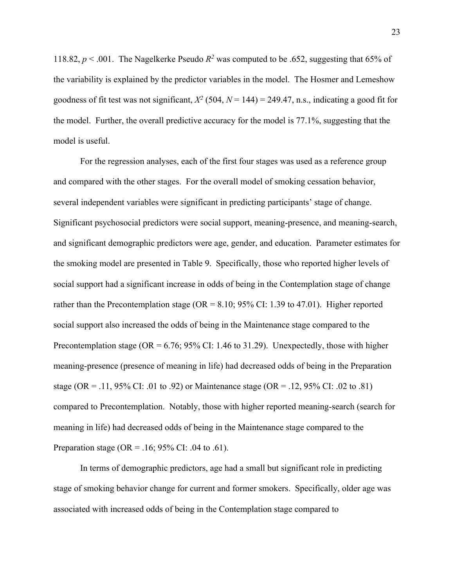118.82,  $p < .001$ . The Nagelkerke Pseudo  $R^2$  was computed to be .652, suggesting that 65% of the variability is explained by the predictor variables in the model. The Hosmer and Lemeshow goodness of fit test was not significant,  $X^2$  (504,  $N = 144$ ) = 249.47, n.s., indicating a good fit for the model. Further, the overall predictive accuracy for the model is 77.1%, suggesting that the model is useful.

For the regression analyses, each of the first four stages was used as a reference group and compared with the other stages. For the overall model of smoking cessation behavior, several independent variables were significant in predicting participants' stage of change. Significant psychosocial predictors were social support, meaning-presence, and meaning-search, and significant demographic predictors were age, gender, and education. Parameter estimates for the smoking model are presented in Table 9. Specifically, those who reported higher levels of social support had a significant increase in odds of being in the Contemplation stage of change rather than the Precontemplation stage ( $OR = 8.10$ ; 95% CI: 1.39 to 47.01). Higher reported social support also increased the odds of being in the Maintenance stage compared to the Precontemplation stage (OR =  $6.76$ ; 95% CI: 1.46 to 31.29). Unexpectedly, those with higher meaning-presence (presence of meaning in life) had decreased odds of being in the Preparation stage (OR = .11, 95% CI: .01 to .92) or Maintenance stage (OR = .12, 95% CI: .02 to .81) compared to Precontemplation. Notably, those with higher reported meaning-search (search for meaning in life) had decreased odds of being in the Maintenance stage compared to the Preparation stage (OR = .16; 95% CI: .04 to .61).

In terms of demographic predictors, age had a small but significant role in predicting stage of smoking behavior change for current and former smokers. Specifically, older age was associated with increased odds of being in the Contemplation stage compared to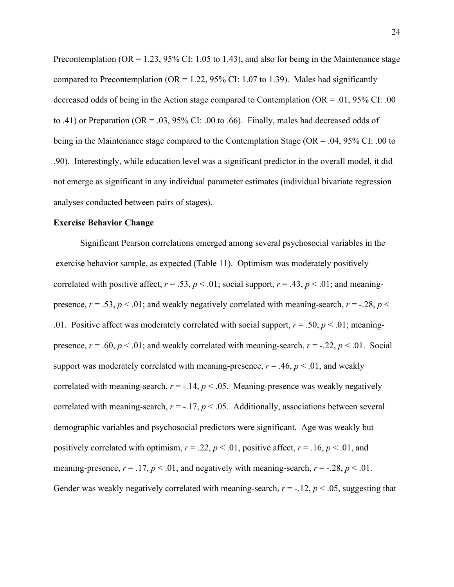Precontemplation ( $OR = 1.23$ , 95% CI: 1.05 to 1.43), and also for being in the Maintenance stage compared to Precontemplation (OR = 1.22, 95% CI: 1.07 to 1.39). Males had significantly decreased odds of being in the Action stage compared to Contemplation ( $OR = .01$ , 95% CI: .00 to .41) or Preparation (OR = .03, 95% CI: .00 to .66). Finally, males had decreased odds of being in the Maintenance stage compared to the Contemplation Stage (OR = .04, 95% CI: .00 to .90). Interestingly, while education level was a significant predictor in the overall model, it did not emerge as significant in any individual parameter estimates (individual bivariate regression analyses conducted between pairs of stages).

#### **Exercise Behavior Change**

Significant Pearson correlations emerged among several psychosocial variables in the exercise behavior sample, as expected (Table 11). Optimism was moderately positively correlated with positive affect,  $r = .53$ ,  $p < .01$ ; social support,  $r = .43$ ,  $p < .01$ ; and meaningpresence,  $r = .53$ ,  $p < .01$ ; and weakly negatively correlated with meaning-search,  $r = -.28$ ,  $p <$ .01. Positive affect was moderately correlated with social support,  $r = .50$ ,  $p < .01$ ; meaningpresence,  $r = .60$ ,  $p < .01$ ; and weakly correlated with meaning-search,  $r = .22$ ,  $p < .01$ . Social support was moderately correlated with meaning-presence,  $r = .46$ ,  $p < .01$ , and weakly correlated with meaning-search,  $r = -.14$ ,  $p < .05$ . Meaning-presence was weakly negatively correlated with meaning-search,  $r = -.17$ ,  $p < .05$ . Additionally, associations between several demographic variables and psychosocial predictors were significant. Age was weakly but positively correlated with optimism,  $r = .22$ ,  $p < .01$ , positive affect,  $r = .16$ ,  $p < .01$ , and meaning-presence,  $r = .17$ ,  $p < .01$ , and negatively with meaning-search,  $r = .28$ ,  $p < .01$ . Gender was weakly negatively correlated with meaning-search,  $r = -12$ ,  $p < 0.05$ , suggesting that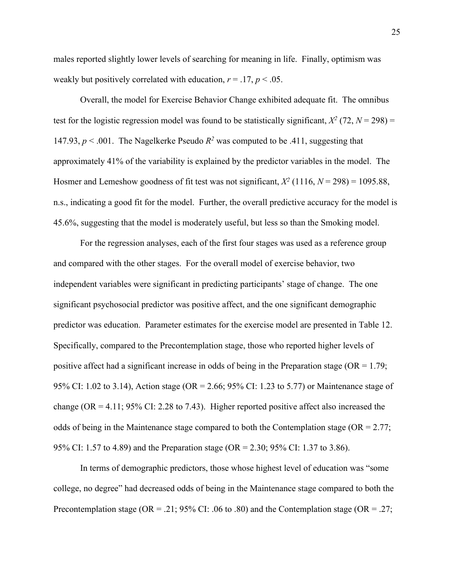males reported slightly lower levels of searching for meaning in life. Finally, optimism was weakly but positively correlated with education,  $r = .17$ ,  $p < .05$ .

Overall, the model for Exercise Behavior Change exhibited adequate fit. The omnibus test for the logistic regression model was found to be statistically significant,  $X^2$  (72,  $N = 298$ ) = 147.93,  $p < .001$ . The Nagelkerke Pseudo  $R^2$  was computed to be .411, suggesting that approximately 41% of the variability is explained by the predictor variables in the model. The Hosmer and Lemeshow goodness of fit test was not significant,  $X^2$  (1116,  $N = 298$ ) = 1095.88, n.s., indicating a good fit for the model. Further, the overall predictive accuracy for the model is 45.6%, suggesting that the model is moderately useful, but less so than the Smoking model.

For the regression analyses, each of the first four stages was used as a reference group and compared with the other stages. For the overall model of exercise behavior, two independent variables were significant in predicting participants' stage of change. The one significant psychosocial predictor was positive affect, and the one significant demographic predictor was education. Parameter estimates for the exercise model are presented in Table 12. Specifically, compared to the Precontemplation stage, those who reported higher levels of positive affect had a significant increase in odds of being in the Preparation stage ( $OR = 1.79$ ; 95% CI: 1.02 to 3.14), Action stage (OR = 2.66; 95% CI: 1.23 to 5.77) or Maintenance stage of change (OR = 4.11; 95% CI: 2.28 to 7.43). Higher reported positive affect also increased the odds of being in the Maintenance stage compared to both the Contemplation stage ( $OR = 2.77$ ; 95% CI: 1.57 to 4.89) and the Preparation stage (OR = 2.30; 95% CI: 1.37 to 3.86).

In terms of demographic predictors, those whose highest level of education was "some college, no degree" had decreased odds of being in the Maintenance stage compared to both the Precontemplation stage (OR = .21; 95% CI: .06 to .80) and the Contemplation stage (OR = .27;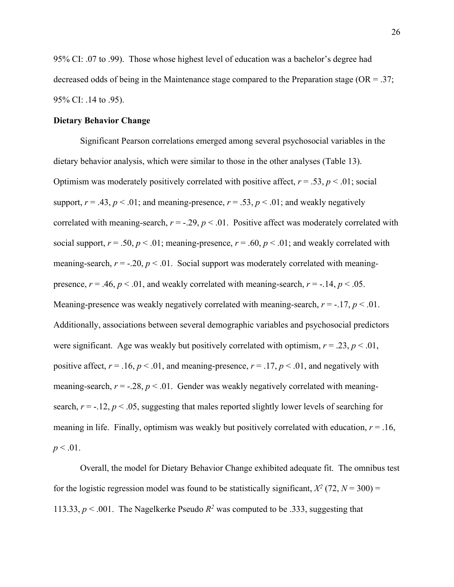95% CI: .07 to .99). Those whose highest level of education was a bachelor's degree had decreased odds of being in the Maintenance stage compared to the Preparation stage (OR = .37; 95% CI: .14 to .95).

#### **Dietary Behavior Change**

Significant Pearson correlations emerged among several psychosocial variables in the dietary behavior analysis, which were similar to those in the other analyses (Table 13). Optimism was moderately positively correlated with positive affect,  $r = .53$ ,  $p < .01$ ; social support,  $r = .43$ ,  $p < .01$ ; and meaning-presence,  $r = .53$ ,  $p < .01$ ; and weakly negatively correlated with meaning-search,  $r = -0.29$ ,  $p < 0.01$ . Positive affect was moderately correlated with social support,  $r = .50$ ,  $p < .01$ ; meaning-presence,  $r = .60$ ,  $p < .01$ ; and weakly correlated with meaning-search,  $r = -0.20$ ,  $p < 0.01$ . Social support was moderately correlated with meaningpresence,  $r = .46$ ,  $p < .01$ , and weakly correlated with meaning-search,  $r = .14$ ,  $p < .05$ . Meaning-presence was weakly negatively correlated with meaning-search,  $r = -17$ ,  $p < 0.01$ . Additionally, associations between several demographic variables and psychosocial predictors were significant. Age was weakly but positively correlated with optimism,  $r = .23$ ,  $p < .01$ , positive affect,  $r = .16$ ,  $p < .01$ , and meaning-presence,  $r = .17$ ,  $p < .01$ , and negatively with meaning-search,  $r = -0.28$ ,  $p < 0.01$ . Gender was weakly negatively correlated with meaningsearch,  $r = -.12$ ,  $p < .05$ , suggesting that males reported slightly lower levels of searching for meaning in life. Finally, optimism was weakly but positively correlated with education,  $r = .16$ ,  $p < .01$ .

Overall, the model for Dietary Behavior Change exhibited adequate fit. The omnibus test for the logistic regression model was found to be statistically significant,  $X^2$  (72,  $N = 300$ ) = 113.33,  $p < .001$ . The Nagelkerke Pseudo  $R^2$  was computed to be .333, suggesting that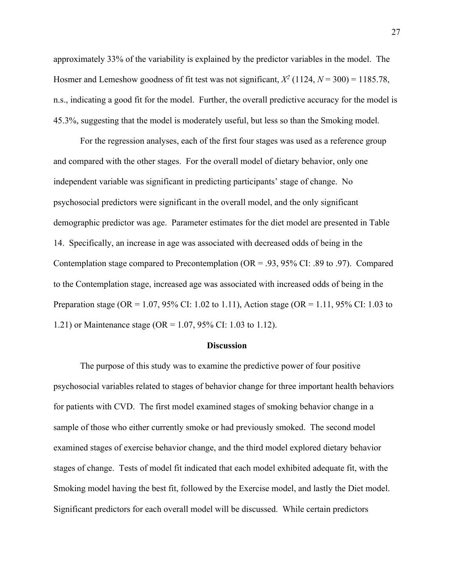approximately 33% of the variability is explained by the predictor variables in the model. The Hosmer and Lemeshow goodness of fit test was not significant,  $X^2$  (1124,  $N = 300$ ) = 1185.78, n.s., indicating a good fit for the model. Further, the overall predictive accuracy for the model is 45.3%, suggesting that the model is moderately useful, but less so than the Smoking model.

For the regression analyses, each of the first four stages was used as a reference group and compared with the other stages. For the overall model of dietary behavior, only one independent variable was significant in predicting participants' stage of change. No psychosocial predictors were significant in the overall model, and the only significant demographic predictor was age. Parameter estimates for the diet model are presented in Table 14. Specifically, an increase in age was associated with decreased odds of being in the Contemplation stage compared to Precontemplation ( $OR = .93, 95\%$  CI: .89 to .97). Compared to the Contemplation stage, increased age was associated with increased odds of being in the Preparation stage (OR = 1.07, 95% CI: 1.02 to 1.11), Action stage (OR = 1.11, 95% CI: 1.03 to 1.21) or Maintenance stage (OR = 1.07, 95% CI: 1.03 to 1.12).

#### **Discussion**

The purpose of this study was to examine the predictive power of four positive psychosocial variables related to stages of behavior change for three important health behaviors for patients with CVD. The first model examined stages of smoking behavior change in a sample of those who either currently smoke or had previously smoked. The second model examined stages of exercise behavior change, and the third model explored dietary behavior stages of change. Tests of model fit indicated that each model exhibited adequate fit, with the Smoking model having the best fit, followed by the Exercise model, and lastly the Diet model. Significant predictors for each overall model will be discussed. While certain predictors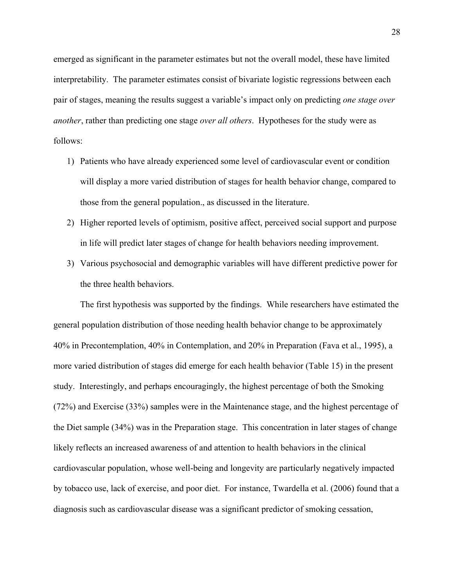emerged as significant in the parameter estimates but not the overall model, these have limited interpretability. The parameter estimates consist of bivariate logistic regressions between each pair of stages, meaning the results suggest a variable's impact only on predicting *one stage over another*, rather than predicting one stage *over all others*. Hypotheses for the study were as follows:

- 1) Patients who have already experienced some level of cardiovascular event or condition will display a more varied distribution of stages for health behavior change, compared to those from the general population., as discussed in the literature.
- 2) Higher reported levels of optimism, positive affect, perceived social support and purpose in life will predict later stages of change for health behaviors needing improvement.
- 3) Various psychosocial and demographic variables will have different predictive power for the three health behaviors.

The first hypothesis was supported by the findings. While researchers have estimated the general population distribution of those needing health behavior change to be approximately 40% in Precontemplation, 40% in Contemplation, and 20% in Preparation (Fava et al., 1995), a more varied distribution of stages did emerge for each health behavior (Table 15) in the present study. Interestingly, and perhaps encouragingly, the highest percentage of both the Smoking (72%) and Exercise (33%) samples were in the Maintenance stage, and the highest percentage of the Diet sample (34%) was in the Preparation stage. This concentration in later stages of change likely reflects an increased awareness of and attention to health behaviors in the clinical cardiovascular population, whose well-being and longevity are particularly negatively impacted by tobacco use, lack of exercise, and poor diet. For instance, Twardella et al. (2006) found that a diagnosis such as cardiovascular disease was a significant predictor of smoking cessation,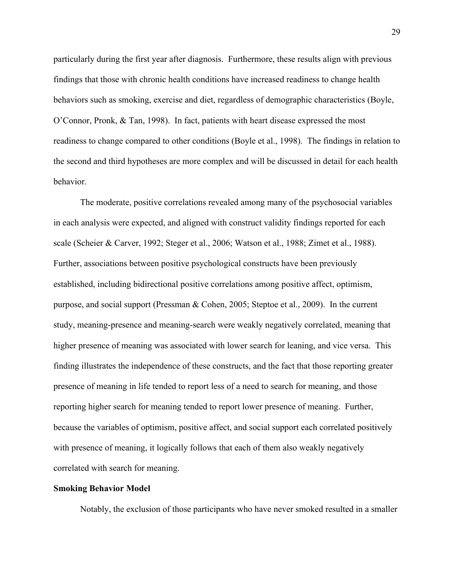particularly during the first year after diagnosis. Furthermore, these results align with previous findings that those with chronic health conditions have increased readiness to change health behaviors such as smoking, exercise and diet, regardless of demographic characteristics (Boyle, O'Connor, Pronk, & Tan, 1998). In fact, patients with heart disease expressed the most readiness to change compared to other conditions (Boyle et al., 1998). The findings in relation to the second and third hypotheses are more complex and will be discussed in detail for each health behavior.

The moderate, positive correlations revealed among many of the psychosocial variables in each analysis were expected, and aligned with construct validity findings reported for each scale (Scheier & Carver, 1992; Steger et al., 2006; Watson et al., 1988; Zimet et al., 1988). Further, associations between positive psychological constructs have been previously established, including bidirectional positive correlations among positive affect, optimism, purpose, and social support (Pressman & Cohen, 2005; Steptoe et al., 2009). In the current study, meaning-presence and meaning-search were weakly negatively correlated, meaning that higher presence of meaning was associated with lower search for leaning, and vice versa. This finding illustrates the independence of these constructs, and the fact that those reporting greater presence of meaning in life tended to report less of a need to search for meaning, and those reporting higher search for meaning tended to report lower presence of meaning. Further, because the variables of optimism, positive affect, and social support each correlated positively with presence of meaning, it logically follows that each of them also weakly negatively correlated with search for meaning.

#### **Smoking Behavior Model**

Notably, the exclusion of those participants who have never smoked resulted in a smaller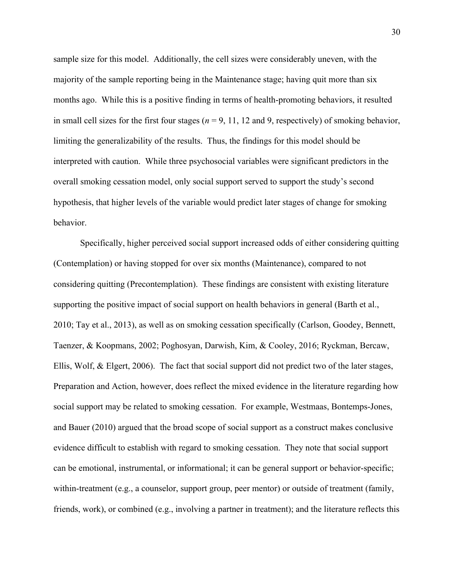sample size for this model. Additionally, the cell sizes were considerably uneven, with the majority of the sample reporting being in the Maintenance stage; having quit more than six months ago. While this is a positive finding in terms of health-promoting behaviors, it resulted in small cell sizes for the first four stages ( $n = 9, 11, 12$  and 9, respectively) of smoking behavior, limiting the generalizability of the results. Thus, the findings for this model should be interpreted with caution. While three psychosocial variables were significant predictors in the overall smoking cessation model, only social support served to support the study's second hypothesis, that higher levels of the variable would predict later stages of change for smoking behavior.

Specifically, higher perceived social support increased odds of either considering quitting (Contemplation) or having stopped for over six months (Maintenance), compared to not considering quitting (Precontemplation). These findings are consistent with existing literature supporting the positive impact of social support on health behaviors in general (Barth et al., 2010; Tay et al., 2013), as well as on smoking cessation specifically (Carlson, Goodey, Bennett, Taenzer, & Koopmans, 2002; Poghosyan, Darwish, Kim, & Cooley, 2016; Ryckman, Bercaw, Ellis, Wolf, & Elgert, 2006). The fact that social support did not predict two of the later stages, Preparation and Action, however, does reflect the mixed evidence in the literature regarding how social support may be related to smoking cessation. For example, Westmaas, Bontemps-Jones, and Bauer (2010) argued that the broad scope of social support as a construct makes conclusive evidence difficult to establish with regard to smoking cessation. They note that social support can be emotional, instrumental, or informational; it can be general support or behavior-specific; within-treatment (e.g., a counselor, support group, peer mentor) or outside of treatment (family, friends, work), or combined (e.g., involving a partner in treatment); and the literature reflects this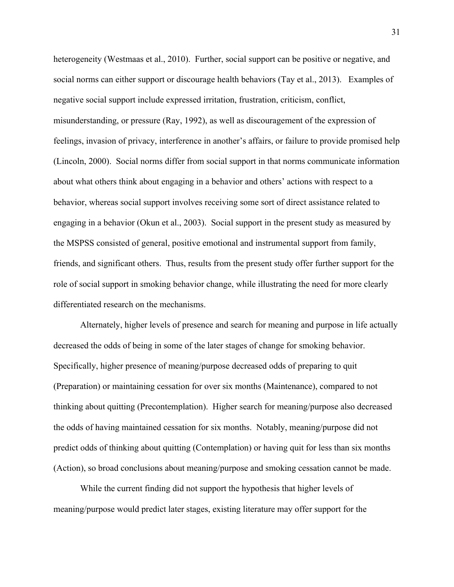heterogeneity (Westmaas et al., 2010). Further, social support can be positive or negative, and social norms can either support or discourage health behaviors (Tay et al., 2013). Examples of negative social support include expressed irritation, frustration, criticism, conflict, misunderstanding, or pressure (Ray, 1992), as well as discouragement of the expression of feelings, invasion of privacy, interference in another's affairs, or failure to provide promised help (Lincoln, 2000). Social norms differ from social support in that norms communicate information about what others think about engaging in a behavior and others' actions with respect to a behavior, whereas social support involves receiving some sort of direct assistance related to engaging in a behavior (Okun et al., 2003). Social support in the present study as measured by the MSPSS consisted of general, positive emotional and instrumental support from family, friends, and significant others. Thus, results from the present study offer further support for the role of social support in smoking behavior change, while illustrating the need for more clearly differentiated research on the mechanisms.

Alternately, higher levels of presence and search for meaning and purpose in life actually decreased the odds of being in some of the later stages of change for smoking behavior. Specifically, higher presence of meaning/purpose decreased odds of preparing to quit (Preparation) or maintaining cessation for over six months (Maintenance), compared to not thinking about quitting (Precontemplation). Higher search for meaning/purpose also decreased the odds of having maintained cessation for six months. Notably, meaning/purpose did not predict odds of thinking about quitting (Contemplation) or having quit for less than six months (Action), so broad conclusions about meaning/purpose and smoking cessation cannot be made.

While the current finding did not support the hypothesis that higher levels of meaning/purpose would predict later stages, existing literature may offer support for the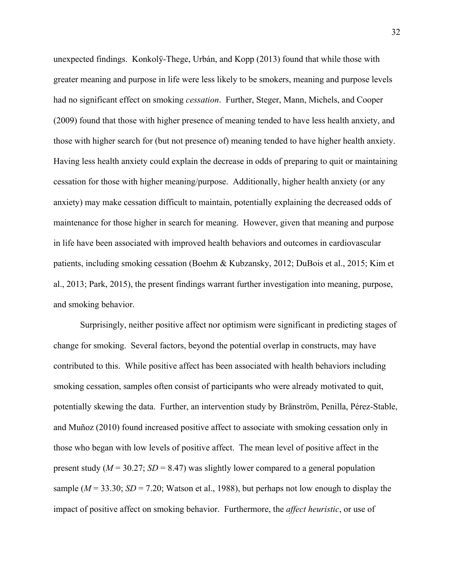unexpected findings. Konkolÿ-Thege, Urbán, and Kopp (2013) found that while those with greater meaning and purpose in life were less likely to be smokers, meaning and purpose levels had no significant effect on smoking *cessation*. Further, Steger, Mann, Michels, and Cooper (2009) found that those with higher presence of meaning tended to have less health anxiety, and those with higher search for (but not presence of) meaning tended to have higher health anxiety. Having less health anxiety could explain the decrease in odds of preparing to quit or maintaining cessation for those with higher meaning/purpose. Additionally, higher health anxiety (or any anxiety) may make cessation difficult to maintain, potentially explaining the decreased odds of maintenance for those higher in search for meaning. However, given that meaning and purpose in life have been associated with improved health behaviors and outcomes in cardiovascular patients, including smoking cessation (Boehm & Kubzansky, 2012; DuBois et al., 2015; Kim et al., 2013; Park, 2015), the present findings warrant further investigation into meaning, purpose, and smoking behavior.

Surprisingly, neither positive affect nor optimism were significant in predicting stages of change for smoking. Several factors, beyond the potential overlap in constructs, may have contributed to this. While positive affect has been associated with health behaviors including smoking cessation, samples often consist of participants who were already motivated to quit, potentially skewing the data. Further, an intervention study by Bränström, Penilla, Pérez-Stable, and Muñoz (2010) found increased positive affect to associate with smoking cessation only in those who began with low levels of positive affect. The mean level of positive affect in the present study ( $M = 30.27$ ;  $SD = 8.47$ ) was slightly lower compared to a general population sample ( $M = 33.30$ ;  $SD = 7.20$ ; Watson et al., 1988), but perhaps not low enough to display the impact of positive affect on smoking behavior. Furthermore, the *affect heuristic*, or use of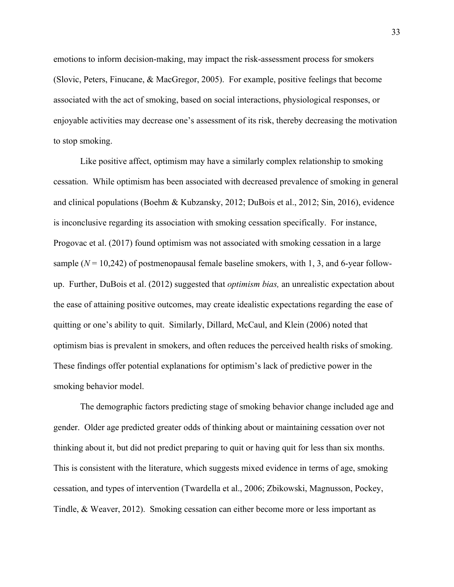emotions to inform decision-making, may impact the risk-assessment process for smokers (Slovic, Peters, Finucane, & MacGregor, 2005). For example, positive feelings that become associated with the act of smoking, based on social interactions, physiological responses, or enjoyable activities may decrease one's assessment of its risk, thereby decreasing the motivation to stop smoking.

Like positive affect, optimism may have a similarly complex relationship to smoking cessation. While optimism has been associated with decreased prevalence of smoking in general and clinical populations (Boehm & Kubzansky, 2012; DuBois et al., 2012; Sin, 2016), evidence is inconclusive regarding its association with smoking cessation specifically. For instance, Progovac et al. (2017) found optimism was not associated with smoking cessation in a large sample  $(N = 10,242)$  of postmenopausal female baseline smokers, with 1, 3, and 6-year followup. Further, DuBois et al. (2012) suggested that *optimism bias,* an unrealistic expectation about the ease of attaining positive outcomes, may create idealistic expectations regarding the ease of quitting or one's ability to quit. Similarly, Dillard, McCaul, and Klein (2006) noted that optimism bias is prevalent in smokers, and often reduces the perceived health risks of smoking. These findings offer potential explanations for optimism's lack of predictive power in the smoking behavior model.

The demographic factors predicting stage of smoking behavior change included age and gender. Older age predicted greater odds of thinking about or maintaining cessation over not thinking about it, but did not predict preparing to quit or having quit for less than six months. This is consistent with the literature, which suggests mixed evidence in terms of age, smoking cessation, and types of intervention (Twardella et al., 2006; Zbikowski, Magnusson, Pockey, Tindle, & Weaver, 2012). Smoking cessation can either become more or less important as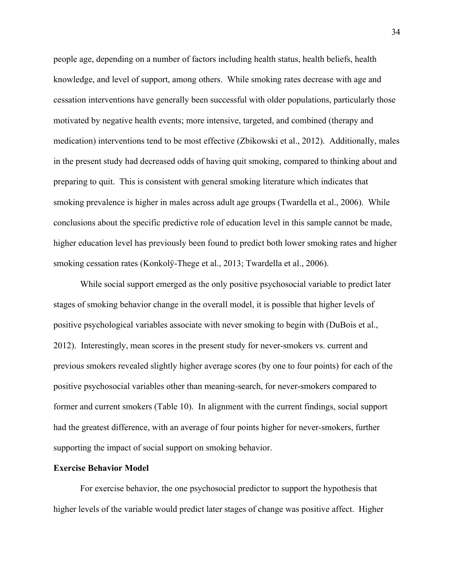people age, depending on a number of factors including health status, health beliefs, health knowledge, and level of support, among others. While smoking rates decrease with age and cessation interventions have generally been successful with older populations, particularly those motivated by negative health events; more intensive, targeted, and combined (therapy and medication) interventions tend to be most effective (Zbikowski et al., 2012). Additionally, males in the present study had decreased odds of having quit smoking, compared to thinking about and preparing to quit. This is consistent with general smoking literature which indicates that smoking prevalence is higher in males across adult age groups (Twardella et al., 2006). While conclusions about the specific predictive role of education level in this sample cannot be made, higher education level has previously been found to predict both lower smoking rates and higher smoking cessation rates (Konkolÿ-Thege et al., 2013; Twardella et al., 2006).

While social support emerged as the only positive psychosocial variable to predict later stages of smoking behavior change in the overall model, it is possible that higher levels of positive psychological variables associate with never smoking to begin with (DuBois et al., 2012). Interestingly, mean scores in the present study for never-smokers vs. current and previous smokers revealed slightly higher average scores (by one to four points) for each of the positive psychosocial variables other than meaning-search, for never-smokers compared to former and current smokers (Table 10). In alignment with the current findings, social support had the greatest difference, with an average of four points higher for never-smokers, further supporting the impact of social support on smoking behavior.

#### **Exercise Behavior Model**

For exercise behavior, the one psychosocial predictor to support the hypothesis that higher levels of the variable would predict later stages of change was positive affect. Higher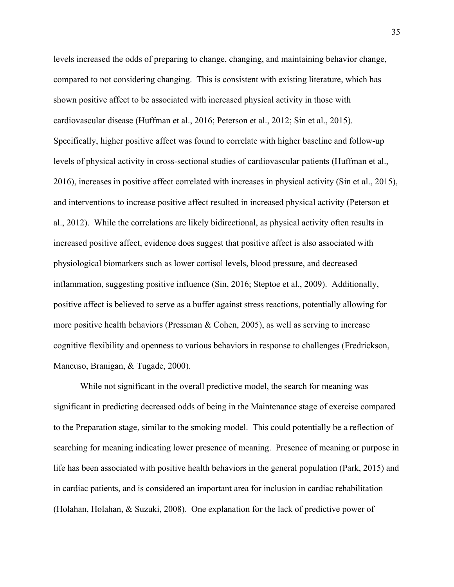levels increased the odds of preparing to change, changing, and maintaining behavior change, compared to not considering changing. This is consistent with existing literature, which has shown positive affect to be associated with increased physical activity in those with cardiovascular disease (Huffman et al., 2016; Peterson et al., 2012; Sin et al., 2015). Specifically, higher positive affect was found to correlate with higher baseline and follow-up levels of physical activity in cross-sectional studies of cardiovascular patients (Huffman et al., 2016), increases in positive affect correlated with increases in physical activity (Sin et al., 2015), and interventions to increase positive affect resulted in increased physical activity (Peterson et al., 2012). While the correlations are likely bidirectional, as physical activity often results in increased positive affect, evidence does suggest that positive affect is also associated with physiological biomarkers such as lower cortisol levels, blood pressure, and decreased inflammation, suggesting positive influence (Sin, 2016; Steptoe et al., 2009). Additionally, positive affect is believed to serve as a buffer against stress reactions, potentially allowing for more positive health behaviors (Pressman & Cohen, 2005), as well as serving to increase cognitive flexibility and openness to various behaviors in response to challenges (Fredrickson, Mancuso, Branigan, & Tugade, 2000).

While not significant in the overall predictive model, the search for meaning was significant in predicting decreased odds of being in the Maintenance stage of exercise compared to the Preparation stage, similar to the smoking model. This could potentially be a reflection of searching for meaning indicating lower presence of meaning. Presence of meaning or purpose in life has been associated with positive health behaviors in the general population (Park, 2015) and in cardiac patients, and is considered an important area for inclusion in cardiac rehabilitation (Holahan, Holahan, & Suzuki, 2008). One explanation for the lack of predictive power of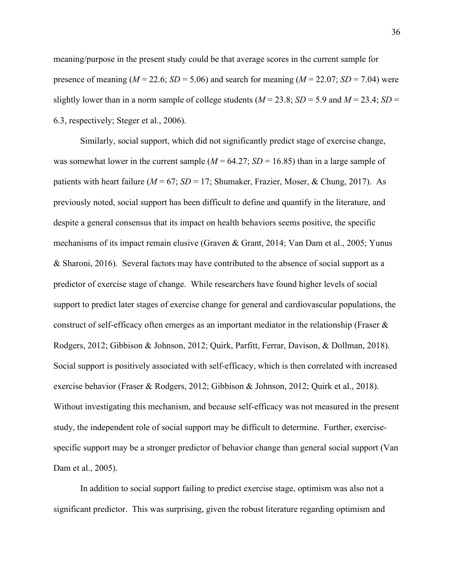meaning/purpose in the present study could be that average scores in the current sample for presence of meaning ( $M = 22.6$ ;  $SD = 5.06$ ) and search for meaning ( $M = 22.07$ ;  $SD = 7.04$ ) were slightly lower than in a norm sample of college students ( $M = 23.8$ ;  $SD = 5.9$  and  $M = 23.4$ ;  $SD =$ 6.3, respectively; Steger et al., 2006).

Similarly, social support, which did not significantly predict stage of exercise change, was somewhat lower in the current sample  $(M = 64.27; SD = 16.85)$  than in a large sample of patients with heart failure (*M* = 67; *SD* = 17; Shumaker, Frazier, Moser, & Chung, 2017). As previously noted, social support has been difficult to define and quantify in the literature, and despite a general consensus that its impact on health behaviors seems positive, the specific mechanisms of its impact remain elusive (Graven & Grant, 2014; Van Dam et al., 2005; Yunus & Sharoni, 2016). Several factors may have contributed to the absence of social support as a predictor of exercise stage of change. While researchers have found higher levels of social support to predict later stages of exercise change for general and cardiovascular populations, the construct of self-efficacy often emerges as an important mediator in the relationship (Fraser  $\&$ Rodgers, 2012; Gibbison & Johnson, 2012; Quirk, Parfitt, Ferrar, Davison, & Dollman, 2018). Social support is positively associated with self-efficacy, which is then correlated with increased exercise behavior (Fraser & Rodgers, 2012; Gibbison & Johnson, 2012; Quirk et al., 2018). Without investigating this mechanism, and because self-efficacy was not measured in the present study, the independent role of social support may be difficult to determine. Further, exercisespecific support may be a stronger predictor of behavior change than general social support (Van Dam et al., 2005).

In addition to social support failing to predict exercise stage, optimism was also not a significant predictor. This was surprising, given the robust literature regarding optimism and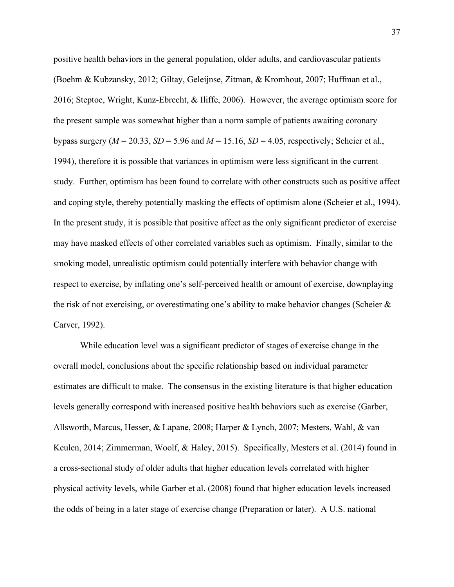positive health behaviors in the general population, older adults, and cardiovascular patients (Boehm & Kubzansky, 2012; Giltay, Geleijnse, Zitman, & Kromhout, 2007; Huffman et al., 2016; Steptoe, Wright, Kunz-Ebrecht, & Iliffe, 2006). However, the average optimism score for the present sample was somewhat higher than a norm sample of patients awaiting coronary bypass surgery  $(M = 20.33, SD = 5.96$  and  $M = 15.16, SD = 4.05$ , respectively; Scheier et al., 1994), therefore it is possible that variances in optimism were less significant in the current study. Further, optimism has been found to correlate with other constructs such as positive affect and coping style, thereby potentially masking the effects of optimism alone (Scheier et al., 1994). In the present study, it is possible that positive affect as the only significant predictor of exercise may have masked effects of other correlated variables such as optimism. Finally, similar to the smoking model, unrealistic optimism could potentially interfere with behavior change with respect to exercise, by inflating one's self-perceived health or amount of exercise, downplaying the risk of not exercising, or overestimating one's ability to make behavior changes (Scheier & Carver, 1992).

While education level was a significant predictor of stages of exercise change in the overall model, conclusions about the specific relationship based on individual parameter estimates are difficult to make. The consensus in the existing literature is that higher education levels generally correspond with increased positive health behaviors such as exercise (Garber, Allsworth, Marcus, Hesser, & Lapane, 2008; Harper & Lynch, 2007; Mesters, Wahl, & van Keulen, 2014; Zimmerman, Woolf, & Haley, 2015). Specifically, Mesters et al. (2014) found in a cross-sectional study of older adults that higher education levels correlated with higher physical activity levels, while Garber et al. (2008) found that higher education levels increased the odds of being in a later stage of exercise change (Preparation or later). A U.S. national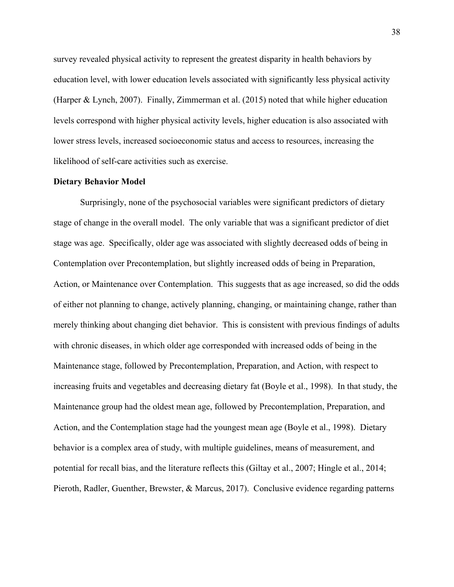survey revealed physical activity to represent the greatest disparity in health behaviors by education level, with lower education levels associated with significantly less physical activity (Harper & Lynch, 2007). Finally, Zimmerman et al. (2015) noted that while higher education levels correspond with higher physical activity levels, higher education is also associated with lower stress levels, increased socioeconomic status and access to resources, increasing the likelihood of self-care activities such as exercise.

#### **Dietary Behavior Model**

Surprisingly, none of the psychosocial variables were significant predictors of dietary stage of change in the overall model. The only variable that was a significant predictor of diet stage was age. Specifically, older age was associated with slightly decreased odds of being in Contemplation over Precontemplation, but slightly increased odds of being in Preparation, Action, or Maintenance over Contemplation. This suggests that as age increased, so did the odds of either not planning to change, actively planning, changing, or maintaining change, rather than merely thinking about changing diet behavior. This is consistent with previous findings of adults with chronic diseases, in which older age corresponded with increased odds of being in the Maintenance stage, followed by Precontemplation, Preparation, and Action, with respect to increasing fruits and vegetables and decreasing dietary fat (Boyle et al., 1998). In that study, the Maintenance group had the oldest mean age, followed by Precontemplation, Preparation, and Action, and the Contemplation stage had the youngest mean age (Boyle et al., 1998). Dietary behavior is a complex area of study, with multiple guidelines, means of measurement, and potential for recall bias, and the literature reflects this (Giltay et al., 2007; Hingle et al., 2014; Pieroth, Radler, Guenther, Brewster, & Marcus, 2017). Conclusive evidence regarding patterns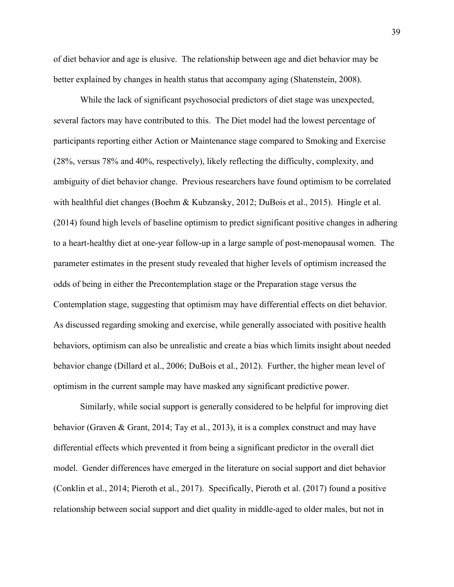of diet behavior and age is elusive. The relationship between age and diet behavior may be better explained by changes in health status that accompany aging (Shatenstein, 2008).

While the lack of significant psychosocial predictors of diet stage was unexpected, several factors may have contributed to this. The Diet model had the lowest percentage of participants reporting either Action or Maintenance stage compared to Smoking and Exercise (28%, versus 78% and 40%, respectively), likely reflecting the difficulty, complexity, and ambiguity of diet behavior change. Previous researchers have found optimism to be correlated with healthful diet changes (Boehm & Kubzansky, 2012; DuBois et al., 2015). Hingle et al. (2014) found high levels of baseline optimism to predict significant positive changes in adhering to a heart-healthy diet at one-year follow-up in a large sample of post-menopausal women. The parameter estimates in the present study revealed that higher levels of optimism increased the odds of being in either the Precontemplation stage or the Preparation stage versus the Contemplation stage, suggesting that optimism may have differential effects on diet behavior. As discussed regarding smoking and exercise, while generally associated with positive health behaviors, optimism can also be unrealistic and create a bias which limits insight about needed behavior change (Dillard et al., 2006; DuBois et al., 2012). Further, the higher mean level of optimism in the current sample may have masked any significant predictive power.

Similarly, while social support is generally considered to be helpful for improving diet behavior (Graven & Grant, 2014; Tay et al., 2013), it is a complex construct and may have differential effects which prevented it from being a significant predictor in the overall diet model. Gender differences have emerged in the literature on social support and diet behavior (Conklin et al., 2014; Pieroth et al., 2017). Specifically, Pieroth et al. (2017) found a positive relationship between social support and diet quality in middle-aged to older males, but not in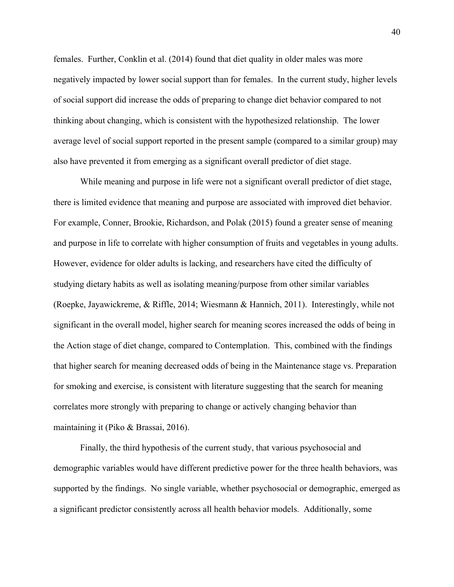females. Further, Conklin et al. (2014) found that diet quality in older males was more negatively impacted by lower social support than for females. In the current study, higher levels of social support did increase the odds of preparing to change diet behavior compared to not thinking about changing, which is consistent with the hypothesized relationship. The lower average level of social support reported in the present sample (compared to a similar group) may also have prevented it from emerging as a significant overall predictor of diet stage.

While meaning and purpose in life were not a significant overall predictor of diet stage, there is limited evidence that meaning and purpose are associated with improved diet behavior. For example, Conner, Brookie, Richardson, and Polak (2015) found a greater sense of meaning and purpose in life to correlate with higher consumption of fruits and vegetables in young adults. However, evidence for older adults is lacking, and researchers have cited the difficulty of studying dietary habits as well as isolating meaning/purpose from other similar variables (Roepke, Jayawickreme, & Riffle, 2014; Wiesmann & Hannich, 2011). Interestingly, while not significant in the overall model, higher search for meaning scores increased the odds of being in the Action stage of diet change, compared to Contemplation. This, combined with the findings that higher search for meaning decreased odds of being in the Maintenance stage vs. Preparation for smoking and exercise, is consistent with literature suggesting that the search for meaning correlates more strongly with preparing to change or actively changing behavior than maintaining it (Piko & Brassai, 2016).

Finally, the third hypothesis of the current study, that various psychosocial and demographic variables would have different predictive power for the three health behaviors, was supported by the findings. No single variable, whether psychosocial or demographic, emerged as a significant predictor consistently across all health behavior models. Additionally, some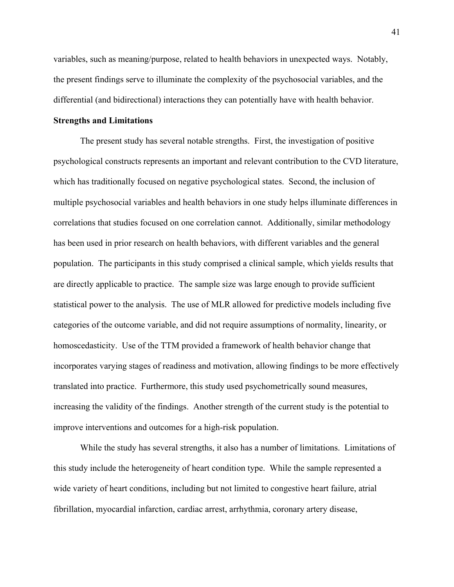variables, such as meaning/purpose, related to health behaviors in unexpected ways. Notably, the present findings serve to illuminate the complexity of the psychosocial variables, and the differential (and bidirectional) interactions they can potentially have with health behavior.

### **Strengths and Limitations**

The present study has several notable strengths. First, the investigation of positive psychological constructs represents an important and relevant contribution to the CVD literature, which has traditionally focused on negative psychological states. Second, the inclusion of multiple psychosocial variables and health behaviors in one study helps illuminate differences in correlations that studies focused on one correlation cannot. Additionally, similar methodology has been used in prior research on health behaviors, with different variables and the general population. The participants in this study comprised a clinical sample, which yields results that are directly applicable to practice. The sample size was large enough to provide sufficient statistical power to the analysis. The use of MLR allowed for predictive models including five categories of the outcome variable, and did not require assumptions of normality, linearity, or homoscedasticity. Use of the TTM provided a framework of health behavior change that incorporates varying stages of readiness and motivation, allowing findings to be more effectively translated into practice. Furthermore, this study used psychometrically sound measures, increasing the validity of the findings. Another strength of the current study is the potential to improve interventions and outcomes for a high-risk population.

While the study has several strengths, it also has a number of limitations. Limitations of this study include the heterogeneity of heart condition type. While the sample represented a wide variety of heart conditions, including but not limited to congestive heart failure, atrial fibrillation, myocardial infarction, cardiac arrest, arrhythmia, coronary artery disease,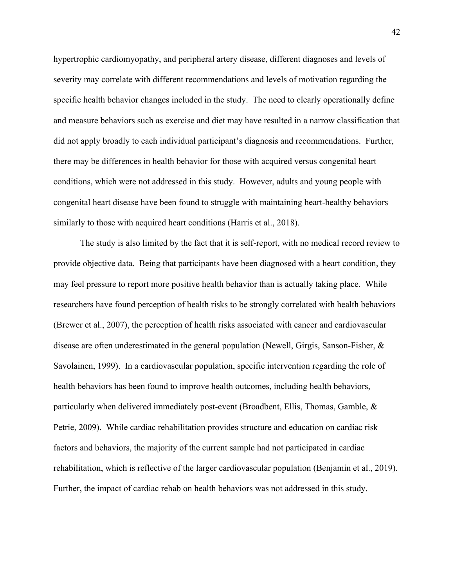hypertrophic cardiomyopathy, and peripheral artery disease, different diagnoses and levels of severity may correlate with different recommendations and levels of motivation regarding the specific health behavior changes included in the study. The need to clearly operationally define and measure behaviors such as exercise and diet may have resulted in a narrow classification that did not apply broadly to each individual participant's diagnosis and recommendations. Further, there may be differences in health behavior for those with acquired versus congenital heart conditions, which were not addressed in this study. However, adults and young people with congenital heart disease have been found to struggle with maintaining heart-healthy behaviors similarly to those with acquired heart conditions (Harris et al., 2018).

The study is also limited by the fact that it is self-report, with no medical record review to provide objective data. Being that participants have been diagnosed with a heart condition, they may feel pressure to report more positive health behavior than is actually taking place. While researchers have found perception of health risks to be strongly correlated with health behaviors (Brewer et al., 2007), the perception of health risks associated with cancer and cardiovascular disease are often underestimated in the general population (Newell, Girgis, Sanson-Fisher, & Savolainen, 1999). In a cardiovascular population, specific intervention regarding the role of health behaviors has been found to improve health outcomes, including health behaviors, particularly when delivered immediately post-event (Broadbent, Ellis, Thomas, Gamble, & Petrie, 2009). While cardiac rehabilitation provides structure and education on cardiac risk factors and behaviors, the majority of the current sample had not participated in cardiac rehabilitation, which is reflective of the larger cardiovascular population (Benjamin et al., 2019). Further, the impact of cardiac rehab on health behaviors was not addressed in this study.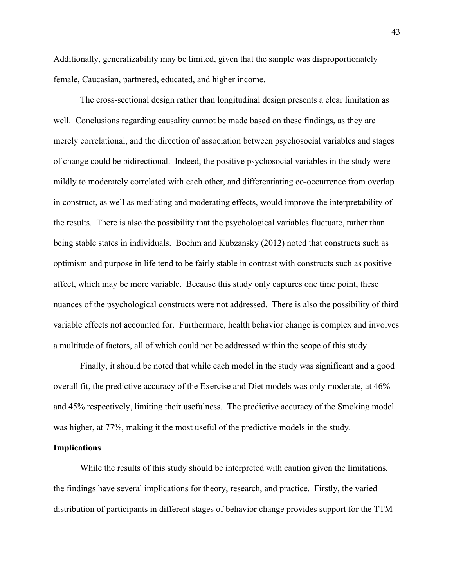Additionally, generalizability may be limited, given that the sample was disproportionately female, Caucasian, partnered, educated, and higher income.

The cross-sectional design rather than longitudinal design presents a clear limitation as well. Conclusions regarding causality cannot be made based on these findings, as they are merely correlational, and the direction of association between psychosocial variables and stages of change could be bidirectional. Indeed, the positive psychosocial variables in the study were mildly to moderately correlated with each other, and differentiating co-occurrence from overlap in construct, as well as mediating and moderating effects, would improve the interpretability of the results. There is also the possibility that the psychological variables fluctuate, rather than being stable states in individuals. Boehm and Kubzansky (2012) noted that constructs such as optimism and purpose in life tend to be fairly stable in contrast with constructs such as positive affect, which may be more variable. Because this study only captures one time point, these nuances of the psychological constructs were not addressed. There is also the possibility of third variable effects not accounted for. Furthermore, health behavior change is complex and involves a multitude of factors, all of which could not be addressed within the scope of this study.

Finally, it should be noted that while each model in the study was significant and a good overall fit, the predictive accuracy of the Exercise and Diet models was only moderate, at 46% and 45% respectively, limiting their usefulness. The predictive accuracy of the Smoking model was higher, at 77%, making it the most useful of the predictive models in the study.

### **Implications**

While the results of this study should be interpreted with caution given the limitations, the findings have several implications for theory, research, and practice. Firstly, the varied distribution of participants in different stages of behavior change provides support for the TTM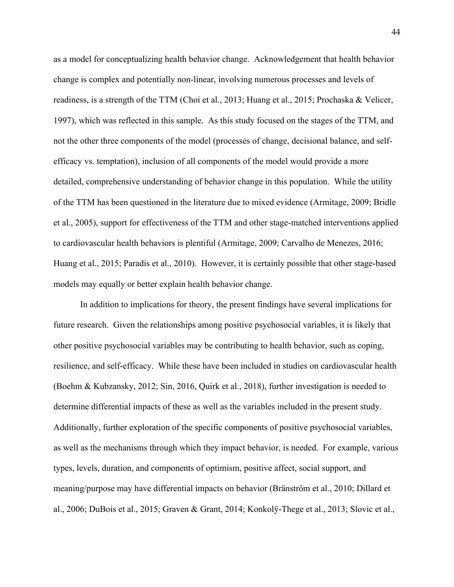as a model for conceptualizing health behavior change. Acknowledgement that health behavior change is complex and potentially non-linear, involving numerous processes and levels of readiness, is a strength of the TTM (Choi et al., 2013; Huang et al., 2015; Prochaska & Velicer, 1997), which was reflected in this sample. As this study focused on the stages of the TTM, and not the other three components of the model (processes of change, decisional balance, and selfefficacy vs. temptation), inclusion of all components of the model would provide a more detailed, comprehensive understanding of behavior change in this population. While the utility of the TTM has been questioned in the literature due to mixed evidence (Armitage, 2009; Bridle et al., 2005), support for effectiveness of the TTM and other stage-matched interventions applied to cardiovascular health behaviors is plentiful (Armitage, 2009; Carvalho de Menezes, 2016; Huang et al., 2015; Paradis et al., 2010). However, it is certainly possible that other stage-based models may equally or better explain health behavior change.

In addition to implications for theory, the present findings have several implications for future research. Given the relationships among positive psychosocial variables, it is likely that other positive psychosocial variables may be contributing to health behavior, such as coping, resilience, and self-efficacy. While these have been included in studies on cardiovascular health (Boehm & Kubzansky, 2012; Sin, 2016, Quirk et al., 2018), further investigation is needed to determine differential impacts of these as well as the variables included in the present study. Additionally, further exploration of the specific components of positive psychosocial variables, as well as the mechanisms through which they impact behavior, is needed. For example, various types, levels, duration, and components of optimism, positive affect, social support, and meaning/purpose may have differential impacts on behavior (Bränström et al., 2010; Dillard et al., 2006; DuBois et al., 2015; Graven & Grant, 2014; Konkolÿ-Thege et al., 2013; Slovic et al.,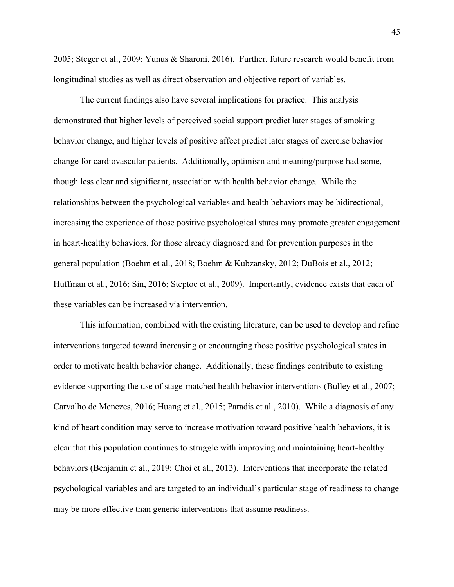2005; Steger et al., 2009; Yunus & Sharoni, 2016). Further, future research would benefit from longitudinal studies as well as direct observation and objective report of variables.

The current findings also have several implications for practice. This analysis demonstrated that higher levels of perceived social support predict later stages of smoking behavior change, and higher levels of positive affect predict later stages of exercise behavior change for cardiovascular patients. Additionally, optimism and meaning/purpose had some, though less clear and significant, association with health behavior change. While the relationships between the psychological variables and health behaviors may be bidirectional, increasing the experience of those positive psychological states may promote greater engagement in heart-healthy behaviors, for those already diagnosed and for prevention purposes in the general population (Boehm et al., 2018; Boehm & Kubzansky, 2012; DuBois et al., 2012; Huffman et al., 2016; Sin, 2016; Steptoe et al., 2009). Importantly, evidence exists that each of these variables can be increased via intervention.

This information, combined with the existing literature, can be used to develop and refine interventions targeted toward increasing or encouraging those positive psychological states in order to motivate health behavior change. Additionally, these findings contribute to existing evidence supporting the use of stage-matched health behavior interventions (Bulley et al., 2007; Carvalho de Menezes, 2016; Huang et al., 2015; Paradis et al., 2010). While a diagnosis of any kind of heart condition may serve to increase motivation toward positive health behaviors, it is clear that this population continues to struggle with improving and maintaining heart-healthy behaviors (Benjamin et al., 2019; Choi et al., 2013). Interventions that incorporate the related psychological variables and are targeted to an individual's particular stage of readiness to change may be more effective than generic interventions that assume readiness.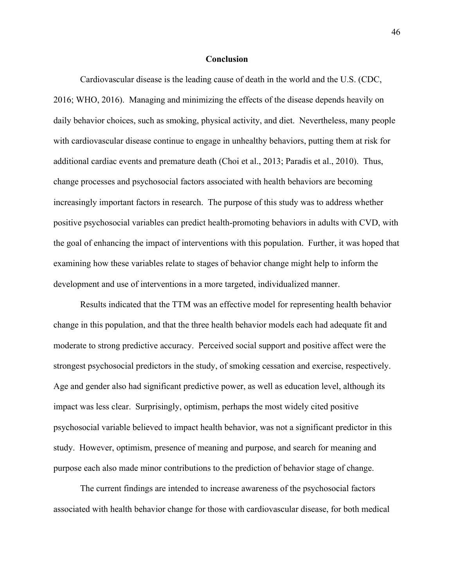### **Conclusion**

Cardiovascular disease is the leading cause of death in the world and the U.S. (CDC, 2016; WHO, 2016). Managing and minimizing the effects of the disease depends heavily on daily behavior choices, such as smoking, physical activity, and diet. Nevertheless, many people with cardiovascular disease continue to engage in unhealthy behaviors, putting them at risk for additional cardiac events and premature death (Choi et al., 2013; Paradis et al., 2010). Thus, change processes and psychosocial factors associated with health behaviors are becoming increasingly important factors in research. The purpose of this study was to address whether positive psychosocial variables can predict health-promoting behaviors in adults with CVD, with the goal of enhancing the impact of interventions with this population. Further, it was hoped that examining how these variables relate to stages of behavior change might help to inform the development and use of interventions in a more targeted, individualized manner.

Results indicated that the TTM was an effective model for representing health behavior change in this population, and that the three health behavior models each had adequate fit and moderate to strong predictive accuracy. Perceived social support and positive affect were the strongest psychosocial predictors in the study, of smoking cessation and exercise, respectively. Age and gender also had significant predictive power, as well as education level, although its impact was less clear. Surprisingly, optimism, perhaps the most widely cited positive psychosocial variable believed to impact health behavior, was not a significant predictor in this study. However, optimism, presence of meaning and purpose, and search for meaning and purpose each also made minor contributions to the prediction of behavior stage of change.

The current findings are intended to increase awareness of the psychosocial factors associated with health behavior change for those with cardiovascular disease, for both medical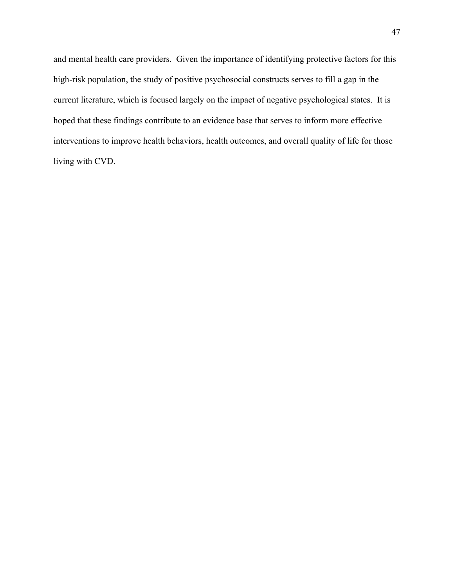and mental health care providers. Given the importance of identifying protective factors for this high-risk population, the study of positive psychosocial constructs serves to fill a gap in the current literature, which is focused largely on the impact of negative psychological states. It is hoped that these findings contribute to an evidence base that serves to inform more effective interventions to improve health behaviors, health outcomes, and overall quality of life for those living with CVD.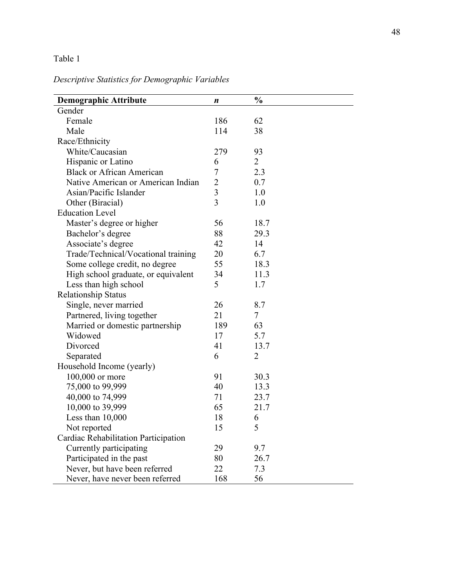# *Descriptive Statistics for Demographic Variables*

| <b>Demographic Attribute</b>                           | n              | $\frac{0}{0}$  |
|--------------------------------------------------------|----------------|----------------|
| Gender                                                 |                |                |
| Female                                                 | 186            | 62             |
| Male                                                   | 114            | 38             |
| Race/Ethnicity                                         |                |                |
| White/Caucasian                                        | 279            | 93             |
|                                                        | 6              | $\overline{2}$ |
| Hispanic or Latino<br><b>Black or African American</b> | $\overline{7}$ | 2.3            |
| Native American or American Indian                     | $\overline{2}$ | 0.7            |
| Asian/Pacific Islander                                 | 3              |                |
|                                                        | $\overline{3}$ | 1.0            |
| Other (Biracial)                                       |                | 1.0            |
| <b>Education Level</b>                                 |                |                |
| Master's degree or higher                              | 56             | 18.7           |
| Bachelor's degree                                      | 88             | 29.3           |
| Associate's degree                                     | 42             | 14             |
| Trade/Technical/Vocational training                    | 20             | 6.7            |
| Some college credit, no degree                         | 55             | 18.3           |
| High school graduate, or equivalent                    | 34             | 11.3           |
| Less than high school                                  | 5              | 1.7            |
| <b>Relationship Status</b>                             |                |                |
| Single, never married                                  | 26             | 8.7            |
| Partnered, living together                             | 21             | 7              |
| Married or domestic partnership                        | 189            | 63             |
| Widowed                                                | 17             | 5.7            |
| Divorced                                               | 41             | 13.7           |
| Separated                                              | 6              | 2              |
| Household Income (yearly)                              |                |                |
| 100,000 or more                                        | 91             | 30.3           |
| 75,000 to 99,999                                       | 40             | 13.3           |
| 40,000 to 74,999                                       | 71             | 23.7           |
| 10,000 to 39,999                                       | 65             | 21.7           |
| Less than 10,000                                       | 18             | 6              |
| Not reported                                           | 15             | 5              |
| Cardiac Rehabilitation Participation                   |                |                |
| Currently participating                                | 29             | 9.7            |
| Participated in the past                               | 80             | 26.7           |
| Never, but have been referred                          | 22             | 7.3            |
| Never, have never been referred                        | 168            | 56             |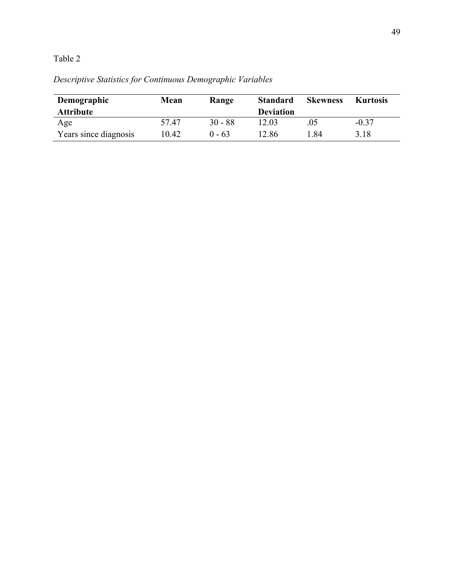# *Descriptive Statistics for Continuous Demographic Variables*

| Demographic           | Mean  | Range     | <b>Standard</b>  | <b>Skewness</b> | <b>Kurtosis</b> |
|-----------------------|-------|-----------|------------------|-----------------|-----------------|
| <b>Attribute</b>      |       |           | <b>Deviation</b> |                 |                 |
| Age                   | 57.47 | $30 - 88$ | 12.03            | .05             | $-0.37$         |
| Years since diagnosis | 10.42 | $0 - 63$  | 12.86            | . . 84          | 3.18            |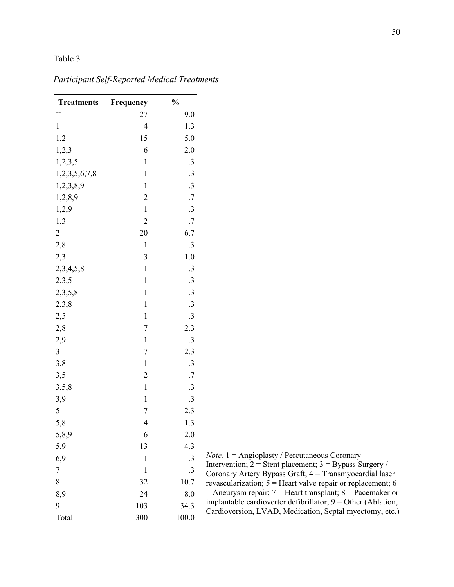| <b>Treatments</b> | Frequency                | $\frac{0}{0}$ |
|-------------------|--------------------------|---------------|
|                   | 27                       | 9.0           |
| $\mathbf{1}$      | $\overline{\mathcal{A}}$ | 1.3           |
| 1,2               | 15                       | 5.0           |
| 1,2,3             | 6                        | 2.0           |
| 1,2,3,5           | $\mathbf{1}$             | $\cdot$ 3     |
| 1,2,3,5,6,7,8     | $\mathbf{1}$             | .3            |
| 1,2,3,8,9         | $\mathbf{1}$             | .3            |
| 1,2,8,9           | $\overline{c}$           | .7            |
| 1,2,9             | $\mathbf{1}$             | .3            |
| 1,3               | $\overline{c}$           | .7            |
| $\overline{c}$    | 20                       | 6.7           |
| 2,8               | $\mathbf{1}$             | .3            |
| 2,3               | 3                        | 1.0           |
| 2,3,4,5,8         | $\mathbf{1}$             | $\cdot$ 3     |
| 2,3,5             | $\mathbf{1}$             | .3            |
| 2,3,5,8           | $\mathbf{1}$             | .3            |
| 2,3,8             | $\mathbf{1}$             | .3            |
| 2,5               | $\mathbf{1}$             | $\cdot$ 3     |
| 2,8               | $\overline{7}$           | 2.3           |
| 2,9               | $\mathbf{1}$             | .3            |
| 3                 | 7                        | 2.3           |
| 3,8               | $\mathbf{1}$             | $\cdot$ 3     |
| 3,5               | $\overline{c}$           | .7            |
| 3, 5, 8           | $\mathbf{1}$             | .3            |
| 3,9               | $\mathbf{1}$             | .3            |
| 5                 | 7                        | 2.3           |
| 5,8               | $\overline{4}$           | 1.3           |
| 5,8,9             | 6                        | 2.0           |
| 5,9               | 13                       | 4.3           |
| 6,9               | 1                        | .3            |
| $\overline{7}$    | 1                        | .3            |
| 8                 | 32                       | 10.7          |
| 8,9               | 24                       | 8.0           |
| 9                 | 103                      | 34.3          |
| Total             | 300                      | 100.0         |

# *Participant Self-Reported Medical Treatments*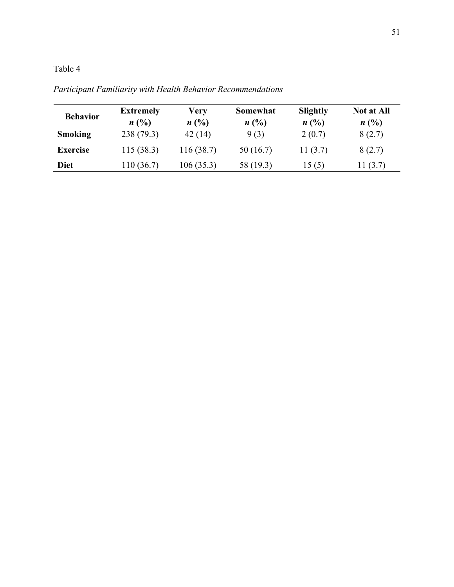| <b>Behavior</b> | <b>Extremely</b> | Very           | Somewhat  | Slightly   | <b>Not at All</b> |
|-----------------|------------------|----------------|-----------|------------|-------------------|
|                 | n(%)             | $n(^{0}/_{0})$ | n(%)      | n(%)       | n(%)              |
| <b>Smoking</b>  | 238(79.3)        | 42(14)         | 9(3)      | 2(0.7)     | 8(2.7)            |
| <b>Exercise</b> | 115(38.3)        | 116(38.7)      | 50(16.7)  | 11 $(3.7)$ | 8(2.7)            |
| <b>Diet</b>     | 110 (36.7)       | 106(35.3)      | 58 (19.3) | 15(5)      | 11 $(3.7)$        |

*Participant Familiarity with Health Behavior Recommendations*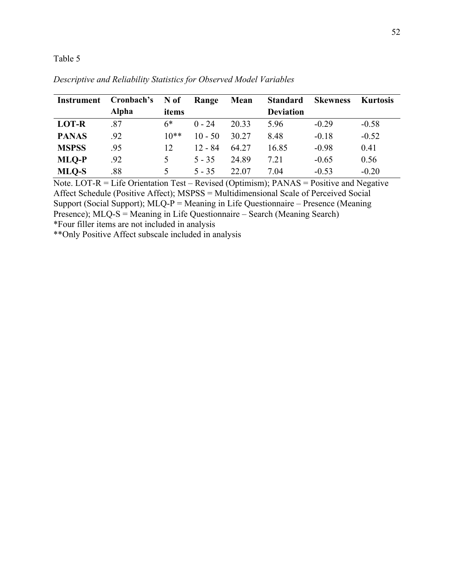| Instrument   | Cronbach's   | N of   | Range     | Mean  | <b>Standard</b>  | <b>Skewness</b> | <b>Kurtosis</b> |
|--------------|--------------|--------|-----------|-------|------------------|-----------------|-----------------|
|              | <b>Alpha</b> | items  |           |       | <b>Deviation</b> |                 |                 |
| <b>LOT-R</b> | .87          | $6*$   | $0 - 24$  | 20.33 | 5.96             | $-0.29$         | $-0.58$         |
| <b>PANAS</b> | .92          | $10**$ | $10 - 50$ | 30.27 | 8.48             | $-0.18$         | $-0.52$         |
| <b>MSPSS</b> | .95          | 12     | $12 - 84$ | 64.27 | 16.85            | $-0.98$         | 0.41            |
| <b>MLO-P</b> | .92          | 5      | $5 - 35$  | 24.89 | 7.21             | $-0.65$         | 0.56            |
| MLO-S        | .88          | 5      | $5 - 35$  | 22.07 | 7.04             | $-0.53$         | $-0.20$         |

*Descriptive and Reliability Statistics for Observed Model Variables*

Note. LOT-R = Life Orientation Test – Revised (Optimism);  $PANAS = Positive$  and Negative Affect Schedule (Positive Affect); MSPSS = Multidimensional Scale of Perceived Social Support (Social Support);  $MLQ-P =$  Meaning in Life Questionnaire – Presence (Meaning Presence); MLQ-S = Meaning in Life Questionnaire – Search (Meaning Search)

\*Four filler items are not included in analysis

\*\*Only Positive Affect subscale included in analysis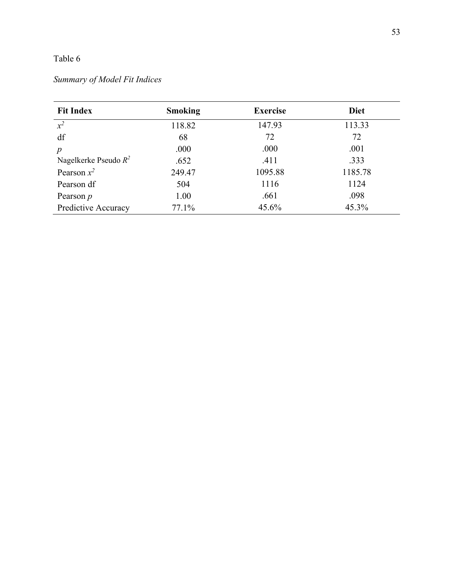# *Summary of Model Fit Indices*

| <b>Fit Index</b>        | <b>Smoking</b> | <b>Exercise</b> | <b>Diet</b> |
|-------------------------|----------------|-----------------|-------------|
| $x^2$                   | 118.82         | 147.93          | 113.33      |
| df                      | 68             | 72              | 72          |
| $\boldsymbol{p}$        | .000           | .000            | .001        |
| Nagelkerke Pseudo $R^2$ | .652           | .411            | .333        |
| Pearson $x^2$           | 249.47         | 1095.88         | 1185.78     |
| Pearson df              | 504            | 1116            | 1124        |
| Pearson $p$             | 1.00           | .661            | .098        |
| Predictive Accuracy     | 77.1%          | 45.6%           | 45.3%       |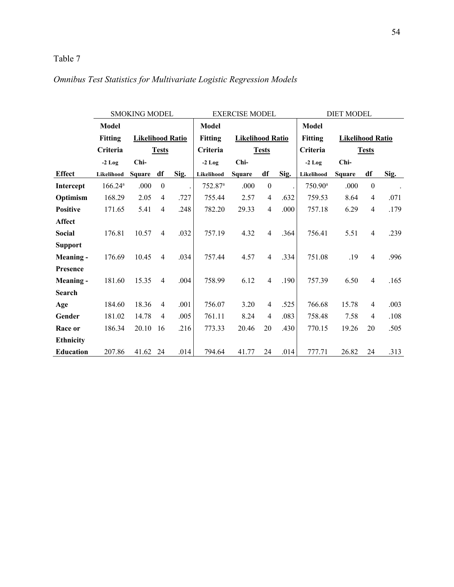# *Omnibus Test Statistics for Multivariate Logistic Regression Models*

|                  | <b>SMOKING MODEL</b> |                         |                | <b>EXERCISE MODEL</b> |                       |                         |                  | <b>DIET MODEL</b> |                  |                         |                  |      |
|------------------|----------------------|-------------------------|----------------|-----------------------|-----------------------|-------------------------|------------------|-------------------|------------------|-------------------------|------------------|------|
|                  | <b>Model</b>         |                         |                |                       | <b>Model</b>          |                         |                  |                   | <b>Model</b>     |                         |                  |      |
|                  | <b>Fitting</b>       | <b>Likelihood Ratio</b> |                |                       | <b>Fitting</b>        | <b>Likelihood Ratio</b> |                  |                   | <b>Fitting</b>   | <b>Likelihood Ratio</b> |                  |      |
|                  | Criteria             |                         | <b>Tests</b>   |                       | Criteria              |                         | <b>Tests</b>     |                   | Criteria         |                         | <b>Tests</b>     |      |
|                  | $-2$ Log             | Chi-                    |                |                       | $-2$ Log              | Chi-                    |                  |                   | $-2$ Log         | Chi-                    |                  |      |
| <b>Effect</b>    | Likelihood           | <b>Square</b>           | df             | Sig.                  | Likelihood            | <b>Square</b>           | df               | Sig.              | Likelihood       | <b>Square</b>           | df               | Sig. |
| <b>Intercept</b> | 166.24a              | .000                    | $\theta$       |                       | $752.87$ <sup>a</sup> | .000                    | $\boldsymbol{0}$ |                   | $750.90^{\rm a}$ | .000                    | $\boldsymbol{0}$ |      |
| Optimism         | 168.29               | 2.05                    | $\overline{4}$ | .727                  | 755.44                | 2.57                    | $\overline{4}$   | .632              | 759.53           | 8.64                    | 4                | .071 |
| <b>Positive</b>  | 171.65               | 5.41                    | $\overline{4}$ | .248                  | 782.20                | 29.33                   | $\overline{4}$   | .000              | 757.18           | 6.29                    | 4                | .179 |
| <b>Affect</b>    |                      |                         |                |                       |                       |                         |                  |                   |                  |                         |                  |      |
| <b>Social</b>    | 176.81               | 10.57                   | $\overline{4}$ | .032                  | 757.19                | 4.32                    | $\overline{4}$   | .364              | 756.41           | 5.51                    | $\overline{4}$   | .239 |
| <b>Support</b>   |                      |                         |                |                       |                       |                         |                  |                   |                  |                         |                  |      |
| <b>Meaning -</b> | 176.69               | 10.45                   | $\overline{4}$ | .034                  | 757.44                | 4.57                    | $\overline{4}$   | .334              | 751.08           | .19                     | 4                | .996 |
| <b>Presence</b>  |                      |                         |                |                       |                       |                         |                  |                   |                  |                         |                  |      |
| Meaning -        | 181.60               | 15.35                   | $\overline{4}$ | .004                  | 758.99                | 6.12                    | $\overline{4}$   | .190              | 757.39           | 6.50                    | 4                | .165 |
| <b>Search</b>    |                      |                         |                |                       |                       |                         |                  |                   |                  |                         |                  |      |
| Age              | 184.60               | 18.36                   | $\overline{4}$ | .001                  | 756.07                | 3.20                    | 4                | .525              | 766.68           | 15.78                   | 4                | .003 |
| Gender           | 181.02               | 14.78                   | $\overline{4}$ | .005                  | 761.11                | 8.24                    | $\overline{4}$   | .083              | 758.48           | 7.58                    | 4                | .108 |
| Race or          | 186.34               | 20.10                   | 16             | .216                  | 773.33                | 20.46                   | 20               | .430              | 770.15           | 19.26                   | 20               | .505 |
| <b>Ethnicity</b> |                      |                         |                |                       |                       |                         |                  |                   |                  |                         |                  |      |
| <b>Education</b> | 207.86               | 41.62 24                |                | .014                  | 794.64                | 41.77                   | 24               | .014              | 777.71           | 26.82                   | 24               | .313 |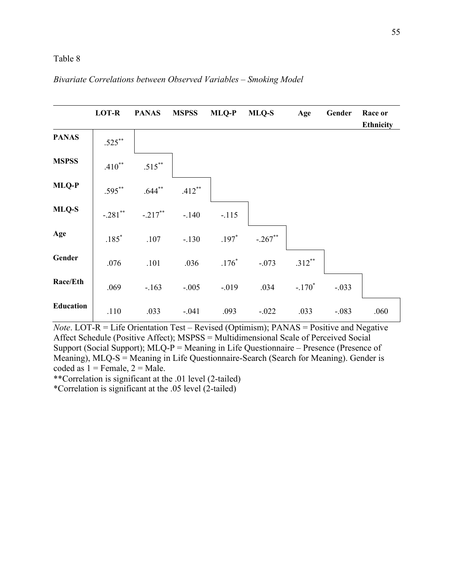### *Bivariate Correlations between Observed Variables – Smoking Model*

|                  | <b>LOT-R</b> | <b>PANAS</b> | <b>MSPSS</b> | <b>MLQ-P</b> | MLQ-S     | Age       | Gender  | Race or<br><b>Ethnicity</b> |
|------------------|--------------|--------------|--------------|--------------|-----------|-----------|---------|-----------------------------|
| <b>PANAS</b>     | $.525***$    |              |              |              |           |           |         |                             |
| <b>MSPSS</b>     | $.410**$     | $.515***$    |              |              |           |           |         |                             |
| MLQ-P            | $.595***$    | $.644***$    | $.412***$    |              |           |           |         |                             |
| MLQ-S            | $-.281$ **   | $-.217***$   | $-.140$      | $-.115$      |           |           |         |                             |
| Age              | $.185*$      | .107         | $-.130$      | $.197*$      | $-.267**$ |           |         |                             |
| Gender           | .076         | .101         | .036         | $.176*$      | $-.073$   | $.312***$ |         |                             |
| Race/Eth         | .069         | $-.163$      | $-.005$      | $-0.019$     | .034      | $-.170*$  | $-.033$ |                             |
| <b>Education</b> | .110         | .033         | $-.041$      | .093         | $-.022$   | .033      | $-.083$ | .060                        |

*Note*. LOT-R = Life Orientation Test – Revised (Optimism); PANAS = Positive and Negative Affect Schedule (Positive Affect); MSPSS = Multidimensional Scale of Perceived Social Support (Social Support);  $MLQ-P =$  Meaning in Life Questionnaire – Presence (Presence of Meaning), MLQ-S = Meaning in Life Questionnaire-Search (Search for Meaning). Gender is coded as  $1 =$  Female,  $2 =$  Male.

\*\*Correlation is significant at the .01 level (2-tailed)

\*Correlation is significant at the .05 level (2-tailed)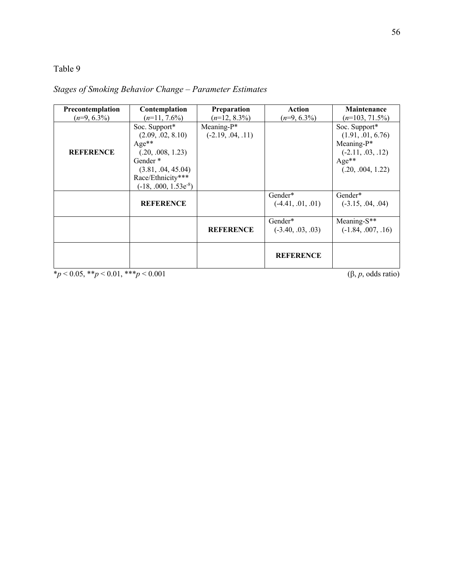## *Stages of Smoking Behavior Change – Parameter Estimates*

| Precontemplation | Contemplation             | Preparation         | Action              | <b>Maintenance</b>   |
|------------------|---------------------------|---------------------|---------------------|----------------------|
| $(n=9, 6.3\%)$   | $(n=11, 7.6\%)$           | $(n=12, 8.3\%)$     | $(n=9, 6.3\%)$      | $(n=103, 71.5\%)$    |
|                  | Soc. Support*             | Meaning- $P^*$      |                     | Soc. Support*        |
|                  | (2.09, .02, 8.10)         | $(-2.19, .04, .11)$ |                     | (1.91, .01, 6.76)    |
|                  | $Age**$                   |                     |                     | Meaning- $P^*$       |
| <b>REFERENCE</b> | (.20, .008, 1.23)         |                     |                     | $(-2.11, .03, .12)$  |
|                  | Gender <sup>*</sup>       |                     |                     | $Age**$              |
|                  | (3.81, .04, 45.04)        |                     |                     | (.20, .004, 1.22)    |
|                  | Race/Ethnicity***         |                     |                     |                      |
|                  | $(-18, .000, 1.53e^{-8})$ |                     |                     |                      |
|                  |                           |                     | Gender*             | Gender*              |
|                  | <b>REFERENCE</b>          |                     | $(-4.41, .01, .01)$ | $(-3.15, .04, .04)$  |
|                  |                           |                     |                     |                      |
|                  |                           |                     | Gender*             | Meaning-S**          |
|                  |                           | <b>REFERENCE</b>    | $(-3.40, .03, .03)$ | $(-1.84, .007, .16)$ |
|                  |                           |                     |                     |                      |
|                  |                           |                     |                     |                      |
|                  |                           |                     | <b>REFERENCE</b>    |                      |
|                  |                           |                     |                     |                      |

 $*_{p}$  < 0.05, \*\**p* < 0.01, \*\*\**p* < 0.001 (6, *p*, odds ratio)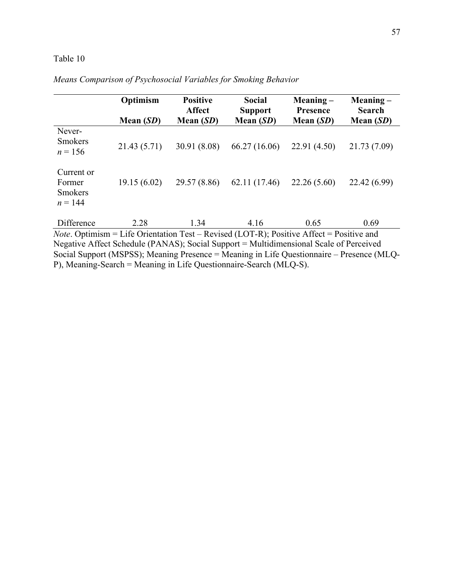|                                                     | Optimism     | <b>Positive</b><br><b>Affect</b> | <b>Social</b><br><b>Support</b>                                                                           | $Meaning -$<br>Presence | $Meaning -$<br><b>Search</b> |
|-----------------------------------------------------|--------------|----------------------------------|-----------------------------------------------------------------------------------------------------------|-------------------------|------------------------------|
| Never-                                              | Mean $(SD)$  | Mean $(SD)$                      | Mean $(SD)$                                                                                               | Mean $(SD)$             | Mean $(SD)$                  |
| <b>Smokers</b><br>$n = 156$                         | 21.43 (5.71) | 30.91 (8.08)                     | 66.27 (16.06)                                                                                             | 22.91(4.50)             | 21.73 (7.09)                 |
| Current or<br>Former<br><b>Smokers</b><br>$n = 144$ | 19.15(6.02)  | 29.57 (8.86)                     | 62.11 (17.46)                                                                                             | 22.26(5.60)             | 22.42 (6.99)                 |
| Difference                                          | 2.28         | 1.34                             | 4.16<br>$Note$ Optimism = Life Orientation Test – Revised (LOT-R): Positive $\Delta$ ffect = Positive and | 0.65                    | 0.69                         |

*Means Comparison of Psychosocial Variables for Smoking Behavior*

*Note*. Optimism = Life Orientation Test – Revised (LOT-R); Positive Affect = Positive and Negative Affect Schedule (PANAS); Social Support = Multidimensional Scale of Perceived Social Support (MSPSS); Meaning Presence = Meaning in Life Questionnaire – Presence (MLQ-P), Meaning-Search = Meaning in Life Questionnaire-Search (MLQ-S).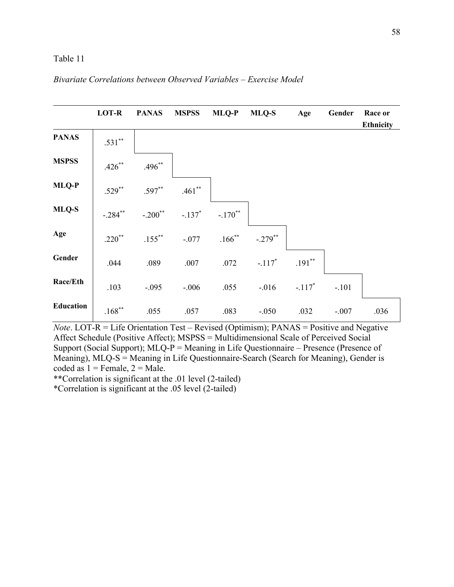### *Bivariate Correlations between Observed Variables – Exercise Model*



*Note*. LOT-R = Life Orientation Test – Revised (Optimism); PANAS = Positive and Negative Affect Schedule (Positive Affect); MSPSS = Multidimensional Scale of Perceived Social Support (Social Support); MLQ-P = Meaning in Life Questionnaire – Presence (Presence of Meaning), MLQ-S = Meaning in Life Questionnaire-Search (Search for Meaning), Gender is coded as  $1 =$  Female,  $2 =$  Male.

\*\*Correlation is significant at the .01 level (2-tailed)

\*Correlation is significant at the .05 level (2-tailed)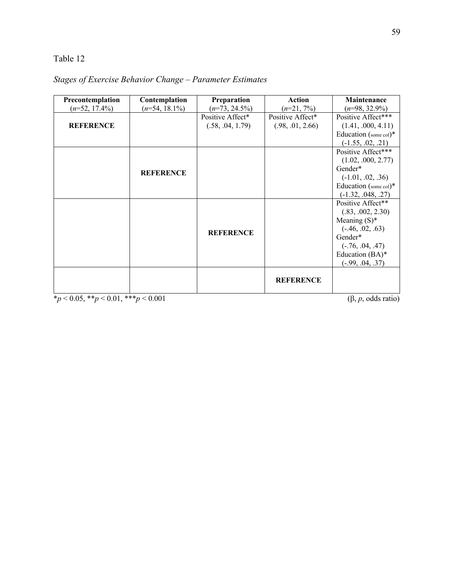| Precontemplation                       | Contemplation    | <b>Preparation</b> | <b>Action</b>    | <b>Maintenance</b>              |
|----------------------------------------|------------------|--------------------|------------------|---------------------------------|
| $(n=52, 17.4\%)$                       | $(n=54, 18.1\%)$ | $(n=73, 24.5\%)$   | $(n=21, 7\%)$    | $(n=98, 32.9\%)$                |
|                                        |                  | Positive Affect*   | Positive Affect* | Positive Affect***              |
| <b>REFERENCE</b>                       |                  | (.58, .04, 1.79)   | (.98, .01, 2.66) | (1.41, .000, 4.11)              |
|                                        |                  |                    |                  | Education (some col)*           |
|                                        |                  |                    |                  | $(-1.55, .02, .21)$             |
|                                        |                  |                    |                  | Positive Affect***              |
|                                        |                  |                    |                  | (1.02, .000, 2.77)              |
|                                        | <b>REFERENCE</b> |                    |                  | Gender*                         |
|                                        |                  |                    |                  | $(-1.01, .02, .36)$             |
|                                        |                  |                    |                  | Education (some col)*           |
|                                        |                  |                    |                  | $(-1.32, .048, .27)$            |
|                                        |                  |                    |                  | Positive Affect**               |
|                                        |                  |                    |                  | (.83, .002, 2.30)               |
|                                        |                  |                    |                  | Meaning $(S)^*$                 |
|                                        |                  | <b>REFERENCE</b>   |                  | $(-.46, .02, .63)$              |
|                                        |                  |                    |                  | Gender*                         |
|                                        |                  |                    |                  | $(-.76, .04, .47)$              |
|                                        |                  |                    |                  | Education (BA)*                 |
|                                        |                  |                    |                  | $(-.99, .04, .37)$              |
|                                        |                  |                    |                  |                                 |
|                                        |                  |                    | <b>REFERENCE</b> |                                 |
|                                        |                  |                    |                  |                                 |
| $*_p$ < 0.05, **p < 0.01, ***p < 0.001 |                  |                    |                  | $(\beta, p, \text{odds ratio})$ |

# *Stages of Exercise Behavior Change – Parameter Estimates*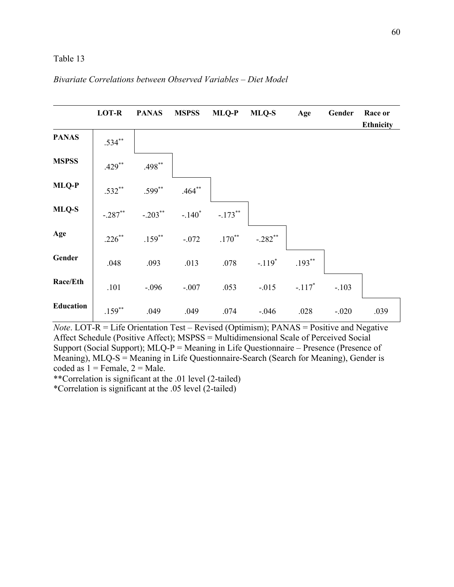### *Bivariate Correlations between Observed Variables – Diet Model*



*Note*. LOT-R = Life Orientation Test – Revised (Optimism); PANAS = Positive and Negative Affect Schedule (Positive Affect); MSPSS = Multidimensional Scale of Perceived Social Support (Social Support); MLQ-P = Meaning in Life Questionnaire – Presence (Presence of Meaning), MLQ-S = Meaning in Life Questionnaire-Search (Search for Meaning), Gender is coded as  $1 =$  Female,  $2 =$  Male.

\*\*Correlation is significant at the .01 level (2-tailed)

\*Correlation is significant at the .05 level (2-tailed)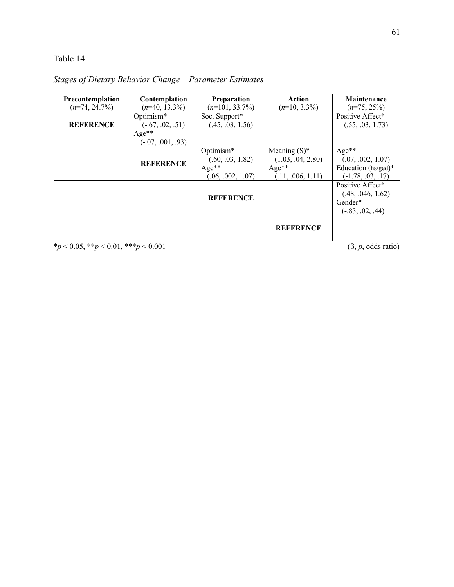| Precontemplation | Contemplation                              | Preparation                                                   | Action                                                               | <b>Maintenance</b>                                                         |
|------------------|--------------------------------------------|---------------------------------------------------------------|----------------------------------------------------------------------|----------------------------------------------------------------------------|
| $(n=74, 24.7\%)$ | $(n=40, 13.3\%)$                           | $(n=101, 33.7\%)$                                             | $(n=10, 3.3\%)$                                                      | $(n=75, 25\%)$                                                             |
| <b>REFERENCE</b> | Optimism*<br>$(-.67, .02, .51)$<br>$Age**$ | Soc. Support*<br>(.45, .03, 1.56)                             |                                                                      | Positive Affect*<br>(.55, .03, 1.73)                                       |
|                  | $(-.07, .001, .93)$                        |                                                               |                                                                      |                                                                            |
|                  | <b>REFERENCE</b>                           | Optimism*<br>(.60, .03, 1.82)<br>$Age**$<br>(.06, .002, 1.07) | Meaning $(S)^*$<br>(1.03, .04, 2.80)<br>$Age**$<br>(.11, .006, 1.11) | $Age**$<br>(.07, .002, 1.07)<br>Education (hs/ged)*<br>$(-1.78, .03, .17)$ |
|                  |                                            | <b>REFERENCE</b>                                              |                                                                      | Positive Affect*<br>(.48, .046, 1.62)<br>Gender*<br>$(-.83, .02, .44)$     |
|                  |                                            |                                                               | <b>REFERENCE</b>                                                     |                                                                            |

*Stages of Dietary Behavior Change – Parameter Estimates*

 $*_{p}$  < 0.05, \*\**p* < 0.01, \*\*\**p* < 0.001 (6, *p*, odds ratio)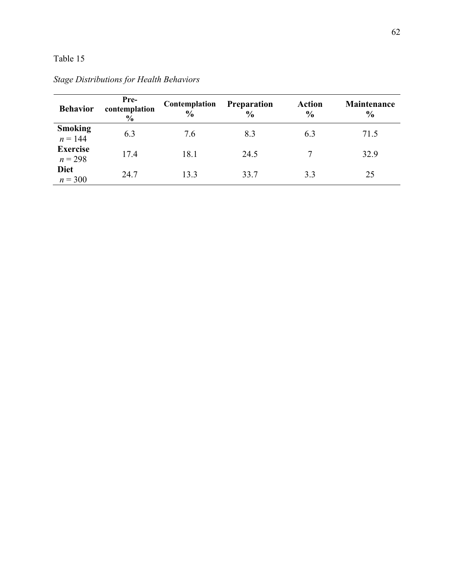| <b>Behavior</b>              | Pre-<br>contemplation<br>$\frac{6}{6}$ | Contemplation<br>$\frac{0}{0}$ | <b>Preparation</b><br>$\frac{0}{0}$ | <b>Action</b><br>$\frac{0}{0}$ | <b>Maintenance</b><br>$\frac{0}{0}$ |
|------------------------------|----------------------------------------|--------------------------------|-------------------------------------|--------------------------------|-------------------------------------|
| <b>Smoking</b><br>$n = 144$  | 6.3                                    | 7.6                            | 8.3                                 | 6.3                            | 71.5                                |
| <b>Exercise</b><br>$n = 298$ | 17.4                                   | 18.1                           | 24.5                                | $\mathcal{I}$                  | 32.9                                |
| <b>Diet</b><br>$n = 300$     | 24.7                                   | 13.3                           | 33.7                                | 3.3                            | 25                                  |

*Stage Distributions for Health Behaviors*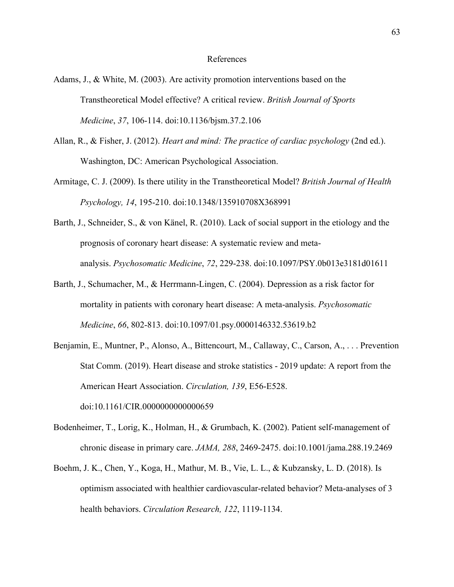### References

- Adams, J., & White, M. (2003). Are activity promotion interventions based on the Transtheoretical Model effective? A critical review. *British Journal of Sports Medicine*, *37*, 106-114. doi:10.1136/bjsm.37.2.106
- Allan, R., & Fisher, J. (2012). *Heart and mind: The practice of cardiac psychology* (2nd ed.). Washington, DC: American Psychological Association.
- Armitage, C. J. (2009). Is there utility in the Transtheoretical Model? *British Journal of Health Psychology, 14*, 195-210. doi:10.1348/135910708X368991
- Barth, J., Schneider, S., & von Känel, R. (2010). Lack of social support in the etiology and the prognosis of coronary heart disease: A systematic review and metaanalysis. *Psychosomatic Medicine*, *72*, 229-238. doi:10.1097/PSY.0b013e3181d01611
- Barth, J., Schumacher, M., & Herrmann-Lingen, C. (2004). Depression as a risk factor for mortality in patients with coronary heart disease: A meta-analysis. *Psychosomatic Medicine*, *66*, 802-813. doi:10.1097/01.psy.0000146332.53619.b2
- Benjamin, E., Muntner, P., Alonso, A., Bittencourt, M., Callaway, C., Carson, A., . . . Prevention Stat Comm. (2019). Heart disease and stroke statistics - 2019 update: A report from the American Heart Association. *Circulation, 139*, E56-E528. doi:10.1161/CIR.0000000000000659
- Bodenheimer, T., Lorig, K., Holman, H., & Grumbach, K. (2002). Patient self-management of chronic disease in primary care. *JAMA, 288*, 2469-2475. doi:10.1001/jama.288.19.2469
- Boehm, J. K., Chen, Y., Koga, H., Mathur, M. B., Vie, L. L., & Kubzansky, L. D. (2018). Is optimism associated with healthier cardiovascular-related behavior? Meta-analyses of 3 health behaviors. *Circulation Research, 122*, 1119-1134.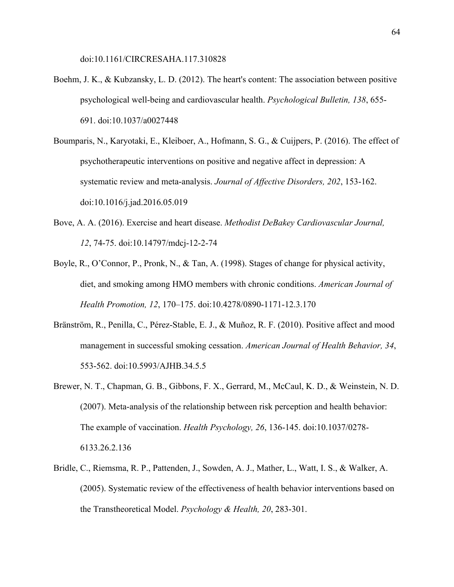doi:10.1161/CIRCRESAHA.117.310828

- Boehm, J. K., & Kubzansky, L. D. (2012). The heart's content: The association between positive psychological well-being and cardiovascular health. *Psychological Bulletin, 138*, 655- 691. doi:10.1037/a0027448
- Boumparis, N., Karyotaki, E., Kleiboer, A., Hofmann, S. G., & Cuijpers, P. (2016). The effect of psychotherapeutic interventions on positive and negative affect in depression: A systematic review and meta-analysis. *Journal of Affective Disorders, 202*, 153-162. doi:10.1016/j.jad.2016.05.019
- Bove, A. A. (2016). Exercise and heart disease. *Methodist DeBakey Cardiovascular Journal, 12*, 74-75. doi:10.14797/mdcj-12-2-74
- Boyle, R., O'Connor, P., Pronk, N., & Tan, A. (1998). Stages of change for physical activity, diet, and smoking among HMO members with chronic conditions. *American Journal of Health Promotion, 12*, 170–175. doi:10.4278/0890-1171-12.3.170
- Bränström, R., Penilla, C., Pérez-Stable, E. J., & Muñoz, R. F. (2010). Positive affect and mood management in successful smoking cessation. *American Journal of Health Behavior, 34*, 553-562. doi:10.5993/AJHB.34.5.5
- Brewer, N. T., Chapman, G. B., Gibbons, F. X., Gerrard, M., McCaul, K. D., & Weinstein, N. D. (2007). Meta-analysis of the relationship between risk perception and health behavior: The example of vaccination. *Health Psychology, 26*, 136-145. doi:10.1037/0278- 6133.26.2.136
- Bridle, C., Riemsma, R. P., Pattenden, J., Sowden, A. J., Mather, L., Watt, I. S., & Walker, A. (2005). Systematic review of the effectiveness of health behavior interventions based on the Transtheoretical Model. *Psychology & Health, 20*, 283-301.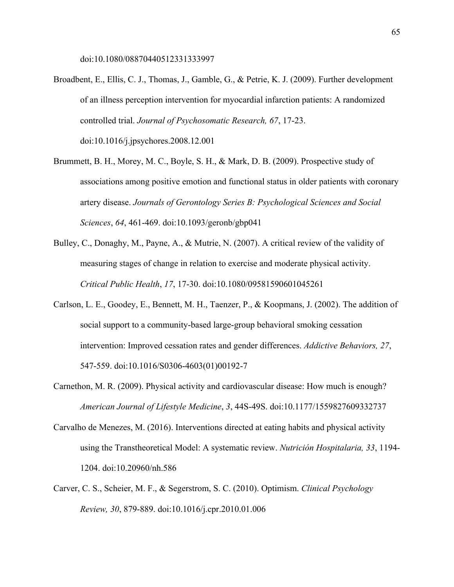doi:10.1080/08870440512331333997

- Broadbent, E., Ellis, C. J., Thomas, J., Gamble, G., & Petrie, K. J. (2009). Further development of an illness perception intervention for myocardial infarction patients: A randomized controlled trial. *Journal of Psychosomatic Research, 67*, 17-23. doi:10.1016/j.jpsychores.2008.12.001
- Brummett, B. H., Morey, M. C., Boyle, S. H., & Mark, D. B. (2009). Prospective study of associations among positive emotion and functional status in older patients with coronary artery disease. *Journals of Gerontology Series B: Psychological Sciences and Social Sciences*, *64*, 461-469. doi:10.1093/geronb/gbp041
- Bulley, C., Donaghy, M., Payne, A., & Mutrie, N. (2007). A critical review of the validity of measuring stages of change in relation to exercise and moderate physical activity. *Critical Public Health*, *17*, 17-30. doi:10.1080/09581590601045261
- Carlson, L. E., Goodey, E., Bennett, M. H., Taenzer, P., & Koopmans, J. (2002). The addition of social support to a community-based large-group behavioral smoking cessation intervention: Improved cessation rates and gender differences. *Addictive Behaviors, 27*, 547-559. doi:10.1016/S0306-4603(01)00192-7
- Carnethon, M. R. (2009). Physical activity and cardiovascular disease: How much is enough? *American Journal of Lifestyle Medicine*, *3*, 44S-49S. doi:10.1177/1559827609332737
- Carvalho de Menezes, M. (2016). Interventions directed at eating habits and physical activity using the Transtheoretical Model: A systematic review. *Nutrición Hospitalaria, 33*, 1194- 1204. doi:10.20960/nh.586
- Carver, C. S., Scheier, M. F., & Segerstrom, S. C. (2010). Optimism. *Clinical Psychology Review, 30*, 879-889. doi:10.1016/j.cpr.2010.01.006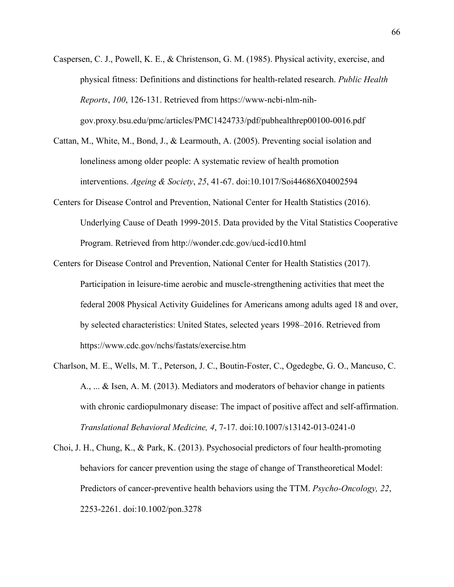- Caspersen, C. J., Powell, K. E., & Christenson, G. M. (1985). Physical activity, exercise, and physical fitness: Definitions and distinctions for health-related research. *Public Health Reports*, *100*, 126-131. Retrieved from https://www-ncbi-nlm-nihgov.proxy.bsu.edu/pmc/articles/PMC1424733/pdf/pubhealthrep00100-0016.pdf
- Cattan, M., White, M., Bond, J., & Learmouth, A. (2005). Preventing social isolation and loneliness among older people: A systematic review of health promotion interventions. *Ageing & Society*, *25*, 41-67. doi:10.1017/Soi44686X04002594
- Centers for Disease Control and Prevention, National Center for Health Statistics (2016). Underlying Cause of Death 1999-2015. Data provided by the Vital Statistics Cooperative Program. Retrieved from http://wonder.cdc.gov/ucd-icd10.html
- Centers for Disease Control and Prevention, National Center for Health Statistics (2017). Participation in leisure-time aerobic and muscle-strengthening activities that meet the federal 2008 Physical Activity Guidelines for Americans among adults aged 18 and over, by selected characteristics: United States, selected years 1998–2016. Retrieved from https://www.cdc.gov/nchs/fastats/exercise.htm
- Charlson, M. E., Wells, M. T., Peterson, J. C., Boutin-Foster, C., Ogedegbe, G. O., Mancuso, C. A., ... & Isen, A. M. (2013). Mediators and moderators of behavior change in patients with chronic cardiopulmonary disease: The impact of positive affect and self-affirmation. *Translational Behavioral Medicine, 4*, 7-17. doi:10.1007/s13142-013-0241-0
- Choi, J. H., Chung, K., & Park, K. (2013). Psychosocial predictors of four health-promoting behaviors for cancer prevention using the stage of change of Transtheoretical Model: Predictors of cancer-preventive health behaviors using the TTM. *Psycho-Oncology, 22*, 2253-2261. doi:10.1002/pon.3278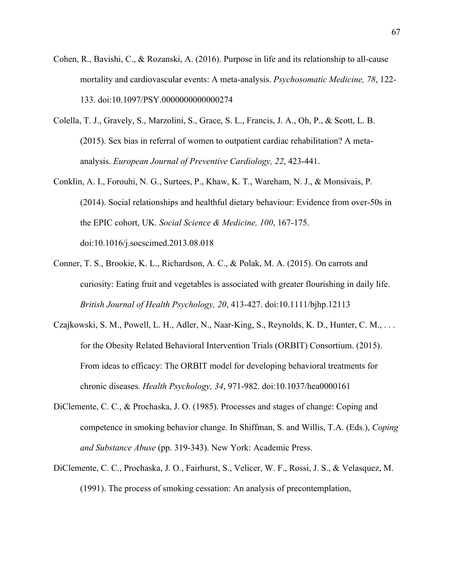- Cohen, R., Bavishi, C., & Rozanski, A. (2016). Purpose in life and its relationship to all-cause mortality and cardiovascular events: A meta-analysis. *Psychosomatic Medicine, 78*, 122- 133. doi:10.1097/PSY.0000000000000274
- Colella, T. J., Gravely, S., Marzolini, S., Grace, S. L., Francis, J. A., Oh, P., & Scott, L. B. (2015). Sex bias in referral of women to outpatient cardiac rehabilitation? A metaanalysis. *European Journal of Preventive Cardiology, 22*, 423-441.
- Conklin, A. I., Forouhi, N. G., Surtees, P., Khaw, K. T., Wareham, N. J., & Monsivais, P. (2014). Social relationships and healthful dietary behaviour: Evidence from over-50s in the EPIC cohort, UK. *Social Science & Medicine, 100*, 167-175. doi:10.1016/j.socscimed.2013.08.018
- Conner, T. S., Brookie, K. L., Richardson, A. C., & Polak, M. A. (2015). On carrots and curiosity: Eating fruit and vegetables is associated with greater flourishing in daily life. *British Journal of Health Psychology, 20*, 413-427. doi:10.1111/bjhp.12113
- Czajkowski, S. M., Powell, L. H., Adler, N., Naar-King, S., Reynolds, K. D., Hunter, C. M., . . . for the Obesity Related Behavioral Intervention Trials (ORBIT) Consortium. (2015). From ideas to efficacy: The ORBIT model for developing behavioral treatments for chronic diseases. *Health Psychology, 34*, 971-982. doi:10.1037/hea0000161
- DiClemente, C. C., & Prochaska, J. O. (1985). Processes and stages of change: Coping and competence in smoking behavior change. In Shiffman, S. and Willis, T.A. (Eds.), *Coping and Substance Abuse* (pp. 319-343). New York: Academic Press.
- DiClemente, C. C., Prochaska, J. O., Fairhurst, S., Velicer, W. F., Rossi, J. S., & Velasquez, M. (1991). The process of smoking cessation: An analysis of precontemplation,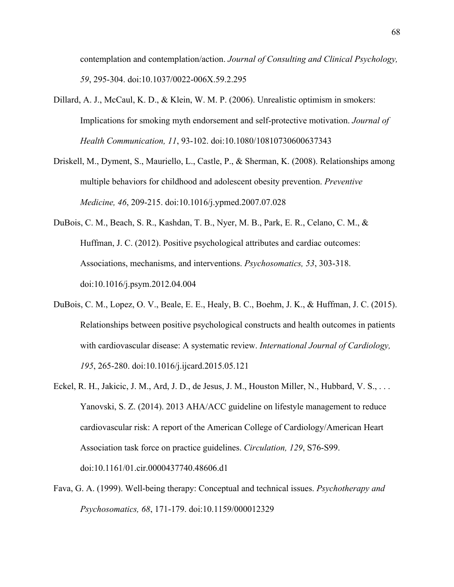contemplation and contemplation/action. *Journal of Consulting and Clinical Psychology, 59*, 295-304. doi:10.1037/0022-006X.59.2.295

- Dillard, A. J., McCaul, K. D., & Klein, W. M. P. (2006). Unrealistic optimism in smokers: Implications for smoking myth endorsement and self-protective motivation. *Journal of Health Communication, 11*, 93-102. doi:10.1080/10810730600637343
- Driskell, M., Dyment, S., Mauriello, L., Castle, P., & Sherman, K. (2008). Relationships among multiple behaviors for childhood and adolescent obesity prevention. *Preventive Medicine, 46*, 209-215. doi:10.1016/j.ypmed.2007.07.028
- DuBois, C. M., Beach, S. R., Kashdan, T. B., Nyer, M. B., Park, E. R., Celano, C. M., & Huffman, J. C. (2012). Positive psychological attributes and cardiac outcomes: Associations, mechanisms, and interventions. *Psychosomatics, 53*, 303-318. doi:10.1016/j.psym.2012.04.004
- DuBois, C. M., Lopez, O. V., Beale, E. E., Healy, B. C., Boehm, J. K., & Huffman, J. C. (2015). Relationships between positive psychological constructs and health outcomes in patients with cardiovascular disease: A systematic review. *International Journal of Cardiology, 195*, 265-280. doi:10.1016/j.ijcard.2015.05.121
- Eckel, R. H., Jakicic, J. M., Ard, J. D., de Jesus, J. M., Houston Miller, N., Hubbard, V. S., . . . Yanovski, S. Z. (2014). 2013 AHA/ACC guideline on lifestyle management to reduce cardiovascular risk: A report of the American College of Cardiology/American Heart Association task force on practice guidelines. *Circulation, 129*, S76-S99. doi:10.1161/01.cir.0000437740.48606.d1
- Fava, G. A. (1999). Well-being therapy: Conceptual and technical issues. *Psychotherapy and Psychosomatics, 68*, 171-179. doi:10.1159/000012329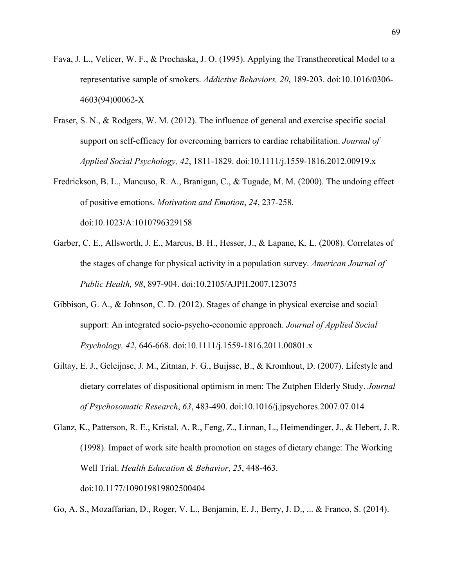- Fava, J. L., Velicer, W. F., & Prochaska, J. O. (1995). Applying the Transtheoretical Model to a representative sample of smokers. *Addictive Behaviors, 20*, 189-203. doi:10.1016/0306- 4603(94)00062-X
- Fraser, S. N., & Rodgers, W. M. (2012). The influence of general and exercise specific social support on self‐efficacy for overcoming barriers to cardiac rehabilitation. *Journal of Applied Social Psychology, 42*, 1811-1829. doi:10.1111/j.1559-1816.2012.00919.x
- Fredrickson, B. L., Mancuso, R. A., Branigan, C., & Tugade, M. M. (2000). The undoing effect of positive emotions. *Motivation and Emotion*, *24*, 237-258. doi:10.1023/A:1010796329158
- Garber, C. E., Allsworth, J. E., Marcus, B. H., Hesser, J., & Lapane, K. L. (2008). Correlates of the stages of change for physical activity in a population survey. *American Journal of Public Health, 98*, 897-904. doi:10.2105/AJPH.2007.123075
- Gibbison, G. A., & Johnson, C. D. (2012). Stages of change in physical exercise and social support: An integrated socio-psycho-economic approach. *Journal of Applied Social Psychology, 42*, 646-668. doi:10.1111/j.1559-1816.2011.00801.x
- Giltay, E. J., Geleijnse, J. M., Zitman, F. G., Buijsse, B., & Kromhout, D. (2007). Lifestyle and dietary correlates of dispositional optimism in men: The Zutphen Elderly Study. *Journal of Psychosomatic Research*, *63*, 483-490. doi:10.1016/j.jpsychores.2007.07.014
- Glanz, K., Patterson, R. E., Kristal, A. R., Feng, Z., Linnan, L., Heimendinger, J., & Hebert, J. R. (1998). Impact of work site health promotion on stages of dietary change: The Working Well Trial. *Health Education & Behavior*, *25*, 448-463. doi:10.1177/109019819802500404

Go, A. S., Mozaffarian, D., Roger, V. L., Benjamin, E. J., Berry, J. D., ... & Franco, S. (2014).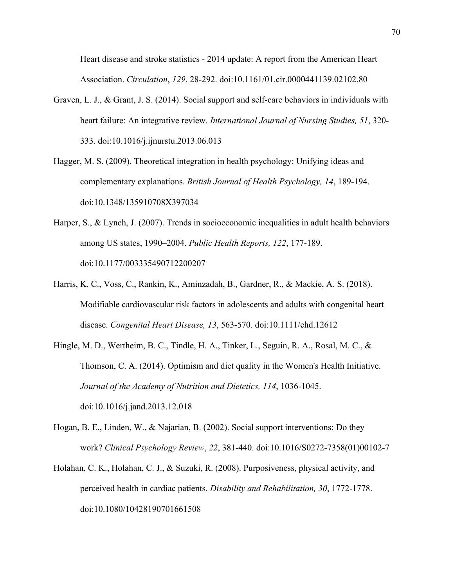Heart disease and stroke statistics - 2014 update: A report from the American Heart Association. *Circulation*, *129*, 28-292. doi:10.1161/01.cir.0000441139.02102.80

- Graven, L. J., & Grant, J. S. (2014). Social support and self-care behaviors in individuals with heart failure: An integrative review. *International Journal of Nursing Studies, 51*, 320- 333. doi:10.1016/j.ijnurstu.2013.06.013
- Hagger, M. S. (2009). Theoretical integration in health psychology: Unifying ideas and complementary explanations. *British Journal of Health Psychology, 14*, 189-194. doi:10.1348/135910708X397034
- Harper, S., & Lynch, J. (2007). Trends in socioeconomic inequalities in adult health behaviors among US states, 1990–2004. *Public Health Reports, 122*, 177-189. doi:10.1177/003335490712200207
- Harris, K. C., Voss, C., Rankin, K., Aminzadah, B., Gardner, R., & Mackie, A. S. (2018). Modifiable cardiovascular risk factors in adolescents and adults with congenital heart disease. *Congenital Heart Disease, 13*, 563-570. doi:10.1111/chd.12612
- Hingle, M. D., Wertheim, B. C., Tindle, H. A., Tinker, L., Seguin, R. A., Rosal, M. C., & Thomson, C. A. (2014). Optimism and diet quality in the Women's Health Initiative. *Journal of the Academy of Nutrition and Dietetics, 114*, 1036-1045. doi:10.1016/j.jand.2013.12.018
- Hogan, B. E., Linden, W., & Najarian, B. (2002). Social support interventions: Do they work? *Clinical Psychology Review*, *22*, 381-440. doi:10.1016/S0272-7358(01)00102-7
- Holahan, C. K., Holahan, C. J., & Suzuki, R. (2008). Purposiveness, physical activity, and perceived health in cardiac patients. *Disability and Rehabilitation, 30*, 1772-1778. doi:10.1080/10428190701661508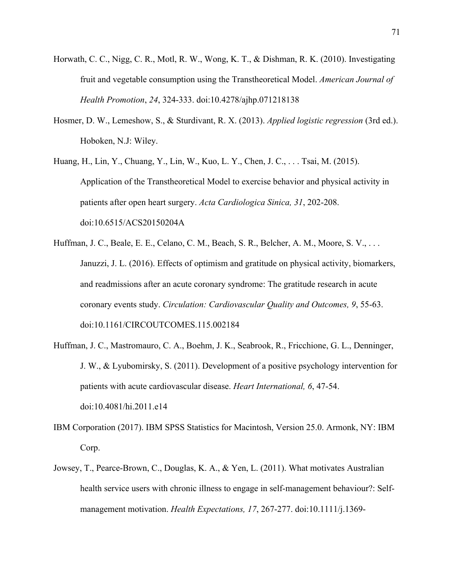- Horwath, C. C., Nigg, C. R., Motl, R. W., Wong, K. T., & Dishman, R. K. (2010). Investigating fruit and vegetable consumption using the Transtheoretical Model. *American Journal of Health Promotion*, *24*, 324-333. doi:10.4278/ajhp.071218138
- Hosmer, D. W., Lemeshow, S., & Sturdivant, R. X. (2013). *Applied logistic regression* (3rd ed.). Hoboken, N.J: Wiley.
- Huang, H., Lin, Y., Chuang, Y., Lin, W., Kuo, L. Y., Chen, J. C., . . . Tsai, M. (2015). Application of the Transtheoretical Model to exercise behavior and physical activity in patients after open heart surgery. *Acta Cardiologica Sinica, 31*, 202-208. doi:10.6515/ACS20150204A
- Huffman, J. C., Beale, E. E., Celano, C. M., Beach, S. R., Belcher, A. M., Moore, S. V., . . . Januzzi, J. L. (2016). Effects of optimism and gratitude on physical activity, biomarkers, and readmissions after an acute coronary syndrome: The gratitude research in acute coronary events study. *Circulation: Cardiovascular Quality and Outcomes, 9*, 55-63. doi:10.1161/CIRCOUTCOMES.115.002184
- Huffman, J. C., Mastromauro, C. A., Boehm, J. K., Seabrook, R., Fricchione, G. L., Denninger, J. W., & Lyubomirsky, S. (2011). Development of a positive psychology intervention for patients with acute cardiovascular disease. *Heart International, 6*, 47-54. doi:10.4081/hi.2011.e14
- IBM Corporation (2017). IBM SPSS Statistics for Macintosh, Version 25.0. Armonk, NY: IBM Corp.
- Jowsey, T., Pearce-Brown, C., Douglas, K. A., & Yen, L. (2011). What motivates Australian health service users with chronic illness to engage in self-management behaviour?: Selfmanagement motivation. *Health Expectations, 17*, 267-277. doi:10.1111/j.1369-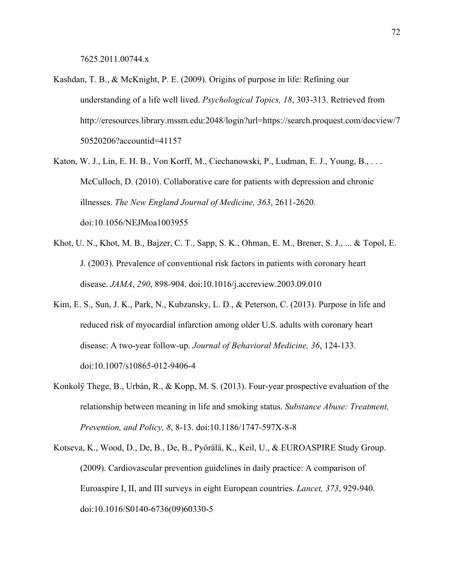- Kashdan, T. B., & McKnight, P. E. (2009). Origins of purpose in life: Refining our understanding of a life well lived. *Psychological Topics, 18*, 303-313. Retrieved from http://eresources.library.mssm.edu:2048/login?url=https://search.proquest.com/docview/7 50520206?accountid=41157
- Katon, W. J., Lin, E. H. B., Von Korff, M., Ciechanowski, P., Ludman, E. J., Young, B., . . . McCulloch, D. (2010). Collaborative care for patients with depression and chronic illnesses. *The New England Journal of Medicine, 363*, 2611-2620. doi:10.1056/NEJMoa1003955
- Khot, U. N., Khot, M. B., Bajzer, C. T., Sapp, S. K., Ohman, E. M., Brener, S. J., ... & Topol, E. J. (2003). Prevalence of conventional risk factors in patients with coronary heart disease. *JAMA*, *290*, 898-904. doi:10.1016/j.accreview.2003.09.010
- Kim, E. S., Sun, J. K., Park, N., Kubzansky, L. D., & Peterson, C. (2013). Purpose in life and reduced risk of myocardial infarction among older U.S. adults with coronary heart disease: A two-year follow-up. *Journal of Behavioral Medicine, 36*, 124-133. doi:10.1007/s10865-012-9406-4
- Konkolÿ Thege, B., Urbán, R., & Kopp, M. S. (2013). Four-year prospective evaluation of the relationship between meaning in life and smoking status. *Substance Abuse: Treatment, Prevention, and Policy, 8*, 8-13. doi:10.1186/1747-597X-8-8
- Kotseva, K., Wood, D., De, B., De, B., Pyörälä, K., Keil, U., & EUROASPIRE Study Group. (2009). Cardiovascular prevention guidelines in daily practice: A comparison of Euroaspire I, II, and III surveys in eight European countries. *Lancet, 373*, 929-940. doi:10.1016/S0140-6736(09)60330-5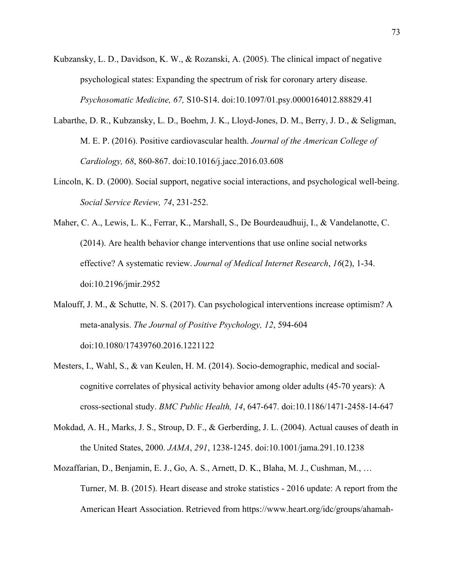- Kubzansky, L. D., Davidson, K. W., & Rozanski, A. (2005). The clinical impact of negative psychological states: Expanding the spectrum of risk for coronary artery disease. *Psychosomatic Medicine, 67,* S10-S14. doi:10.1097/01.psy.0000164012.88829.41
- Labarthe, D. R., Kubzansky, L. D., Boehm, J. K., Lloyd-Jones, D. M., Berry, J. D., & Seligman, M. E. P. (2016). Positive cardiovascular health. *Journal of the American College of Cardiology, 68*, 860-867. doi:10.1016/j.jacc.2016.03.608
- Lincoln, K. D. (2000). Social support, negative social interactions, and psychological well-being. *Social Service Review, 74*, 231-252.
- Maher, C. A., Lewis, L. K., Ferrar, K., Marshall, S., De Bourdeaudhuij, I., & Vandelanotte, C. (2014). Are health behavior change interventions that use online social networks effective? A systematic review. *Journal of Medical Internet Research*, *16*(2), 1-34. doi:10.2196/jmir.2952
- Malouff, J. M., & Schutte, N. S. (2017). Can psychological interventions increase optimism? A meta-analysis. *The Journal of Positive Psychology, 12*, 594-604 doi:10.1080/17439760.2016.1221122
- Mesters, I., Wahl, S., & van Keulen, H. M. (2014). Socio-demographic, medical and socialcognitive correlates of physical activity behavior among older adults (45-70 years): A cross-sectional study. *BMC Public Health, 14*, 647-647. doi:10.1186/1471-2458-14-647
- Mokdad, A. H., Marks, J. S., Stroup, D. F., & Gerberding, J. L. (2004). Actual causes of death in the United States, 2000. *JAMA*, *291*, 1238-1245. doi:10.1001/jama.291.10.1238
- Mozaffarian, D., Benjamin, E. J., Go, A. S., Arnett, D. K., Blaha, M. J., Cushman, M., … Turner, M. B. (2015). Heart disease and stroke statistics - 2016 update: A report from the American Heart Association. Retrieved from https://www.heart.org/idc/groups/ahamah-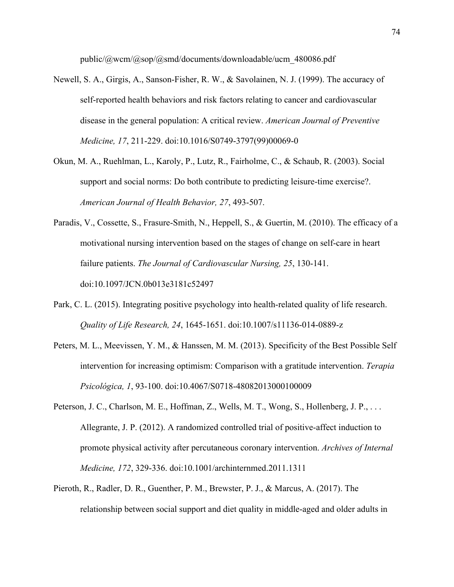public/@wcm/@sop/@smd/documents/downloadable/ucm\_480086.pdf

- Newell, S. A., Girgis, A., Sanson-Fisher, R. W., & Savolainen, N. J. (1999). The accuracy of self-reported health behaviors and risk factors relating to cancer and cardiovascular disease in the general population: A critical review. *American Journal of Preventive Medicine, 17*, 211-229. doi:10.1016/S0749-3797(99)00069-0
- Okun, M. A., Ruehlman, L., Karoly, P., Lutz, R., Fairholme, C., & Schaub, R. (2003). Social support and social norms: Do both contribute to predicting leisure-time exercise?. *American Journal of Health Behavior, 27*, 493-507.
- Paradis, V., Cossette, S., Frasure-Smith, N., Heppell, S., & Guertin, M. (2010). The efficacy of a motivational nursing intervention based on the stages of change on self-care in heart failure patients. *The Journal of Cardiovascular Nursing, 25*, 130-141. doi:10.1097/JCN.0b013e3181c52497
- Park, C. L. (2015). Integrating positive psychology into health-related quality of life research. *Quality of Life Research, 24*, 1645-1651. doi:10.1007/s11136-014-0889-z
- Peters, M. L., Meevissen, Y. M., & Hanssen, M. M. (2013). Specificity of the Best Possible Self intervention for increasing optimism: Comparison with a gratitude intervention. *Terapia Psicológica, 1*, 93-100. doi:10.4067/S0718-48082013000100009
- Peterson, J. C., Charlson, M. E., Hoffman, Z., Wells, M. T., Wong, S., Hollenberg, J. P., ... Allegrante, J. P. (2012). A randomized controlled trial of positive-affect induction to promote physical activity after percutaneous coronary intervention. *Archives of Internal Medicine, 172*, 329-336. doi:10.1001/archinternmed.2011.1311
- Pieroth, R., Radler, D. R., Guenther, P. M., Brewster, P. J., & Marcus, A. (2017). The relationship between social support and diet quality in middle-aged and older adults in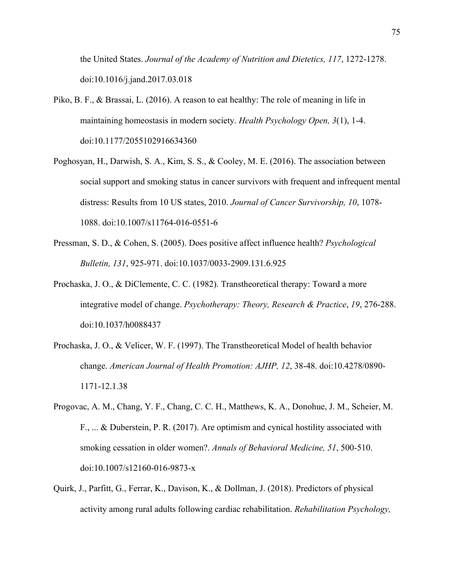the United States. *Journal of the Academy of Nutrition and Dietetics, 117*, 1272-1278. doi:10.1016/j.jand.2017.03.018

- Piko, B. F., & Brassai, L. (2016). A reason to eat healthy: The role of meaning in life in maintaining homeostasis in modern society. *Health Psychology Open, 3*(1), 1-4. doi:10.1177/2055102916634360
- Poghosyan, H., Darwish, S. A., Kim, S. S., & Cooley, M. E. (2016). The association between social support and smoking status in cancer survivors with frequent and infrequent mental distress: Results from 10 US states, 2010. *Journal of Cancer Survivorship, 10*, 1078- 1088. doi:10.1007/s11764-016-0551-6
- Pressman, S. D., & Cohen, S. (2005). Does positive affect influence health? *Psychological Bulletin, 131*, 925-971. doi:10.1037/0033-2909.131.6.925
- Prochaska, J. O., & DiClemente, C. C. (1982). Transtheoretical therapy: Toward a more integrative model of change. *Psychotherapy: Theory, Research & Practice*, *19*, 276-288. doi:10.1037/h0088437
- Prochaska, J. O., & Velicer, W. F. (1997). The Transtheoretical Model of health behavior change. *American Journal of Health Promotion: AJHP, 12*, 38-48. doi:10.4278/0890- 1171-12.1.38
- Progovac, A. M., Chang, Y. F., Chang, C. C. H., Matthews, K. A., Donohue, J. M., Scheier, M. F., ... & Duberstein, P. R. (2017). Are optimism and cynical hostility associated with smoking cessation in older women?. *Annals of Behavioral Medicine, 51*, 500-510. doi:10.1007/s12160-016-9873-x
- Quirk, J., Parfitt, G., Ferrar, K., Davison, K., & Dollman, J. (2018). Predictors of physical activity among rural adults following cardiac rehabilitation. *Rehabilitation Psychology,*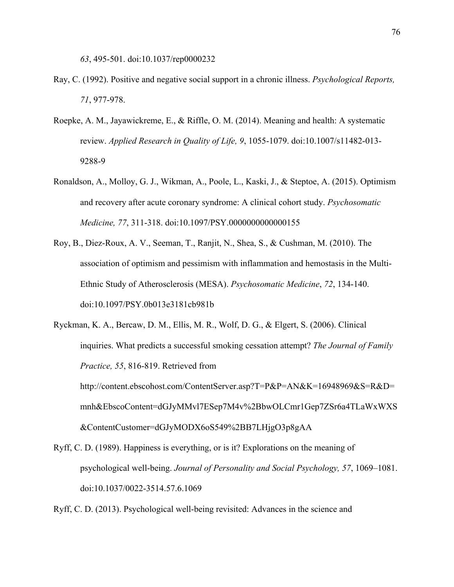*63*, 495-501. doi:10.1037/rep0000232

- Ray, C. (1992). Positive and negative social support in a chronic illness. *Psychological Reports, 71*, 977-978.
- Roepke, A. M., Jayawickreme, E., & Riffle, O. M. (2014). Meaning and health: A systematic review. *Applied Research in Quality of Life, 9*, 1055-1079. doi:10.1007/s11482-013- 9288-9
- Ronaldson, A., Molloy, G. J., Wikman, A., Poole, L., Kaski, J., & Steptoe, A. (2015). Optimism and recovery after acute coronary syndrome: A clinical cohort study. *Psychosomatic Medicine, 77*, 311-318. doi:10.1097/PSY.0000000000000155
- Roy, B., Diez-Roux, A. V., Seeman, T., Ranjit, N., Shea, S., & Cushman, M. (2010). The association of optimism and pessimism with inflammation and hemostasis in the Multi-Ethnic Study of Atherosclerosis (MESA). *Psychosomatic Medicine*, *72*, 134-140. doi:10.1097/PSY.0b013e3181cb981b
- Ryckman, K. A., Bercaw, D. M., Ellis, M. R., Wolf, D. G., & Elgert, S. (2006). Clinical inquiries. What predicts a successful smoking cessation attempt? *The Journal of Family Practice, 55*, 816-819. Retrieved from http://content.ebscohost.com/ContentServer.asp?T=P&P=AN&K=16948969&S=R&D= mnh&EbscoContent=dGJyMMvl7ESep7M4v%2BbwOLCmr1Gep7ZSr6a4TLaWxWXS &ContentCustomer=dGJyMODX6oS549%2BB7LHjgO3p8gAA
- Ryff, C. D. (1989). Happiness is everything, or is it? Explorations on the meaning of psychological well-being. *Journal of Personality and Social Psychology, 57*, 1069–1081. doi:10.1037/0022-3514.57.6.1069

Ryff, C. D. (2013). Psychological well-being revisited: Advances in the science and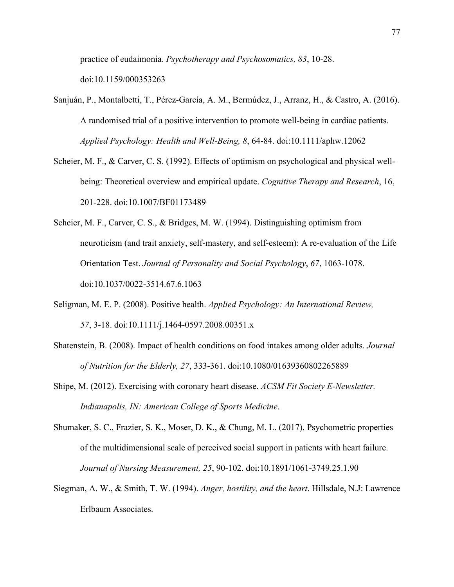practice of eudaimonia. *Psychotherapy and Psychosomatics, 83*, 10-28.

doi:10.1159/000353263

- Sanjuán, P., Montalbetti, T., Pérez‐García, A. M., Bermúdez, J., Arranz, H., & Castro, A. (2016). A randomised trial of a positive intervention to promote well‐being in cardiac patients. *Applied Psychology: Health and Well‐Being, 8*, 64-84. doi:10.1111/aphw.12062
- Scheier, M. F., & Carver, C. S. (1992). Effects of optimism on psychological and physical wellbeing: Theoretical overview and empirical update. *Cognitive Therapy and Research*, 16, 201-228. doi:10.1007/BF01173489
- Scheier, M. F., Carver, C. S., & Bridges, M. W. (1994). Distinguishing optimism from neuroticism (and trait anxiety, self-mastery, and self-esteem): A re-evaluation of the Life Orientation Test. *Journal of Personality and Social Psychology*, *67*, 1063-1078. doi:10.1037/0022-3514.67.6.1063
- Seligman, M. E. P. (2008). Positive health. *Applied Psychology: An International Review, 57*, 3-18. doi:10.1111/j.1464-0597.2008.00351.x
- Shatenstein, B. (2008). Impact of health conditions on food intakes among older adults. *Journal of Nutrition for the Elderly, 27*, 333-361. doi:10.1080/01639360802265889
- Shipe, M. (2012). Exercising with coronary heart disease. *ACSM Fit Society E-Newsletter. Indianapolis, IN: American College of Sports Medicine*.
- Shumaker, S. C., Frazier, S. K., Moser, D. K., & Chung, M. L. (2017). Psychometric properties of the multidimensional scale of perceived social support in patients with heart failure. *Journal of Nursing Measurement, 25*, 90-102. doi:10.1891/1061-3749.25.1.90
- Siegman, A. W., & Smith, T. W. (1994). *Anger, hostility, and the heart*. Hillsdale, N.J: Lawrence Erlbaum Associates.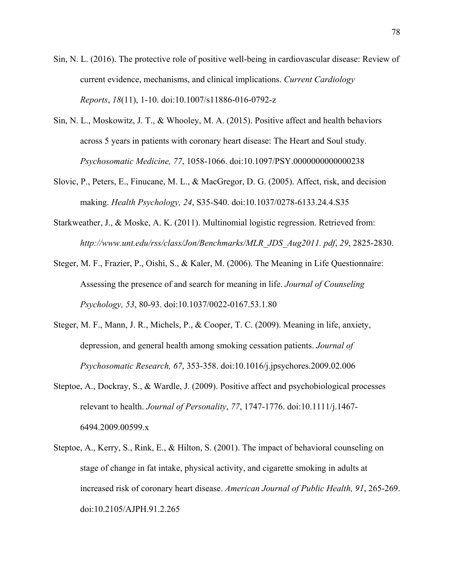- Sin, N. L. (2016). The protective role of positive well-being in cardiovascular disease: Review of current evidence, mechanisms, and clinical implications. *Current Cardiology Reports*, *18*(11), 1-10. doi:10.1007/s11886-016-0792-z
- Sin, N. L., Moskowitz, J. T., & Whooley, M. A. (2015). Positive affect and health behaviors across 5 years in patients with coronary heart disease: The Heart and Soul study. *Psychosomatic Medicine, 77*, 1058-1066. doi:10.1097/PSY.0000000000000238
- Slovic, P., Peters, E., Finucane, M. L., & MacGregor, D. G. (2005). Affect, risk, and decision making. *Health Psychology, 24*, S35-S40. doi:10.1037/0278-6133.24.4.S35
- Starkweather, J., & Moske, A. K. (2011). Multinomial logistic regression. Retrieved from: *http://www.unt.edu/rss/class/Jon/Benchmarks/MLR\_JDS\_Aug2011. pdf*, *29*, 2825-2830.
- Steger, M. F., Frazier, P., Oishi, S., & Kaler, M. (2006). The Meaning in Life Questionnaire: Assessing the presence of and search for meaning in life. *Journal of Counseling Psychology, 53*, 80-93. doi:10.1037/0022-0167.53.1.80
- Steger, M. F., Mann, J. R., Michels, P., & Cooper, T. C. (2009). Meaning in life, anxiety, depression, and general health among smoking cessation patients. *Journal of Psychosomatic Research, 67*, 353-358. doi:10.1016/j.jpsychores.2009.02.006
- Steptoe, A., Dockray, S., & Wardle, J. (2009). Positive affect and psychobiological processes relevant to health. *Journal of Personality*, *77*, 1747-1776. doi:10.1111/j.1467- 6494.2009.00599.x
- Steptoe, A., Kerry, S., Rink, E., & Hilton, S. (2001). The impact of behavioral counseling on stage of change in fat intake, physical activity, and cigarette smoking in adults at increased risk of coronary heart disease. *American Journal of Public Health, 91*, 265-269. doi:10.2105/AJPH.91.2.265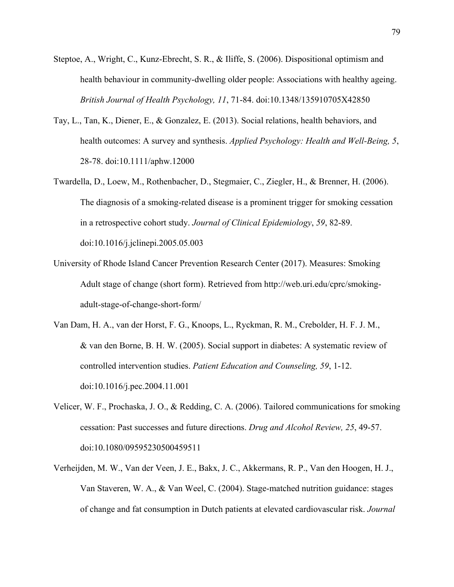- Steptoe, A., Wright, C., Kunz-Ebrecht, S. R., & Iliffe, S. (2006). Dispositional optimism and health behaviour in community-dwelling older people: Associations with healthy ageing. *British Journal of Health Psychology, 11*, 71-84. doi:10.1348/135910705X42850
- Tay, L., Tan, K., Diener, E., & Gonzalez, E. (2013). Social relations, health behaviors, and health outcomes: A survey and synthesis. *Applied Psychology: Health and Well-Being, 5*, 28-78. doi:10.1111/aphw.12000
- Twardella, D., Loew, M., Rothenbacher, D., Stegmaier, C., Ziegler, H., & Brenner, H. (2006). The diagnosis of a smoking-related disease is a prominent trigger for smoking cessation in a retrospective cohort study. *Journal of Clinical Epidemiology*, *59*, 82-89. doi:10.1016/j.jclinepi.2005.05.003
- University of Rhode Island Cancer Prevention Research Center (2017). Measures: Smoking Adult stage of change (short form). Retrieved from http://web.uri.edu/cprc/smokingadult-stage-of-change-short-form/
- Van Dam, H. A., van der Horst, F. G., Knoops, L., Ryckman, R. M., Crebolder, H. F. J. M., & van den Borne, B. H. W. (2005). Social support in diabetes: A systematic review of controlled intervention studies. *Patient Education and Counseling, 59*, 1-12. doi:10.1016/j.pec.2004.11.001
- Velicer, W. F., Prochaska, J. O., & Redding, C. A. (2006). Tailored communications for smoking cessation: Past successes and future directions. *Drug and Alcohol Review, 25*, 49-57. doi:10.1080/09595230500459511
- Verheijden, M. W., Van der Veen, J. E., Bakx, J. C., Akkermans, R. P., Van den Hoogen, H. J., Van Staveren, W. A., & Van Weel, C. (2004). Stage-matched nutrition guidance: stages of change and fat consumption in Dutch patients at elevated cardiovascular risk. *Journal*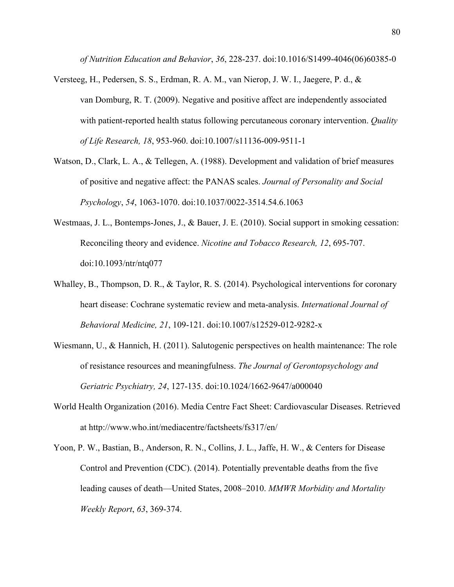*of Nutrition Education and Behavior*, *36*, 228-237. doi:10.1016/S1499-4046(06)60385-0

- Versteeg, H., Pedersen, S. S., Erdman, R. A. M., van Nierop, J. W. I., Jaegere, P. d., & van Domburg, R. T. (2009). Negative and positive affect are independently associated with patient-reported health status following percutaneous coronary intervention. *Quality of Life Research, 18*, 953-960. doi:10.1007/s11136-009-9511-1
- Watson, D., Clark, L. A., & Tellegen, A. (1988). Development and validation of brief measures of positive and negative affect: the PANAS scales. *Journal of Personality and Social Psychology*, *54*, 1063-1070. doi:10.1037/0022-3514.54.6.1063
- Westmaas, J. L., Bontemps-Jones, J., & Bauer, J. E. (2010). Social support in smoking cessation: Reconciling theory and evidence. *Nicotine and Tobacco Research, 12*, 695-707. doi:10.1093/ntr/ntq077
- Whalley, B., Thompson, D. R., & Taylor, R. S. (2014). Psychological interventions for coronary heart disease: Cochrane systematic review and meta-analysis. *International Journal of Behavioral Medicine, 21*, 109-121. doi:10.1007/s12529-012-9282-x
- Wiesmann, U., & Hannich, H. (2011). Salutogenic perspectives on health maintenance: The role of resistance resources and meaningfulness. *The Journal of Gerontopsychology and Geriatric Psychiatry, 24*, 127-135. doi:10.1024/1662-9647/a000040
- World Health Organization (2016). Media Centre Fact Sheet: Cardiovascular Diseases. Retrieved at http://www.who.int/mediacentre/factsheets/fs317/en/
- Yoon, P. W., Bastian, B., Anderson, R. N., Collins, J. L., Jaffe, H. W., & Centers for Disease Control and Prevention (CDC). (2014). Potentially preventable deaths from the five leading causes of death—United States, 2008–2010. *MMWR Morbidity and Mortality Weekly Report*, *63*, 369-374.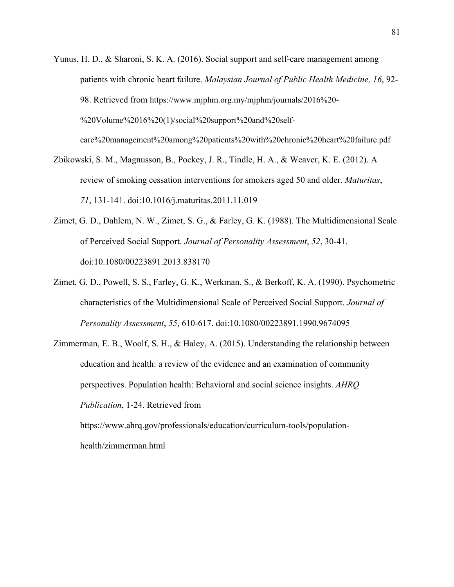- Yunus, H. D., & Sharoni, S. K. A. (2016). Social support and self-care management among patients with chronic heart failure. *Malaysian Journal of Public Health Medicine, 16*, 92- 98. Retrieved from https://www.mjphm.org.my/mjphm/journals/2016%20- %20Volume%2016%20(1)/social%20support%20and%20selfcare%20management%20among%20patients%20with%20chronic%20heart%20failure.pdf
- Zbikowski, S. M., Magnusson, B., Pockey, J. R., Tindle, H. A., & Weaver, K. E. (2012). A review of smoking cessation interventions for smokers aged 50 and older. *Maturitas*, *71*, 131-141. doi:10.1016/j.maturitas.2011.11.019
- Zimet, G. D., Dahlem, N. W., Zimet, S. G., & Farley, G. K. (1988). The Multidimensional Scale of Perceived Social Support. *Journal of Personality Assessment*, *52*, 30-41. doi:10.1080/00223891.2013.838170
- Zimet, G. D., Powell, S. S., Farley, G. K., Werkman, S., & Berkoff, K. A. (1990). Psychometric characteristics of the Multidimensional Scale of Perceived Social Support. *Journal of Personality Assessment*, *55*, 610-617. doi:10.1080/00223891.1990.9674095
- Zimmerman, E. B., Woolf, S. H., & Haley, A. (2015). Understanding the relationship between education and health: a review of the evidence and an examination of community perspectives. Population health: Behavioral and social science insights. *AHRQ Publication*, 1-24. Retrieved from

https://www.ahrq.gov/professionals/education/curriculum-tools/populationhealth/zimmerman.html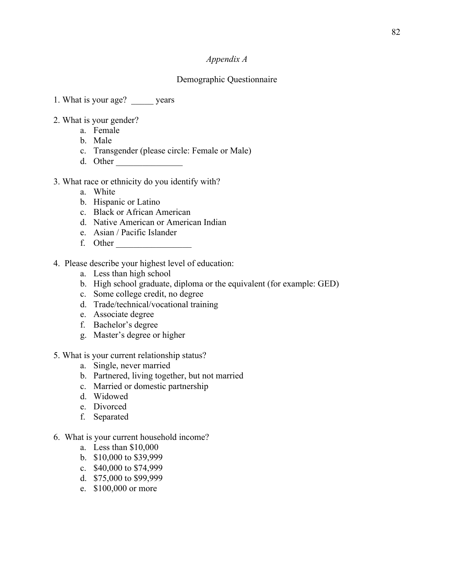## *Appendix A*

# Demographic Questionnaire

- 1. What is your age? years
- 2. What is your gender?
	- a. Female
	- b. Male
	- c. Transgender (please circle: Female or Male)
	- d. Other \_\_\_\_\_\_\_\_\_\_\_\_\_\_\_
- 3. What race or ethnicity do you identify with?
	- a. White
	- b. Hispanic or Latino
	- c. Black or African American
	- d. Native American or American Indian
	- e. Asian / Pacific Islander
	- f. Other
- 4. Please describe your highest level of education:
	- a. Less than high school
	- b. High school graduate, diploma or the equivalent (for example: GED)
	- c. Some college credit, no degree
	- d. Trade/technical/vocational training
	- e. Associate degree
	- f. Bachelor's degree
	- g. Master's degree or higher
- 5. What is your current relationship status?
	- a. Single, never married
	- b. Partnered, living together, but not married
	- c. Married or domestic partnership
	- d. Widowed
	- e. Divorced
	- f. Separated
- 6. What is your current household income?
	- a. Less than \$10,000
	- b. \$10,000 to \$39,999
	- c. \$40,000 to \$74,999
	- d. \$75,000 to \$99,999
	- e. \$100,000 or more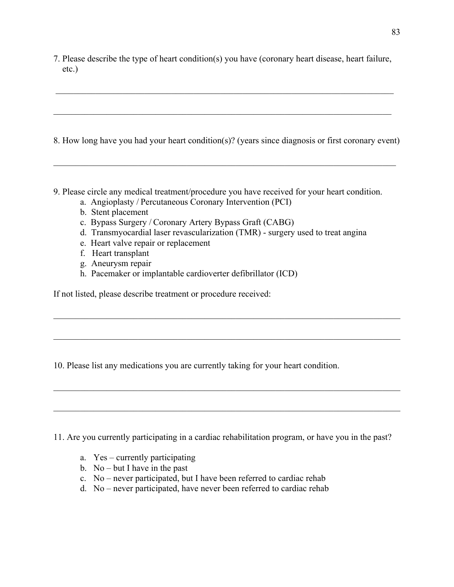7. Please describe the type of heart condition(s) you have (coronary heart disease, heart failure, etc.)

8. How long have you had your heart condition(s)? (years since diagnosis or first coronary event)

- 9. Please circle any medical treatment/procedure you have received for your heart condition.
	- a. Angioplasty / Percutaneous Coronary Intervention (PCI)
	- b. Stent placement
	- c. Bypass Surgery / Coronary Artery Bypass Graft (CABG)
	- d. Transmyocardial laser revascularization (TMR) surgery used to treat angina
	- e. Heart valve repair or replacement
	- f. Heart transplant
	- g. Aneurysm repair
	- h. Pacemaker or implantable cardioverter defibrillator (ICD)

If not listed, please describe treatment or procedure received:

10. Please list any medications you are currently taking for your heart condition.

11. Are you currently participating in a cardiac rehabilitation program, or have you in the past?

- a. Yes currently participating
- b. No but I have in the past
- c. No never participated, but I have been referred to cardiac rehab
- d. No never participated, have never been referred to cardiac rehab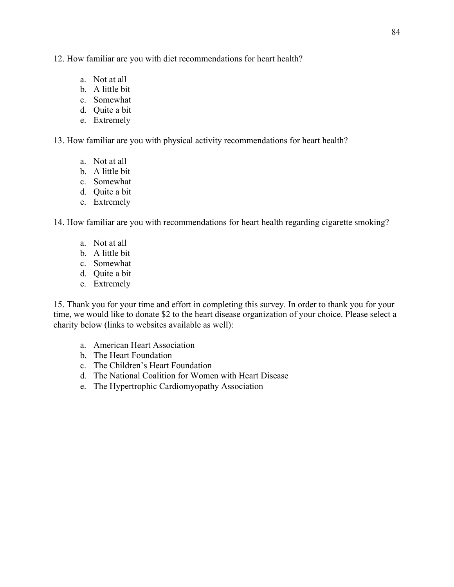12. How familiar are you with diet recommendations for heart health?

- a. Not at all
- b. A little bit
- c. Somewhat
- d. Quite a bit
- e. Extremely

13. How familiar are you with physical activity recommendations for heart health?

- a. Not at all
- b. A little bit
- c. Somewhat
- d. Quite a bit
- e. Extremely

14. How familiar are you with recommendations for heart health regarding cigarette smoking?

- a. Not at all
- b. A little bit
- c. Somewhat
- d. Quite a bit
- e. Extremely

15. Thank you for your time and effort in completing this survey. In order to thank you for your time, we would like to donate \$2 to the heart disease organization of your choice. Please select a charity below (links to websites available as well):

- a. American Heart Association
- b. The Heart Foundation
- c. The Children's Heart Foundation
- d. The National Coalition for Women with Heart Disease
- e. The Hypertrophic Cardiomyopathy Association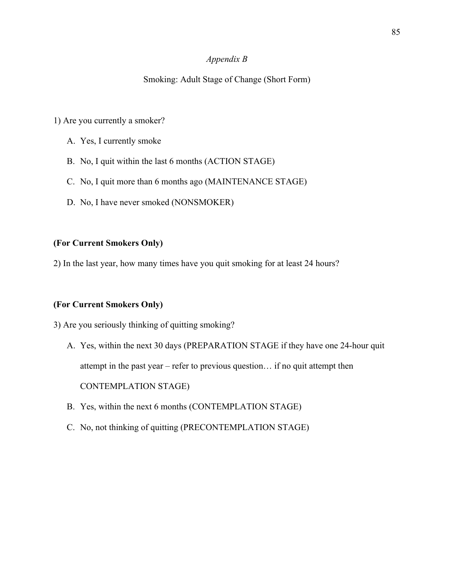### *Appendix B*

### Smoking: Adult Stage of Change (Short Form)

### 1) Are you currently a smoker?

- A. Yes, I currently smoke
- B. No, I quit within the last 6 months (ACTION STAGE)
- C. No, I quit more than 6 months ago (MAINTENANCE STAGE)
- D. No, I have never smoked (NONSMOKER)

#### **(For Current Smokers Only)**

2) In the last year, how many times have you quit smoking for at least 24 hours?

#### **(For Current Smokers Only)**

3) Are you seriously thinking of quitting smoking?

A. Yes, within the next 30 days (PREPARATION STAGE if they have one 24-hour quit attempt in the past year – refer to previous question… if no quit attempt then

CONTEMPLATION STAGE)

- B. Yes, within the next 6 months (CONTEMPLATION STAGE)
- C. No, not thinking of quitting (PRECONTEMPLATION STAGE)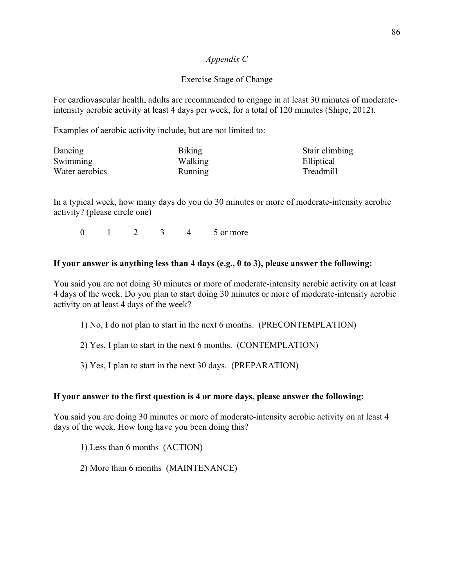## *Appendix C*

# Exercise Stage of Change

For cardiovascular health, adults are recommended to engage in at least 30 minutes of moderateintensity aerobic activity at least 4 days per week, for a total of 120 minutes (Shipe, 2012).

Examples of aerobic activity include, but are not limited to:

| Dancing        | Biking         | Stair climbing |
|----------------|----------------|----------------|
| Swimming       | Walking        | Elliptical     |
| Water aerobics | <b>Running</b> | Treadmill      |

In a typical week, how many days do you do 30 minutes or more of moderate-intensity aerobic activity? (please circle one)

0 1 2 3 4 5 or more

## **If your answer is anything less than 4 days (e.g., 0 to 3), please answer the following:**

You said you are not doing 30 minutes or more of moderate-intensity aerobic activity on at least 4 days of the week. Do you plan to start doing 30 minutes or more of moderate-intensity aerobic activity on at least 4 days of the week?

1) No, I do not plan to start in the next 6 months. (PRECONTEMPLATION)

2) Yes, I plan to start in the next 6 months. (CONTEMPLATION)

3) Yes, I plan to start in the next 30 days. (PREPARATION)

### **If your answer to the first question is 4 or more days, please answer the following:**

You said you are doing 30 minutes or more of moderate-intensity aerobic activity on at least 4 days of the week. How long have you been doing this?

1) Less than 6 months (ACTION)

2) More than 6 months (MAINTENANCE)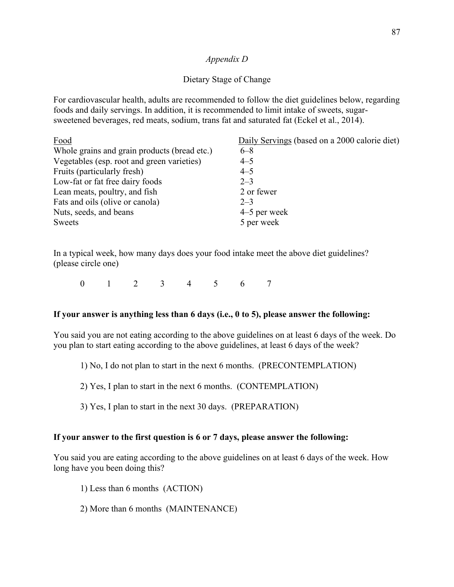### *Appendix D*

# Dietary Stage of Change

For cardiovascular health, adults are recommended to follow the diet guidelines below, regarding foods and daily servings. In addition, it is recommended to limit intake of sweets, sugarsweetened beverages, red meats, sodium, trans fat and saturated fat (Eckel et al., 2014).

| Food                                         | Daily Servings (based on a 2000 calorie diet) |
|----------------------------------------------|-----------------------------------------------|
| Whole grains and grain products (bread etc.) | $6 - 8$                                       |
| Vegetables (esp. root and green varieties)   | $4 - 5$                                       |
| Fruits (particularly fresh)                  | $4 - 5$                                       |
| Low-fat or fat free dairy foods              | $2 - 3$                                       |
| Lean meats, poultry, and fish                | 2 or fewer                                    |
| Fats and oils (olive or canola)              | $2 - 3$                                       |
| Nuts, seeds, and beans                       | $4-5$ per week                                |
| Sweets                                       | 5 per week                                    |

In a typical week, how many days does your food intake meet the above diet guidelines? (please circle one)

0 1 2 3 4 5 6 7

### **If your answer is anything less than 6 days (i.e., 0 to 5), please answer the following:**

You said you are not eating according to the above guidelines on at least 6 days of the week. Do you plan to start eating according to the above guidelines, at least 6 days of the week?

1) No, I do not plan to start in the next 6 months. (PRECONTEMPLATION)

2) Yes, I plan to start in the next 6 months. (CONTEMPLATION)

3) Yes, I plan to start in the next 30 days. (PREPARATION)

### **If your answer to the first question is 6 or 7 days, please answer the following:**

You said you are eating according to the above guidelines on at least 6 days of the week. How long have you been doing this?

- 1) Less than 6 months (ACTION)
- 2) More than 6 months (MAINTENANCE)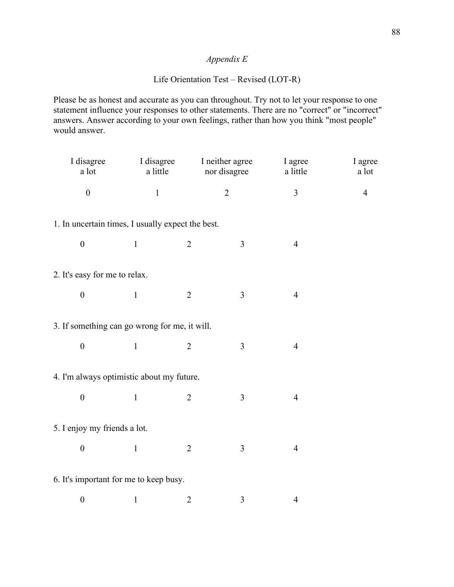# *Appendix E*

# Life Orientation Test – Revised (LOT-R)

Please be as honest and accurate as you can throughout. Try not to let your response to one statement influence your responses to other statements. There are no "correct" or "incorrect" answers. Answer according to your own feelings, rather than how you think "most people" would answer.

| I disagree<br>a lot                               | I disagree<br>a little | I neither agree<br>nor disagree |                | I agree<br>a little | I agree<br>a lot |
|---------------------------------------------------|------------------------|---------------------------------|----------------|---------------------|------------------|
| $\boldsymbol{0}$                                  | $\mathbf{1}$           |                                 | $\overline{2}$ | $\mathfrak{Z}$      | $\overline{4}$   |
| 1. In uncertain times, I usually expect the best. |                        |                                 |                |                     |                  |
| $\boldsymbol{0}$                                  | $\mathbf{1}$           | $\overline{2}$                  | $\overline{3}$ | $\overline{4}$      |                  |
| 2. It's easy for me to relax.                     |                        |                                 |                |                     |                  |
| $\boldsymbol{0}$                                  | $\mathbf{1}$           | $\overline{2}$                  | $\mathfrak{Z}$ | $\overline{4}$      |                  |
| 3. If something can go wrong for me, it will.     |                        |                                 |                |                     |                  |
| $\boldsymbol{0}$                                  | $\mathbf{1}$           | $\overline{2}$                  | 3              | $\overline{4}$      |                  |
| 4. I'm always optimistic about my future.         |                        |                                 |                |                     |                  |
| $\boldsymbol{0}$                                  | $\mathbf{1}$           | $\overline{2}$                  | 3              | $\overline{4}$      |                  |
| 5. I enjoy my friends a lot.                      |                        |                                 |                |                     |                  |
| $\boldsymbol{0}$                                  | $\mathbf{1}$           | $\overline{2}$                  | 3              | $\overline{4}$      |                  |
| 6. It's important for me to keep busy.            |                        |                                 |                |                     |                  |
| $\boldsymbol{0}$                                  | $\mathbf{1}$           | $\overline{2}$                  | 3              | $\overline{4}$      |                  |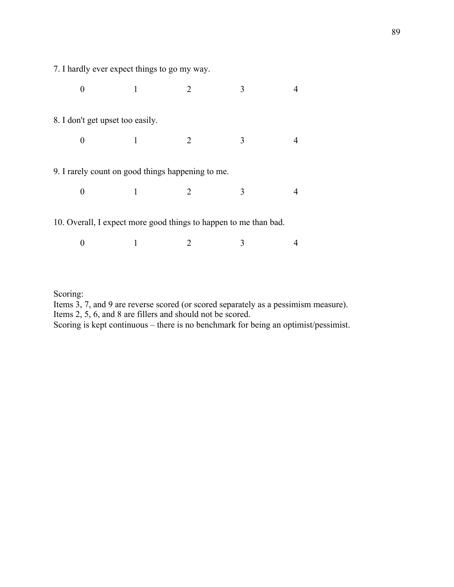7. I hardly ever expect things to go my way.

Scoring:

| 8. I don't get upset too easily.                                 |   |                       |   |  |
|------------------------------------------------------------------|---|-----------------------|---|--|
| 0                                                                | 1 | 2                     | 3 |  |
| 9. I rarely count on good things happening to me.                |   |                       |   |  |
| 0                                                                |   | $\mathcal{D}_{\cdot}$ | 3 |  |
| 10. Overall, I expect more good things to happen to me than bad. |   |                       |   |  |
|                                                                  |   |                       |   |  |

Items 3, 7, and 9 are reverse scored (or scored separately as a pessimism measure).

Scoring is kept continuous – there is no benchmark for being an optimist/pessimist.

Items 2, 5, 6, and 8 are fillers and should not be scored.

89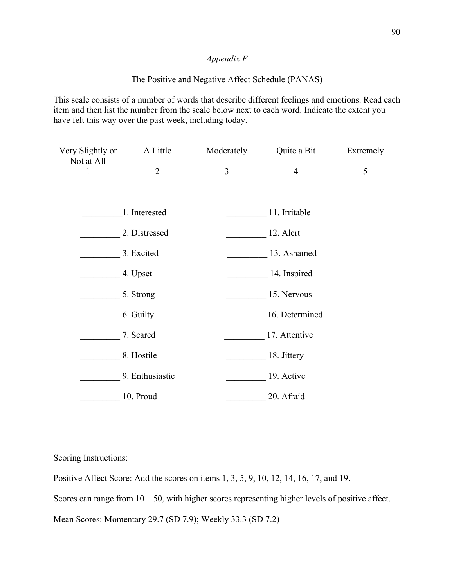# *Appendix F*

## The Positive and Negative Affect Schedule (PANAS)

This scale consists of a number of words that describe different feelings and emotions. Read each item and then list the number from the scale below next to each word. Indicate the extent you have felt this way over the past week, including today.

| Very Slightly or<br>Not at All | A Little        | Moderately | Quite a Bit    | Extremely |
|--------------------------------|-----------------|------------|----------------|-----------|
| 1                              | $\overline{2}$  | 3          | $\overline{4}$ | 5         |
|                                |                 |            |                |           |
|                                | 1. Interested   |            | 11. Irritable  |           |
|                                | 2. Distressed   |            | 12. Alert      |           |
|                                | 3. Excited      |            | 13. Ashamed    |           |
|                                | 4. Upset        |            | 14. Inspired   |           |
|                                | 5. Strong       |            | 15. Nervous    |           |
|                                | 6. Guilty       |            | 16. Determined |           |
|                                | 7. Scared       |            | 17. Attentive  |           |
|                                | 8. Hostile      |            | 18. Jittery    |           |
|                                | 9. Enthusiastic |            | 19. Active     |           |
|                                | 10. Proud       |            | 20. Afraid     |           |

Scoring Instructions:

Positive Affect Score: Add the scores on items 1, 3, 5, 9, 10, 12, 14, 16, 17, and 19.

Scores can range from  $10 - 50$ , with higher scores representing higher levels of positive affect.

Mean Scores: Momentary 29.7 (SD 7.9); Weekly 33.3 (SD 7.2)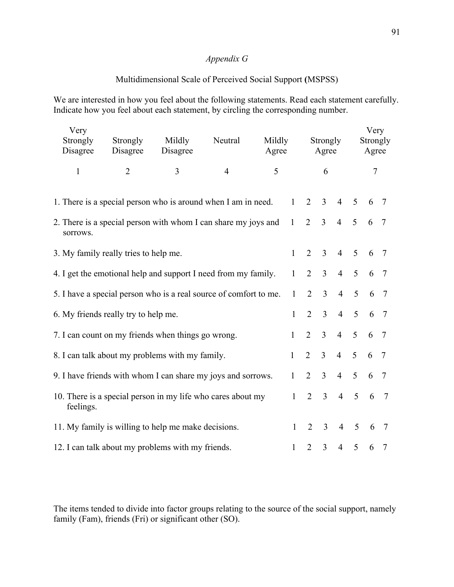# *Appendix G*

# Multidimensional Scale of Perceived Social Support **(**MSPSS)

We are interested in how you feel about the following statements. Read each statement carefully. Indicate how you feel about each statement, by circling the corresponding number.

| Very<br>Strongly<br>Disagree                                             | Mildly<br>Neutral<br>Strongly<br>Mildly<br>Disagree<br>Disagree<br>Agree |   |                     | Strongly<br>Agree |                |                | Very<br>Strongly<br>Agree |                |                 |                 |                 |
|--------------------------------------------------------------------------|--------------------------------------------------------------------------|---|---------------------|-------------------|----------------|----------------|---------------------------|----------------|-----------------|-----------------|-----------------|
| $\mathbf{1}$                                                             | $\overline{2}$                                                           | 3 | 5<br>$\overline{4}$ |                   |                | 6              |                           |                | $\tau$          |                 |                 |
|                                                                          | 1. There is a special person who is around when I am in need.            |   |                     |                   | $\mathbf{1}$   | 2              | $\overline{3}$            | $\overline{4}$ | 5               | 6               | 7               |
| sorrows.                                                                 | 2. There is a special person with whom I can share my joys and           |   |                     |                   | 1              | $\overline{2}$ | $\overline{3}$            | $\overline{4}$ | 5               | 6               | $\overline{7}$  |
|                                                                          | 3. My family really tries to help me.                                    |   |                     |                   | $\mathbf{1}$   | $\overline{2}$ | $\overline{3}$            | $\overline{4}$ | 5               | 6               | $\overline{7}$  |
| 4. I get the emotional help and support I need from my family.           |                                                                          |   |                     |                   |                | $\overline{2}$ | $\overline{3}$            | $\overline{4}$ | 5               | 6               | $7\phantom{.0}$ |
|                                                                          | 5. I have a special person who is a real source of comfort to me.        |   |                     |                   | $\mathbf{1}$   | $\overline{2}$ | $\overline{3}$            | $\overline{4}$ | 5               | 6               | $\overline{7}$  |
|                                                                          | 6. My friends really try to help me.                                     |   |                     |                   | $\mathbf{1}$   | $\overline{2}$ | $\overline{3}$            | $\overline{4}$ | 5               | 6               | $\overline{7}$  |
|                                                                          | 7. I can count on my friends when things go wrong.                       |   |                     |                   | $\mathbf{1}$   | $\overline{2}$ | $\overline{3}$            | $\overline{4}$ | $5\overline{)}$ | 6               | $\overline{7}$  |
|                                                                          | 8. I can talk about my problems with my family.                          |   |                     |                   | $\mathbf{1}$   | $\overline{2}$ | $\overline{3}$            | $\overline{4}$ | 5               | 6               | $7\phantom{.0}$ |
| 9. I have friends with whom I can share my joys and sorrows.             |                                                                          |   |                     |                   | $\mathbf{1}$   | $\overline{2}$ | $\mathfrak{Z}$            | $\overline{4}$ | 5               | 6               | $\overline{7}$  |
| 10. There is a special person in my life who cares about my<br>feelings. |                                                                          |   |                     | $\mathbf{1}$      | $\overline{2}$ | $\overline{3}$ | $\overline{4}$            | 5              | 6               | $7\phantom{.0}$ |                 |
| 11. My family is willing to help me make decisions.                      |                                                                          |   |                     | 1                 | 2              | $\overline{3}$ | $\overline{4}$            | 5              | 6               | $\overline{7}$  |                 |
| 12. I can talk about my problems with my friends.                        |                                                                          |   |                     |                   | $\mathbf{1}$   | 2              | $\overline{3}$            | $\overline{4}$ | 5               | 6               | 7               |

The items tended to divide into factor groups relating to the source of the social support, namely family (Fam), friends (Fri) or significant other (SO).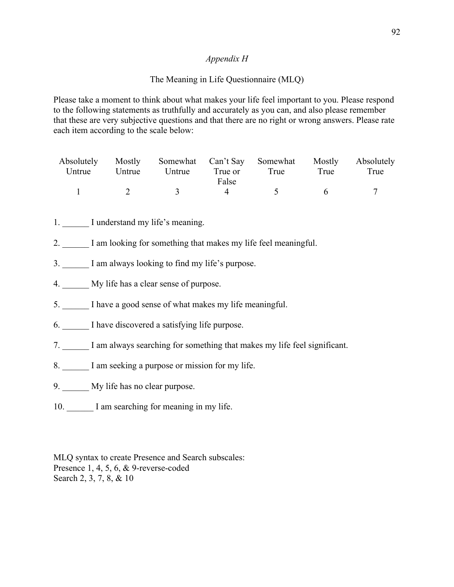## *Appendix H*

# The Meaning in Life Questionnaire (MLQ)

Please take a moment to think about what makes your life feel important to you. Please respond to the following statements as truthfully and accurately as you can, and also please remember that these are very subjective questions and that there are no right or wrong answers. Please rate each item according to the scale below:

|        |        | Absolutely Mostly Somewhat Can't Say Somewhat Mostly Absolutely |         |      |      |      |
|--------|--------|-----------------------------------------------------------------|---------|------|------|------|
| Untrue | Untrue | Untrue                                                          | True or | True | True | True |
|        |        |                                                                 | False   |      |      |      |
|        |        | $\mathcal{R}$                                                   |         |      |      |      |

- 1. I understand my life's meaning.
- 2. I am looking for something that makes my life feel meaningful.
- 3. I am always looking to find my life's purpose.
- 4. My life has a clear sense of purpose.
- 5. I have a good sense of what makes my life meaningful.
- 6. I have discovered a satisfying life purpose.
- 7. I am always searching for something that makes my life feel significant.
- 8. I am seeking a purpose or mission for my life.
- 9. My life has no clear purpose.
- 10. I am searching for meaning in my life.

MLQ syntax to create Presence and Search subscales: Presence 1, 4, 5, 6, & 9-reverse-coded Search 2, 3, 7, 8, & 10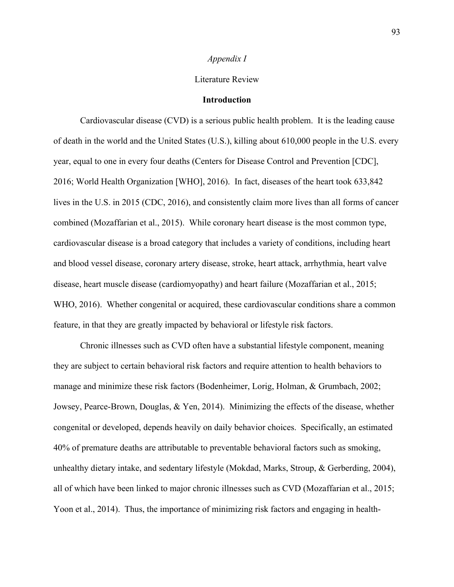#### Literature Review

#### **Introduction**

Cardiovascular disease (CVD) is a serious public health problem. It is the leading cause of death in the world and the United States (U.S.), killing about 610,000 people in the U.S. every year, equal to one in every four deaths (Centers for Disease Control and Prevention [CDC], 2016; World Health Organization [WHO], 2016). In fact, diseases of the heart took 633,842 lives in the U.S. in 2015 (CDC, 2016), and consistently claim more lives than all forms of cancer combined (Mozaffarian et al., 2015). While coronary heart disease is the most common type, cardiovascular disease is a broad category that includes a variety of conditions, including heart and blood vessel disease, coronary artery disease, stroke, heart attack, arrhythmia, heart valve disease, heart muscle disease (cardiomyopathy) and heart failure (Mozaffarian et al., 2015; WHO, 2016). Whether congenital or acquired, these cardiovascular conditions share a common feature, in that they are greatly impacted by behavioral or lifestyle risk factors.

Chronic illnesses such as CVD often have a substantial lifestyle component, meaning they are subject to certain behavioral risk factors and require attention to health behaviors to manage and minimize these risk factors (Bodenheimer, Lorig, Holman, & Grumbach, 2002; Jowsey, Pearce-Brown, Douglas, & Yen, 2014). Minimizing the effects of the disease, whether congenital or developed, depends heavily on daily behavior choices. Specifically, an estimated 40% of premature deaths are attributable to preventable behavioral factors such as smoking, unhealthy dietary intake, and sedentary lifestyle (Mokdad, Marks, Stroup, & Gerberding, 2004), all of which have been linked to major chronic illnesses such as CVD (Mozaffarian et al., 2015; Yoon et al., 2014). Thus, the importance of minimizing risk factors and engaging in health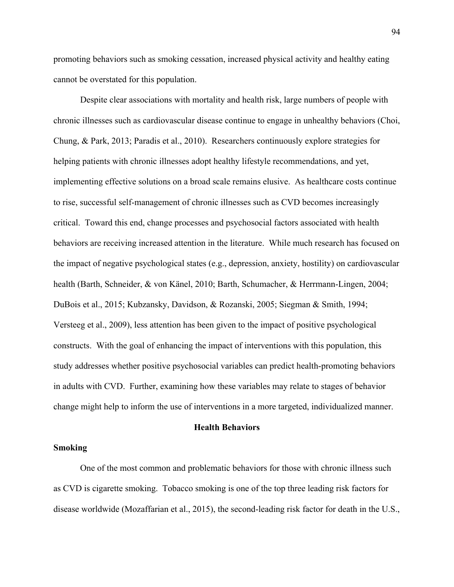promoting behaviors such as smoking cessation, increased physical activity and healthy eating cannot be overstated for this population.

Despite clear associations with mortality and health risk, large numbers of people with chronic illnesses such as cardiovascular disease continue to engage in unhealthy behaviors (Choi, Chung, & Park, 2013; Paradis et al., 2010). Researchers continuously explore strategies for helping patients with chronic illnesses adopt healthy lifestyle recommendations, and yet, implementing effective solutions on a broad scale remains elusive. As healthcare costs continue to rise, successful self-management of chronic illnesses such as CVD becomes increasingly critical. Toward this end, change processes and psychosocial factors associated with health behaviors are receiving increased attention in the literature. While much research has focused on the impact of negative psychological states (e.g., depression, anxiety, hostility) on cardiovascular health (Barth, Schneider, & von Känel, 2010; Barth, Schumacher, & Herrmann-Lingen, 2004; DuBois et al., 2015; Kubzansky, Davidson, & Rozanski, 2005; Siegman & Smith, 1994; Versteeg et al., 2009), less attention has been given to the impact of positive psychological constructs. With the goal of enhancing the impact of interventions with this population, this study addresses whether positive psychosocial variables can predict health-promoting behaviors in adults with CVD. Further, examining how these variables may relate to stages of behavior change might help to inform the use of interventions in a more targeted, individualized manner.

#### **Health Behaviors**

#### **Smoking**

One of the most common and problematic behaviors for those with chronic illness such as CVD is cigarette smoking. Tobacco smoking is one of the top three leading risk factors for disease worldwide (Mozaffarian et al., 2015), the second-leading risk factor for death in the U.S.,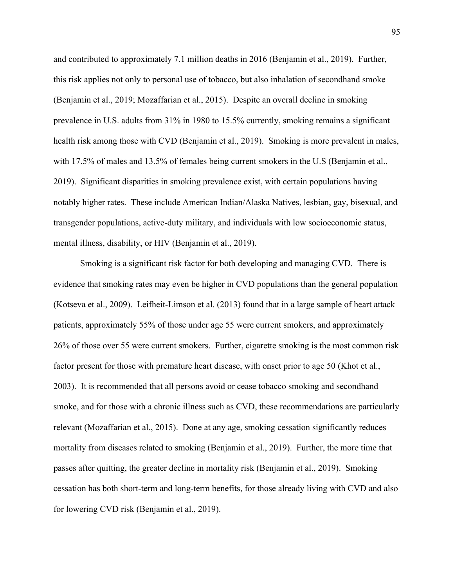and contributed to approximately 7.1 million deaths in 2016 (Benjamin et al., 2019). Further, this risk applies not only to personal use of tobacco, but also inhalation of secondhand smoke (Benjamin et al., 2019; Mozaffarian et al., 2015). Despite an overall decline in smoking prevalence in U.S. adults from 31% in 1980 to 15.5% currently, smoking remains a significant health risk among those with CVD (Benjamin et al., 2019). Smoking is more prevalent in males, with 17.5% of males and 13.5% of females being current smokers in the U.S (Benjamin et al., 2019). Significant disparities in smoking prevalence exist, with certain populations having notably higher rates. These include American Indian/Alaska Natives, lesbian, gay, bisexual, and transgender populations, active-duty military, and individuals with low socioeconomic status, mental illness, disability, or HIV (Benjamin et al., 2019).

Smoking is a significant risk factor for both developing and managing CVD. There is evidence that smoking rates may even be higher in CVD populations than the general population (Kotseva et al., 2009). Leifheit-Limson et al. (2013) found that in a large sample of heart attack patients, approximately 55% of those under age 55 were current smokers, and approximately 26% of those over 55 were current smokers. Further, cigarette smoking is the most common risk factor present for those with premature heart disease, with onset prior to age 50 (Khot et al., 2003). It is recommended that all persons avoid or cease tobacco smoking and secondhand smoke, and for those with a chronic illness such as CVD, these recommendations are particularly relevant (Mozaffarian et al., 2015). Done at any age, smoking cessation significantly reduces mortality from diseases related to smoking (Benjamin et al., 2019). Further, the more time that passes after quitting, the greater decline in mortality risk (Benjamin et al., 2019). Smoking cessation has both short-term and long-term benefits, for those already living with CVD and also for lowering CVD risk (Benjamin et al., 2019).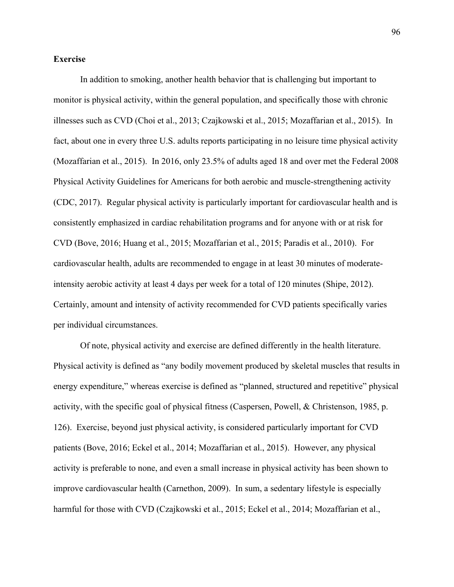#### **Exercise**

In addition to smoking, another health behavior that is challenging but important to monitor is physical activity, within the general population, and specifically those with chronic illnesses such as CVD (Choi et al., 2013; Czajkowski et al., 2015; Mozaffarian et al., 2015). In fact, about one in every three U.S. adults reports participating in no leisure time physical activity (Mozaffarian et al., 2015). In 2016, only 23.5% of adults aged 18 and over met the Federal 2008 Physical Activity Guidelines for Americans for both aerobic and muscle-strengthening activity (CDC, 2017). Regular physical activity is particularly important for cardiovascular health and is consistently emphasized in cardiac rehabilitation programs and for anyone with or at risk for CVD (Bove, 2016; Huang et al., 2015; Mozaffarian et al., 2015; Paradis et al., 2010). For cardiovascular health, adults are recommended to engage in at least 30 minutes of moderateintensity aerobic activity at least 4 days per week for a total of 120 minutes (Shipe, 2012). Certainly, amount and intensity of activity recommended for CVD patients specifically varies per individual circumstances.

Of note, physical activity and exercise are defined differently in the health literature. Physical activity is defined as "any bodily movement produced by skeletal muscles that results in energy expenditure," whereas exercise is defined as "planned, structured and repetitive" physical activity, with the specific goal of physical fitness (Caspersen, Powell, & Christenson, 1985, p. 126). Exercise, beyond just physical activity, is considered particularly important for CVD patients (Bove, 2016; Eckel et al., 2014; Mozaffarian et al., 2015). However, any physical activity is preferable to none, and even a small increase in physical activity has been shown to improve cardiovascular health (Carnethon, 2009). In sum, a sedentary lifestyle is especially harmful for those with CVD (Czajkowski et al., 2015; Eckel et al., 2014; Mozaffarian et al.,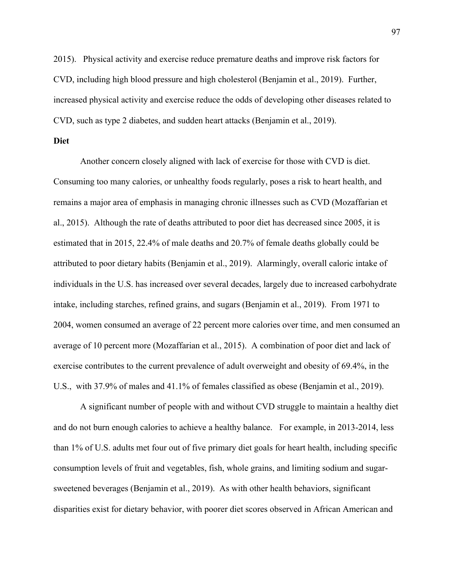2015). Physical activity and exercise reduce premature deaths and improve risk factors for CVD, including high blood pressure and high cholesterol (Benjamin et al., 2019). Further, increased physical activity and exercise reduce the odds of developing other diseases related to CVD, such as type 2 diabetes, and sudden heart attacks (Benjamin et al., 2019).

#### **Diet**

Another concern closely aligned with lack of exercise for those with CVD is diet. Consuming too many calories, or unhealthy foods regularly, poses a risk to heart health, and remains a major area of emphasis in managing chronic illnesses such as CVD (Mozaffarian et al., 2015). Although the rate of deaths attributed to poor diet has decreased since 2005, it is estimated that in 2015, 22.4% of male deaths and 20.7% of female deaths globally could be attributed to poor dietary habits (Benjamin et al., 2019). Alarmingly, overall caloric intake of individuals in the U.S. has increased over several decades, largely due to increased carbohydrate intake, including starches, refined grains, and sugars (Benjamin et al., 2019). From 1971 to 2004, women consumed an average of 22 percent more calories over time, and men consumed an average of 10 percent more (Mozaffarian et al., 2015). A combination of poor diet and lack of exercise contributes to the current prevalence of adult overweight and obesity of 69.4%, in the U.S., with 37.9% of males and 41.1% of females classified as obese (Benjamin et al., 2019).

A significant number of people with and without CVD struggle to maintain a healthy diet and do not burn enough calories to achieve a healthy balance. For example, in 2013-2014, less than 1% of U.S. adults met four out of five primary diet goals for heart health, including specific consumption levels of fruit and vegetables, fish, whole grains, and limiting sodium and sugarsweetened beverages (Benjamin et al., 2019). As with other health behaviors, significant disparities exist for dietary behavior, with poorer diet scores observed in African American and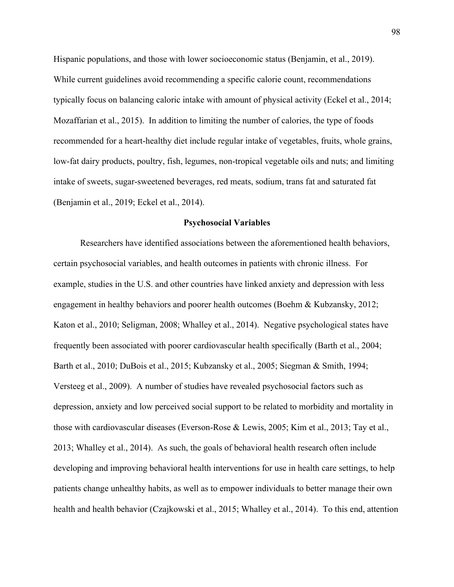Hispanic populations, and those with lower socioeconomic status (Benjamin, et al., 2019). While current guidelines avoid recommending a specific calorie count, recommendations typically focus on balancing caloric intake with amount of physical activity (Eckel et al., 2014; Mozaffarian et al., 2015). In addition to limiting the number of calories, the type of foods recommended for a heart-healthy diet include regular intake of vegetables, fruits, whole grains, low-fat dairy products, poultry, fish, legumes, non-tropical vegetable oils and nuts; and limiting intake of sweets, sugar-sweetened beverages, red meats, sodium, trans fat and saturated fat (Benjamin et al., 2019; Eckel et al., 2014).

#### **Psychosocial Variables**

Researchers have identified associations between the aforementioned health behaviors, certain psychosocial variables, and health outcomes in patients with chronic illness. For example, studies in the U.S. and other countries have linked anxiety and depression with less engagement in healthy behaviors and poorer health outcomes (Boehm & Kubzansky, 2012; Katon et al., 2010; Seligman, 2008; Whalley et al., 2014). Negative psychological states have frequently been associated with poorer cardiovascular health specifically (Barth et al., 2004; Barth et al., 2010; DuBois et al., 2015; Kubzansky et al., 2005; Siegman & Smith, 1994; Versteeg et al., 2009). A number of studies have revealed psychosocial factors such as depression, anxiety and low perceived social support to be related to morbidity and mortality in those with cardiovascular diseases (Everson-Rose & Lewis, 2005; Kim et al., 2013; Tay et al., 2013; Whalley et al., 2014). As such, the goals of behavioral health research often include developing and improving behavioral health interventions for use in health care settings, to help patients change unhealthy habits, as well as to empower individuals to better manage their own health and health behavior (Czajkowski et al., 2015; Whalley et al., 2014). To this end, attention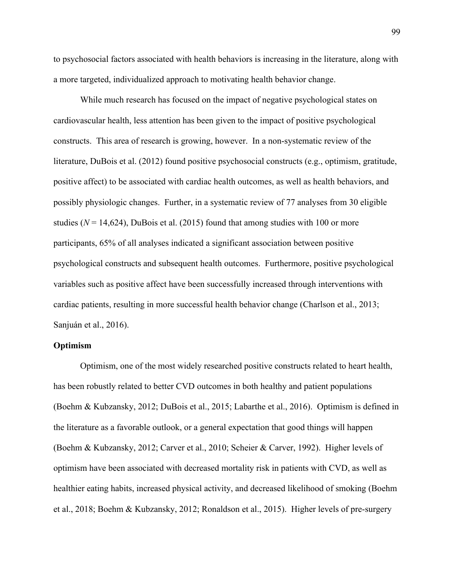to psychosocial factors associated with health behaviors is increasing in the literature, along with a more targeted, individualized approach to motivating health behavior change.

While much research has focused on the impact of negative psychological states on cardiovascular health, less attention has been given to the impact of positive psychological constructs. This area of research is growing, however. In a non-systematic review of the literature, DuBois et al. (2012) found positive psychosocial constructs (e.g., optimism, gratitude, positive affect) to be associated with cardiac health outcomes, as well as health behaviors, and possibly physiologic changes. Further, in a systematic review of 77 analyses from 30 eligible studies  $(N = 14,624)$ , DuBois et al. (2015) found that among studies with 100 or more participants, 65% of all analyses indicated a significant association between positive psychological constructs and subsequent health outcomes. Furthermore, positive psychological variables such as positive affect have been successfully increased through interventions with cardiac patients, resulting in more successful health behavior change (Charlson et al., 2013; Sanjuán et al., 2016).

#### **Optimism**

Optimism, one of the most widely researched positive constructs related to heart health, has been robustly related to better CVD outcomes in both healthy and patient populations (Boehm & Kubzansky, 2012; DuBois et al., 2015; Labarthe et al., 2016). Optimism is defined in the literature as a favorable outlook, or a general expectation that good things will happen (Boehm & Kubzansky, 2012; Carver et al., 2010; Scheier & Carver, 1992). Higher levels of optimism have been associated with decreased mortality risk in patients with CVD, as well as healthier eating habits, increased physical activity, and decreased likelihood of smoking (Boehm et al., 2018; Boehm & Kubzansky, 2012; Ronaldson et al., 2015). Higher levels of pre-surgery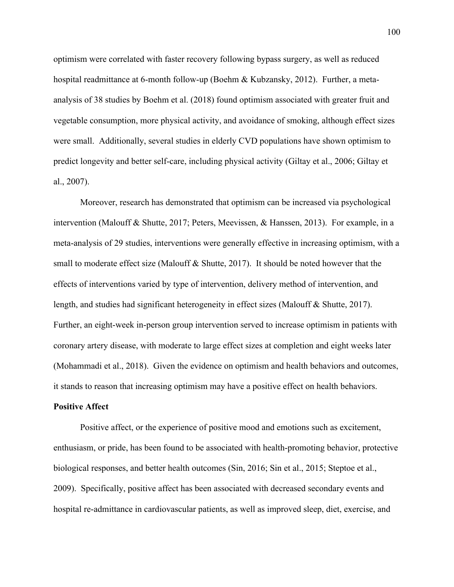optimism were correlated with faster recovery following bypass surgery, as well as reduced hospital readmittance at 6-month follow-up (Boehm & Kubzansky, 2012). Further, a metaanalysis of 38 studies by Boehm et al. (2018) found optimism associated with greater fruit and vegetable consumption, more physical activity, and avoidance of smoking, although effect sizes were small. Additionally, several studies in elderly CVD populations have shown optimism to predict longevity and better self-care, including physical activity (Giltay et al., 2006; Giltay et al., 2007).

Moreover, research has demonstrated that optimism can be increased via psychological intervention (Malouff & Shutte, 2017; Peters, Meevissen, & Hanssen, 2013). For example, in a meta-analysis of 29 studies, interventions were generally effective in increasing optimism, with a small to moderate effect size (Malouff & Shutte, 2017). It should be noted however that the effects of interventions varied by type of intervention, delivery method of intervention, and length, and studies had significant heterogeneity in effect sizes (Malouff & Shutte, 2017). Further, an eight-week in-person group intervention served to increase optimism in patients with coronary artery disease, with moderate to large effect sizes at completion and eight weeks later (Mohammadi et al., 2018). Given the evidence on optimism and health behaviors and outcomes, it stands to reason that increasing optimism may have a positive effect on health behaviors.

#### **Positive Affect**

Positive affect, or the experience of positive mood and emotions such as excitement, enthusiasm, or pride, has been found to be associated with health-promoting behavior, protective biological responses, and better health outcomes (Sin, 2016; Sin et al., 2015; Steptoe et al., 2009). Specifically, positive affect has been associated with decreased secondary events and hospital re-admittance in cardiovascular patients, as well as improved sleep, diet, exercise, and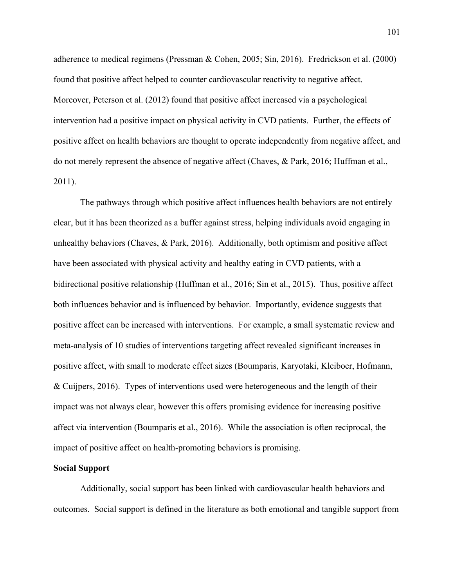adherence to medical regimens (Pressman & Cohen, 2005; Sin, 2016). Fredrickson et al. (2000) found that positive affect helped to counter cardiovascular reactivity to negative affect. Moreover, Peterson et al. (2012) found that positive affect increased via a psychological intervention had a positive impact on physical activity in CVD patients. Further, the effects of positive affect on health behaviors are thought to operate independently from negative affect, and do not merely represent the absence of negative affect (Chaves, & Park, 2016; Huffman et al., 2011).

The pathways through which positive affect influences health behaviors are not entirely clear, but it has been theorized as a buffer against stress, helping individuals avoid engaging in unhealthy behaviors (Chaves, & Park, 2016). Additionally, both optimism and positive affect have been associated with physical activity and healthy eating in CVD patients, with a bidirectional positive relationship (Huffman et al., 2016; Sin et al., 2015). Thus, positive affect both influences behavior and is influenced by behavior. Importantly, evidence suggests that positive affect can be increased with interventions. For example, a small systematic review and meta-analysis of 10 studies of interventions targeting affect revealed significant increases in positive affect, with small to moderate effect sizes (Boumparis, Karyotaki, Kleiboer, Hofmann, & Cuijpers, 2016). Types of interventions used were heterogeneous and the length of their impact was not always clear, however this offers promising evidence for increasing positive affect via intervention (Boumparis et al., 2016). While the association is often reciprocal, the impact of positive affect on health-promoting behaviors is promising.

#### **Social Support**

Additionally, social support has been linked with cardiovascular health behaviors and outcomes. Social support is defined in the literature as both emotional and tangible support from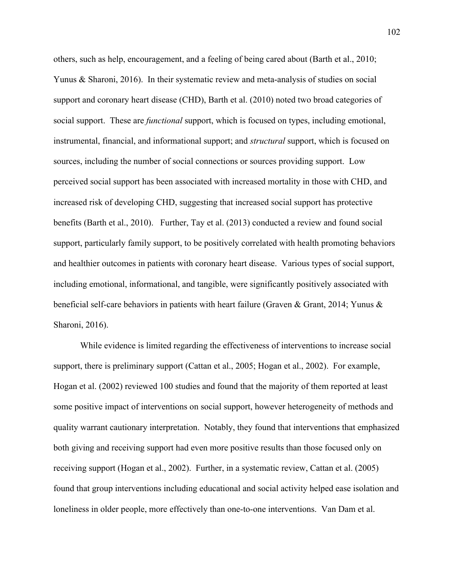others, such as help, encouragement, and a feeling of being cared about (Barth et al., 2010; Yunus & Sharoni, 2016). In their systematic review and meta-analysis of studies on social support and coronary heart disease (CHD), Barth et al. (2010) noted two broad categories of social support. These are *functional* support, which is focused on types, including emotional, instrumental, financial, and informational support; and *structural* support, which is focused on sources, including the number of social connections or sources providing support. Low perceived social support has been associated with increased mortality in those with CHD, and increased risk of developing CHD, suggesting that increased social support has protective benefits (Barth et al., 2010). Further, Tay et al. (2013) conducted a review and found social support, particularly family support, to be positively correlated with health promoting behaviors and healthier outcomes in patients with coronary heart disease. Various types of social support, including emotional, informational, and tangible, were significantly positively associated with beneficial self-care behaviors in patients with heart failure (Graven & Grant, 2014; Yunus & Sharoni, 2016).

While evidence is limited regarding the effectiveness of interventions to increase social support, there is preliminary support (Cattan et al., 2005; Hogan et al., 2002). For example, Hogan et al. (2002) reviewed 100 studies and found that the majority of them reported at least some positive impact of interventions on social support, however heterogeneity of methods and quality warrant cautionary interpretation. Notably, they found that interventions that emphasized both giving and receiving support had even more positive results than those focused only on receiving support (Hogan et al., 2002). Further, in a systematic review, Cattan et al. (2005) found that group interventions including educational and social activity helped ease isolation and loneliness in older people, more effectively than one-to-one interventions. Van Dam et al.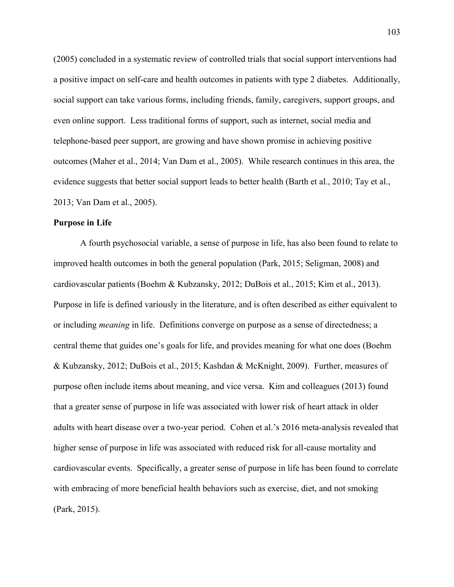(2005) concluded in a systematic review of controlled trials that social support interventions had a positive impact on self-care and health outcomes in patients with type 2 diabetes. Additionally, social support can take various forms, including friends, family, caregivers, support groups, and even online support. Less traditional forms of support, such as internet, social media and telephone-based peer support, are growing and have shown promise in achieving positive outcomes (Maher et al., 2014; Van Dam et al., 2005). While research continues in this area, the evidence suggests that better social support leads to better health (Barth et al., 2010; Tay et al., 2013; Van Dam et al., 2005).

#### **Purpose in Life**

A fourth psychosocial variable, a sense of purpose in life, has also been found to relate to improved health outcomes in both the general population (Park, 2015; Seligman, 2008) and cardiovascular patients (Boehm & Kubzansky, 2012; DuBois et al., 2015; Kim et al., 2013). Purpose in life is defined variously in the literature, and is often described as either equivalent to or including *meaning* in life. Definitions converge on purpose as a sense of directedness; a central theme that guides one's goals for life, and provides meaning for what one does (Boehm & Kubzansky, 2012; DuBois et al., 2015; Kashdan & McKnight, 2009). Further, measures of purpose often include items about meaning, and vice versa. Kim and colleagues (2013) found that a greater sense of purpose in life was associated with lower risk of heart attack in older adults with heart disease over a two-year period. Cohen et al.'s 2016 meta-analysis revealed that higher sense of purpose in life was associated with reduced risk for all-cause mortality and cardiovascular events. Specifically, a greater sense of purpose in life has been found to correlate with embracing of more beneficial health behaviors such as exercise, diet, and not smoking (Park, 2015).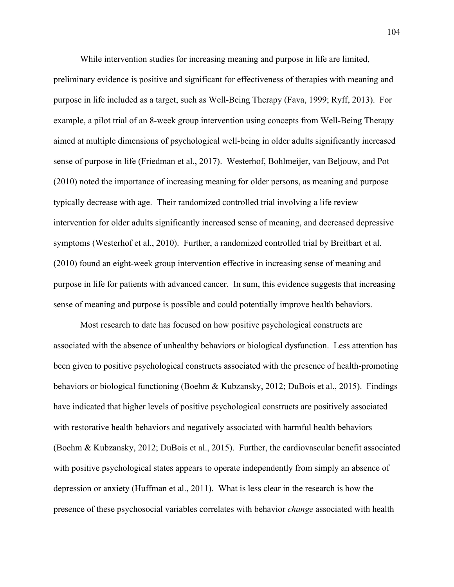While intervention studies for increasing meaning and purpose in life are limited,

preliminary evidence is positive and significant for effectiveness of therapies with meaning and purpose in life included as a target, such as Well-Being Therapy (Fava, 1999; Ryff, 2013). For example, a pilot trial of an 8-week group intervention using concepts from Well-Being Therapy aimed at multiple dimensions of psychological well-being in older adults significantly increased sense of purpose in life (Friedman et al., 2017). Westerhof, Bohlmeijer, van Beljouw, and Pot (2010) noted the importance of increasing meaning for older persons, as meaning and purpose typically decrease with age. Their randomized controlled trial involving a life review intervention for older adults significantly increased sense of meaning, and decreased depressive symptoms (Westerhof et al., 2010). Further, a randomized controlled trial by Breitbart et al. (2010) found an eight-week group intervention effective in increasing sense of meaning and purpose in life for patients with advanced cancer. In sum, this evidence suggests that increasing sense of meaning and purpose is possible and could potentially improve health behaviors.

Most research to date has focused on how positive psychological constructs are associated with the absence of unhealthy behaviors or biological dysfunction. Less attention has been given to positive psychological constructs associated with the presence of health-promoting behaviors or biological functioning (Boehm & Kubzansky, 2012; DuBois et al., 2015). Findings have indicated that higher levels of positive psychological constructs are positively associated with restorative health behaviors and negatively associated with harmful health behaviors (Boehm & Kubzansky, 2012; DuBois et al., 2015). Further, the cardiovascular benefit associated with positive psychological states appears to operate independently from simply an absence of depression or anxiety (Huffman et al., 2011). What is less clear in the research is how the presence of these psychosocial variables correlates with behavior *change* associated with health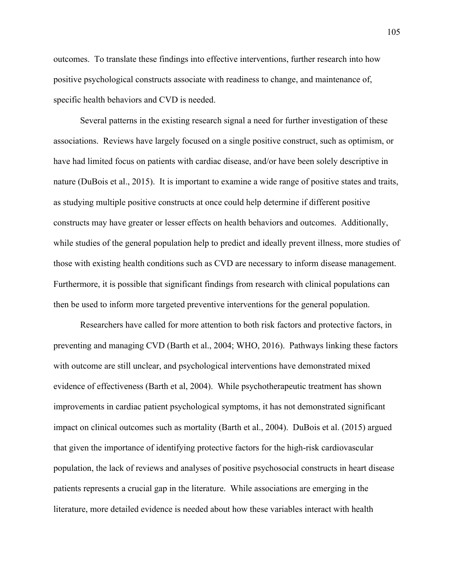outcomes. To translate these findings into effective interventions, further research into how positive psychological constructs associate with readiness to change, and maintenance of, specific health behaviors and CVD is needed.

Several patterns in the existing research signal a need for further investigation of these associations. Reviews have largely focused on a single positive construct, such as optimism, or have had limited focus on patients with cardiac disease, and/or have been solely descriptive in nature (DuBois et al., 2015). It is important to examine a wide range of positive states and traits, as studying multiple positive constructs at once could help determine if different positive constructs may have greater or lesser effects on health behaviors and outcomes. Additionally, while studies of the general population help to predict and ideally prevent illness, more studies of those with existing health conditions such as CVD are necessary to inform disease management. Furthermore, it is possible that significant findings from research with clinical populations can then be used to inform more targeted preventive interventions for the general population.

Researchers have called for more attention to both risk factors and protective factors, in preventing and managing CVD (Barth et al., 2004; WHO, 2016). Pathways linking these factors with outcome are still unclear, and psychological interventions have demonstrated mixed evidence of effectiveness (Barth et al, 2004). While psychotherapeutic treatment has shown improvements in cardiac patient psychological symptoms, it has not demonstrated significant impact on clinical outcomes such as mortality (Barth et al., 2004). DuBois et al. (2015) argued that given the importance of identifying protective factors for the high-risk cardiovascular population, the lack of reviews and analyses of positive psychosocial constructs in heart disease patients represents a crucial gap in the literature. While associations are emerging in the literature, more detailed evidence is needed about how these variables interact with health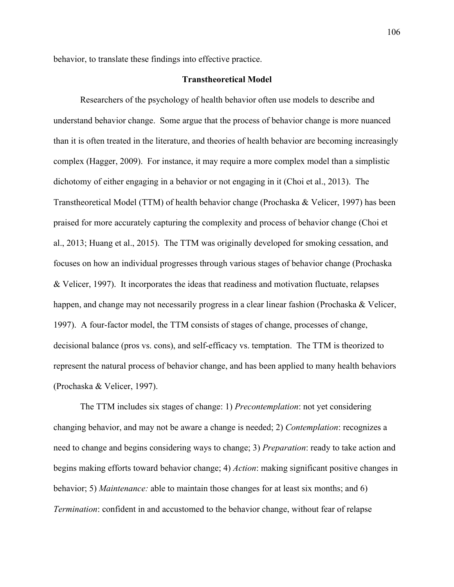behavior, to translate these findings into effective practice.

# **Transtheoretical Model**

Researchers of the psychology of health behavior often use models to describe and understand behavior change. Some argue that the process of behavior change is more nuanced than it is often treated in the literature, and theories of health behavior are becoming increasingly complex (Hagger, 2009). For instance, it may require a more complex model than a simplistic dichotomy of either engaging in a behavior or not engaging in it (Choi et al., 2013). The Transtheoretical Model (TTM) of health behavior change (Prochaska & Velicer, 1997) has been praised for more accurately capturing the complexity and process of behavior change (Choi et al., 2013; Huang et al., 2015). The TTM was originally developed for smoking cessation, and focuses on how an individual progresses through various stages of behavior change (Prochaska & Velicer, 1997). It incorporates the ideas that readiness and motivation fluctuate, relapses happen, and change may not necessarily progress in a clear linear fashion (Prochaska & Velicer, 1997). A four-factor model, the TTM consists of stages of change, processes of change, decisional balance (pros vs. cons), and self-efficacy vs. temptation. The TTM is theorized to represent the natural process of behavior change, and has been applied to many health behaviors (Prochaska & Velicer, 1997).

The TTM includes six stages of change: 1) *Precontemplation*: not yet considering changing behavior, and may not be aware a change is needed; 2) *Contemplation*: recognizes a need to change and begins considering ways to change; 3) *Preparation*: ready to take action and begins making efforts toward behavior change; 4) *Action*: making significant positive changes in behavior; 5) *Maintenance:* able to maintain those changes for at least six months; and 6) *Termination*: confident in and accustomed to the behavior change, without fear of relapse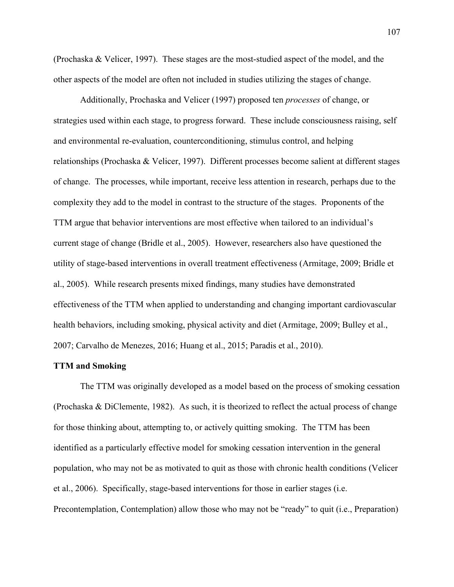(Prochaska & Velicer, 1997). These stages are the most-studied aspect of the model, and the other aspects of the model are often not included in studies utilizing the stages of change.

Additionally, Prochaska and Velicer (1997) proposed ten *processes* of change, or strategies used within each stage, to progress forward. These include consciousness raising, self and environmental re-evaluation, counterconditioning, stimulus control, and helping relationships (Prochaska & Velicer, 1997). Different processes become salient at different stages of change. The processes, while important, receive less attention in research, perhaps due to the complexity they add to the model in contrast to the structure of the stages. Proponents of the TTM argue that behavior interventions are most effective when tailored to an individual's current stage of change (Bridle et al., 2005). However, researchers also have questioned the utility of stage-based interventions in overall treatment effectiveness (Armitage, 2009; Bridle et al., 2005). While research presents mixed findings, many studies have demonstrated effectiveness of the TTM when applied to understanding and changing important cardiovascular health behaviors, including smoking, physical activity and diet (Armitage, 2009; Bulley et al., 2007; Carvalho de Menezes, 2016; Huang et al., 2015; Paradis et al., 2010).

### **TTM and Smoking**

The TTM was originally developed as a model based on the process of smoking cessation (Prochaska & DiClemente, 1982). As such, it is theorized to reflect the actual process of change for those thinking about, attempting to, or actively quitting smoking. The TTM has been identified as a particularly effective model for smoking cessation intervention in the general population, who may not be as motivated to quit as those with chronic health conditions (Velicer et al., 2006). Specifically, stage-based interventions for those in earlier stages (i.e. Precontemplation, Contemplation) allow those who may not be "ready" to quit (i.e., Preparation)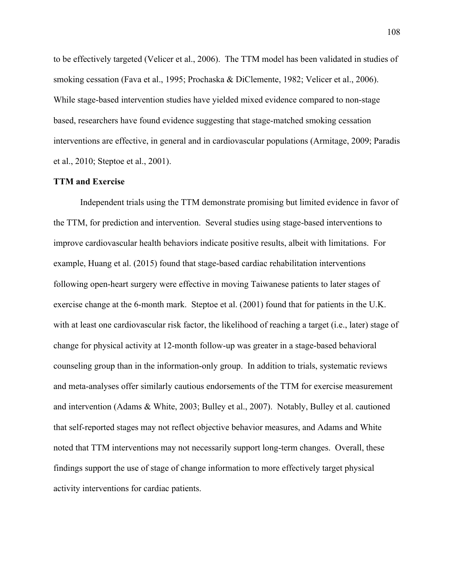to be effectively targeted (Velicer et al., 2006). The TTM model has been validated in studies of smoking cessation (Fava et al., 1995; Prochaska & DiClemente, 1982; Velicer et al., 2006). While stage-based intervention studies have yielded mixed evidence compared to non-stage based, researchers have found evidence suggesting that stage-matched smoking cessation interventions are effective, in general and in cardiovascular populations (Armitage, 2009; Paradis et al., 2010; Steptoe et al., 2001).

## **TTM and Exercise**

Independent trials using the TTM demonstrate promising but limited evidence in favor of the TTM, for prediction and intervention. Several studies using stage-based interventions to improve cardiovascular health behaviors indicate positive results, albeit with limitations. For example, Huang et al. (2015) found that stage-based cardiac rehabilitation interventions following open-heart surgery were effective in moving Taiwanese patients to later stages of exercise change at the 6-month mark. Steptoe et al. (2001) found that for patients in the U.K. with at least one cardiovascular risk factor, the likelihood of reaching a target (i.e., later) stage of change for physical activity at 12-month follow-up was greater in a stage-based behavioral counseling group than in the information-only group. In addition to trials, systematic reviews and meta-analyses offer similarly cautious endorsements of the TTM for exercise measurement and intervention (Adams & White, 2003; Bulley et al., 2007). Notably, Bulley et al. cautioned that self-reported stages may not reflect objective behavior measures, and Adams and White noted that TTM interventions may not necessarily support long-term changes. Overall, these findings support the use of stage of change information to more effectively target physical activity interventions for cardiac patients.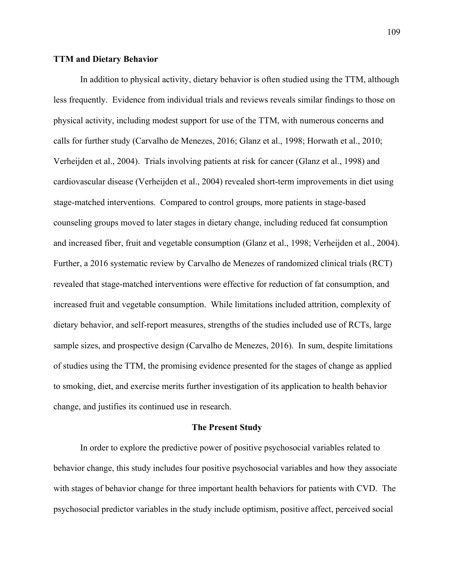# **TTM and Dietary Behavior**

In addition to physical activity, dietary behavior is often studied using the TTM, although less frequently. Evidence from individual trials and reviews reveals similar findings to those on physical activity, including modest support for use of the TTM, with numerous concerns and calls for further study (Carvalho de Menezes, 2016; Glanz et al., 1998; Horwath et al., 2010; Verheijden et al., 2004). Trials involving patients at risk for cancer (Glanz et al., 1998) and cardiovascular disease (Verheijden et al., 2004) revealed short-term improvements in diet using stage-matched interventions. Compared to control groups, more patients in stage-based counseling groups moved to later stages in dietary change, including reduced fat consumption and increased fiber, fruit and vegetable consumption (Glanz et al., 1998; Verheijden et al., 2004). Further, a 2016 systematic review by Carvalho de Menezes of randomized clinical trials (RCT) revealed that stage-matched interventions were effective for reduction of fat consumption, and increased fruit and vegetable consumption. While limitations included attrition, complexity of dietary behavior, and self-report measures, strengths of the studies included use of RCTs, large sample sizes, and prospective design (Carvalho de Menezes, 2016). In sum, despite limitations of studies using the TTM, the promising evidence presented for the stages of change as applied to smoking, diet, and exercise merits further investigation of its application to health behavior change, and justifies its continued use in research.

## **The Present Study**

In order to explore the predictive power of positive psychosocial variables related to behavior change, this study includes four positive psychosocial variables and how they associate with stages of behavior change for three important health behaviors for patients with CVD. The psychosocial predictor variables in the study include optimism, positive affect, perceived social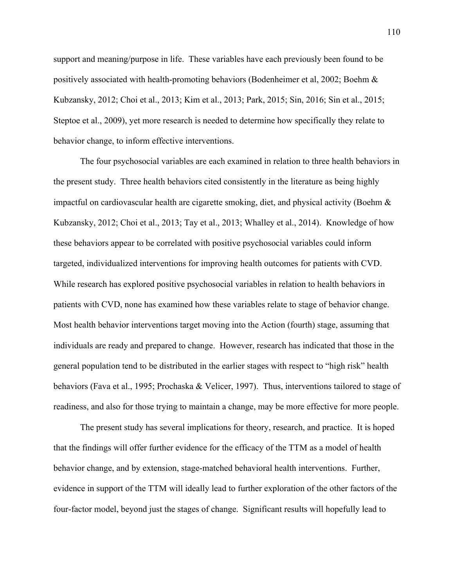support and meaning/purpose in life. These variables have each previously been found to be positively associated with health-promoting behaviors (Bodenheimer et al, 2002; Boehm & Kubzansky, 2012; Choi et al., 2013; Kim et al., 2013; Park, 2015; Sin, 2016; Sin et al., 2015; Steptoe et al., 2009), yet more research is needed to determine how specifically they relate to behavior change, to inform effective interventions.

The four psychosocial variables are each examined in relation to three health behaviors in the present study. Three health behaviors cited consistently in the literature as being highly impactful on cardiovascular health are cigarette smoking, diet, and physical activity (Boehm & Kubzansky, 2012; Choi et al., 2013; Tay et al., 2013; Whalley et al., 2014). Knowledge of how these behaviors appear to be correlated with positive psychosocial variables could inform targeted, individualized interventions for improving health outcomes for patients with CVD. While research has explored positive psychosocial variables in relation to health behaviors in patients with CVD, none has examined how these variables relate to stage of behavior change. Most health behavior interventions target moving into the Action (fourth) stage, assuming that individuals are ready and prepared to change. However, research has indicated that those in the general population tend to be distributed in the earlier stages with respect to "high risk" health behaviors (Fava et al., 1995; Prochaska & Velicer, 1997). Thus, interventions tailored to stage of readiness, and also for those trying to maintain a change, may be more effective for more people.

The present study has several implications for theory, research, and practice. It is hoped that the findings will offer further evidence for the efficacy of the TTM as a model of health behavior change, and by extension, stage-matched behavioral health interventions. Further, evidence in support of the TTM will ideally lead to further exploration of the other factors of the four-factor model, beyond just the stages of change. Significant results will hopefully lead to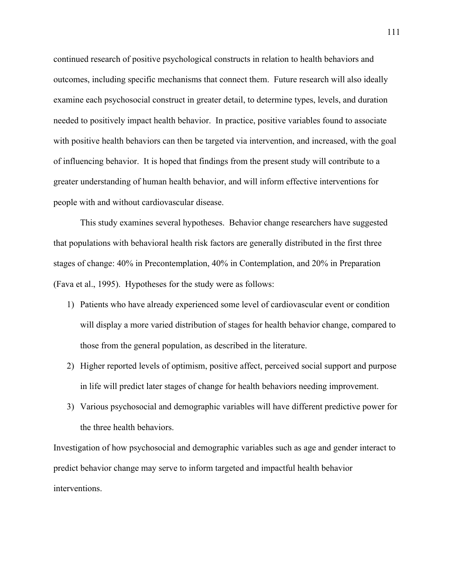continued research of positive psychological constructs in relation to health behaviors and outcomes, including specific mechanisms that connect them. Future research will also ideally examine each psychosocial construct in greater detail, to determine types, levels, and duration needed to positively impact health behavior. In practice, positive variables found to associate with positive health behaviors can then be targeted via intervention, and increased, with the goal of influencing behavior. It is hoped that findings from the present study will contribute to a greater understanding of human health behavior, and will inform effective interventions for people with and without cardiovascular disease.

This study examines several hypotheses. Behavior change researchers have suggested that populations with behavioral health risk factors are generally distributed in the first three stages of change: 40% in Precontemplation, 40% in Contemplation, and 20% in Preparation (Fava et al., 1995). Hypotheses for the study were as follows:

- 1) Patients who have already experienced some level of cardiovascular event or condition will display a more varied distribution of stages for health behavior change, compared to those from the general population, as described in the literature.
- 2) Higher reported levels of optimism, positive affect, perceived social support and purpose in life will predict later stages of change for health behaviors needing improvement.
- 3) Various psychosocial and demographic variables will have different predictive power for the three health behaviors.

Investigation of how psychosocial and demographic variables such as age and gender interact to predict behavior change may serve to inform targeted and impactful health behavior interventions.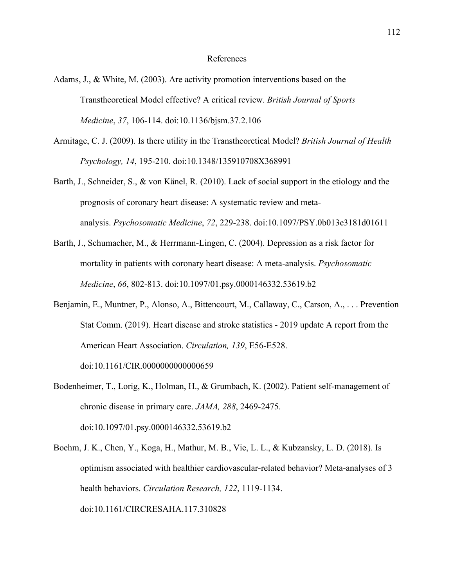### References

- Adams, J., & White, M. (2003). Are activity promotion interventions based on the Transtheoretical Model effective? A critical review. *British Journal of Sports Medicine*, *37*, 106-114. doi:10.1136/bjsm.37.2.106
- Armitage, C. J. (2009). Is there utility in the Transtheoretical Model? *British Journal of Health Psychology, 14*, 195-210. doi:10.1348/135910708X368991
- Barth, J., Schneider, S., & von Känel, R. (2010). Lack of social support in the etiology and the prognosis of coronary heart disease: A systematic review and metaanalysis. *Psychosomatic Medicine*, *72*, 229-238. doi:10.1097/PSY.0b013e3181d01611
- Barth, J., Schumacher, M., & Herrmann-Lingen, C. (2004). Depression as a risk factor for mortality in patients with coronary heart disease: A meta-analysis. *Psychosomatic Medicine*, *66*, 802-813. doi:10.1097/01.psy.0000146332.53619.b2
- Benjamin, E., Muntner, P., Alonso, A., Bittencourt, M., Callaway, C., Carson, A., . . . Prevention Stat Comm. (2019). Heart disease and stroke statistics - 2019 update A report from the American Heart Association. *Circulation, 139*, E56-E528. doi:10.1161/CIR.0000000000000659
- Bodenheimer, T., Lorig, K., Holman, H., & Grumbach, K. (2002). Patient self-management of chronic disease in primary care. *JAMA, 288*, 2469-2475. doi:10.1097/01.psy.0000146332.53619.b2
- Boehm, J. K., Chen, Y., Koga, H., Mathur, M. B., Vie, L. L., & Kubzansky, L. D. (2018). Is optimism associated with healthier cardiovascular-related behavior? Meta-analyses of 3 health behaviors. *Circulation Research, 122*, 1119-1134. doi:10.1161/CIRCRESAHA.117.310828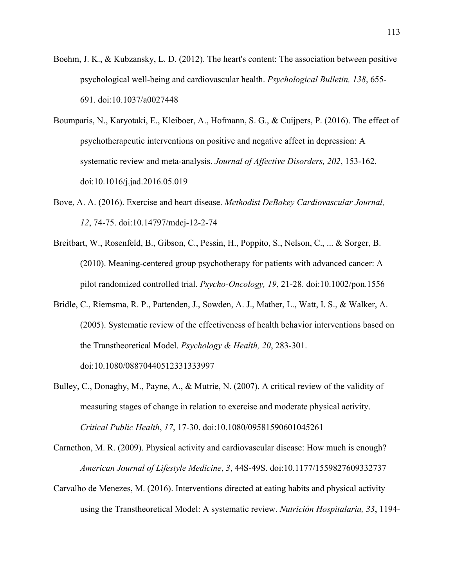- Boehm, J. K., & Kubzansky, L. D. (2012). The heart's content: The association between positive psychological well-being and cardiovascular health. *Psychological Bulletin, 138*, 655- 691. doi:10.1037/a0027448
- Boumparis, N., Karyotaki, E., Kleiboer, A., Hofmann, S. G., & Cuijpers, P. (2016). The effect of psychotherapeutic interventions on positive and negative affect in depression: A systematic review and meta-analysis. *Journal of Affective Disorders, 202*, 153-162. doi:10.1016/j.jad.2016.05.019
- Bove, A. A. (2016). Exercise and heart disease. *Methodist DeBakey Cardiovascular Journal, 12*, 74-75. doi:10.14797/mdcj-12-2-74
- Breitbart, W., Rosenfeld, B., Gibson, C., Pessin, H., Poppito, S., Nelson, C., ... & Sorger, B. (2010). Meaning‐centered group psychotherapy for patients with advanced cancer: A pilot randomized controlled trial. *Psycho‐Oncology, 19*, 21-28. doi:10.1002/pon.1556
- Bridle, C., Riemsma, R. P., Pattenden, J., Sowden, A. J., Mather, L., Watt, I. S., & Walker, A. (2005). Systematic review of the effectiveness of health behavior interventions based on the Transtheoretical Model. *Psychology & Health, 20*, 283-301. doi:10.1080/08870440512331333997
- Bulley, C., Donaghy, M., Payne, A., & Mutrie, N. (2007). A critical review of the validity of measuring stages of change in relation to exercise and moderate physical activity. *Critical Public Health*, *17*, 17-30. doi:10.1080/09581590601045261

Carnethon, M. R. (2009). Physical activity and cardiovascular disease: How much is enough? *American Journal of Lifestyle Medicine*, *3*, 44S-49S. doi:10.1177/1559827609332737

Carvalho de Menezes, M. (2016). Interventions directed at eating habits and physical activity using the Transtheoretical Model: A systematic review. *Nutrición Hospitalaria, 33*, 1194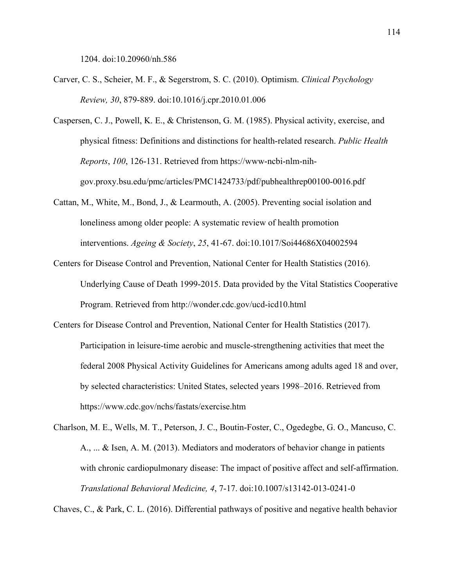1204. doi:10.20960/nh.586

- Carver, C. S., Scheier, M. F., & Segerstrom, S. C. (2010). Optimism. *Clinical Psychology Review, 30*, 879-889. doi:10.1016/j.cpr.2010.01.006
- Caspersen, C. J., Powell, K. E., & Christenson, G. M. (1985). Physical activity, exercise, and physical fitness: Definitions and distinctions for health-related research. *Public Health Reports*, *100*, 126-131. Retrieved from https://www-ncbi-nlm-nihgov.proxy.bsu.edu/pmc/articles/PMC1424733/pdf/pubhealthrep00100-0016.pdf
- Cattan, M., White, M., Bond, J., & Learmouth, A. (2005). Preventing social isolation and loneliness among older people: A systematic review of health promotion interventions. *Ageing & Society*, *25*, 41-67. doi:10.1017/Soi44686X04002594
- Centers for Disease Control and Prevention, National Center for Health Statistics (2016). Underlying Cause of Death 1999-2015. Data provided by the Vital Statistics Cooperative Program. Retrieved from http://wonder.cdc.gov/ucd-icd10.html
- Centers for Disease Control and Prevention, National Center for Health Statistics (2017). Participation in leisure-time aerobic and muscle-strengthening activities that meet the federal 2008 Physical Activity Guidelines for Americans among adults aged 18 and over, by selected characteristics: United States, selected years 1998–2016. Retrieved from https://www.cdc.gov/nchs/fastats/exercise.htm
- Charlson, M. E., Wells, M. T., Peterson, J. C., Boutin-Foster, C., Ogedegbe, G. O., Mancuso, C. A., ... & Isen, A. M. (2013). Mediators and moderators of behavior change in patients with chronic cardiopulmonary disease: The impact of positive affect and self-affirmation. *Translational Behavioral Medicine, 4*, 7-17. doi:10.1007/s13142-013-0241-0

Chaves, C., & Park, C. L. (2016). Differential pathways of positive and negative health behavior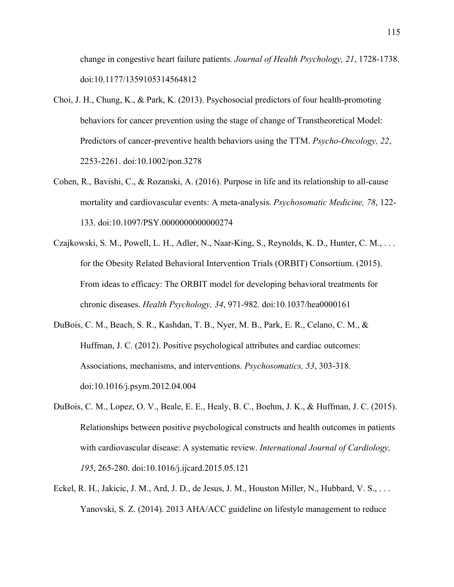change in congestive heart failure patients. *Journal of Health Psychology, 21*, 1728-1738. doi:10.1177/1359105314564812

- Choi, J. H., Chung, K., & Park, K. (2013). Psychosocial predictors of four health-promoting behaviors for cancer prevention using the stage of change of Transtheoretical Model: Predictors of cancer-preventive health behaviors using the TTM. *Psycho-Oncology, 22*, 2253-2261. doi:10.1002/pon.3278
- Cohen, R., Bavishi, C., & Rozanski, A. (2016). Purpose in life and its relationship to all-cause mortality and cardiovascular events: A meta-analysis. *Psychosomatic Medicine, 78*, 122- 133. doi:10.1097/PSY.0000000000000274
- Czajkowski, S. M., Powell, L. H., Adler, N., Naar-King, S., Reynolds, K. D., Hunter, C. M., . . . for the Obesity Related Behavioral Intervention Trials (ORBIT) Consortium. (2015). From ideas to efficacy: The ORBIT model for developing behavioral treatments for chronic diseases. *Health Psychology, 34*, 971-982. doi:10.1037/hea0000161
- DuBois, C. M., Beach, S. R., Kashdan, T. B., Nyer, M. B., Park, E. R., Celano, C. M., & Huffman, J. C. (2012). Positive psychological attributes and cardiac outcomes: Associations, mechanisms, and interventions. *Psychosomatics, 53*, 303-318. doi:10.1016/j.psym.2012.04.004
- DuBois, C. M., Lopez, O. V., Beale, E. E., Healy, B. C., Boehm, J. K., & Huffman, J. C. (2015). Relationships between positive psychological constructs and health outcomes in patients with cardiovascular disease: A systematic review. *International Journal of Cardiology, 195*, 265-280. doi:10.1016/j.ijcard.2015.05.121
- Eckel, R. H., Jakicic, J. M., Ard, J. D., de Jesus, J. M., Houston Miller, N., Hubbard, V. S., . . . Yanovski, S. Z. (2014). 2013 AHA/ACC guideline on lifestyle management to reduce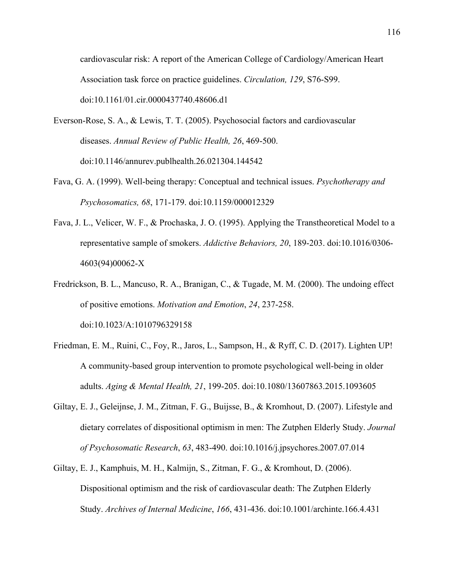cardiovascular risk: A report of the American College of Cardiology/American Heart Association task force on practice guidelines. *Circulation, 129*, S76-S99. doi:10.1161/01.cir.0000437740.48606.d1

- Everson-Rose, S. A., & Lewis, T. T. (2005). Psychosocial factors and cardiovascular diseases. *Annual Review of Public Health, 26*, 469-500. doi:10.1146/annurev.publhealth.26.021304.144542
- Fava, G. A. (1999). Well-being therapy: Conceptual and technical issues. *Psychotherapy and Psychosomatics, 68*, 171-179. doi:10.1159/000012329
- Fava, J. L., Velicer, W. F., & Prochaska, J. O. (1995). Applying the Transtheoretical Model to a representative sample of smokers. *Addictive Behaviors, 20*, 189-203. doi:10.1016/0306- 4603(94)00062-X
- Fredrickson, B. L., Mancuso, R. A., Branigan, C., & Tugade, M. M. (2000). The undoing effect of positive emotions. *Motivation and Emotion*, *24*, 237-258. doi:10.1023/A:1010796329158
- Friedman, E. M., Ruini, C., Foy, R., Jaros, L., Sampson, H., & Ryff, C. D. (2017). Lighten UP! A community-based group intervention to promote psychological well-being in older adults. *Aging & Mental Health, 21*, 199-205. doi:10.1080/13607863.2015.1093605
- Giltay, E. J., Geleijnse, J. M., Zitman, F. G., Buijsse, B., & Kromhout, D. (2007). Lifestyle and dietary correlates of dispositional optimism in men: The Zutphen Elderly Study. *Journal of Psychosomatic Research*, *63*, 483-490. doi:10.1016/j.jpsychores.2007.07.014
- Giltay, E. J., Kamphuis, M. H., Kalmijn, S., Zitman, F. G., & Kromhout, D. (2006). Dispositional optimism and the risk of cardiovascular death: The Zutphen Elderly Study. *Archives of Internal Medicine*, *166*, 431-436. doi:10.1001/archinte.166.4.431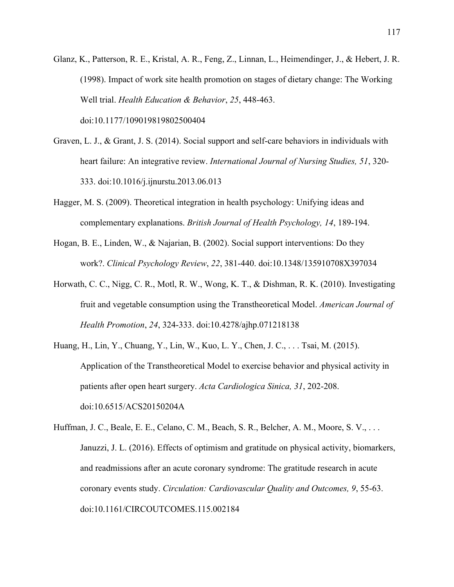Glanz, K., Patterson, R. E., Kristal, A. R., Feng, Z., Linnan, L., Heimendinger, J., & Hebert, J. R. (1998). Impact of work site health promotion on stages of dietary change: The Working Well trial. *Health Education & Behavior*, *25*, 448-463. doi:10.1177/109019819802500404

- Graven, L. J., & Grant, J. S. (2014). Social support and self-care behaviors in individuals with heart failure: An integrative review. *International Journal of Nursing Studies, 51*, 320- 333. doi:10.1016/j.ijnurstu.2013.06.013
- Hagger, M. S. (2009). Theoretical integration in health psychology: Unifying ideas and complementary explanations. *British Journal of Health Psychology, 14*, 189-194.
- Hogan, B. E., Linden, W., & Najarian, B. (2002). Social support interventions: Do they work?. *Clinical Psychology Review*, *22*, 381-440. doi:10.1348/135910708X397034
- Horwath, C. C., Nigg, C. R., Motl, R. W., Wong, K. T., & Dishman, R. K. (2010). Investigating fruit and vegetable consumption using the Transtheoretical Model. *American Journal of Health Promotion*, *24*, 324-333. doi:10.4278/ajhp.071218138
- Huang, H., Lin, Y., Chuang, Y., Lin, W., Kuo, L. Y., Chen, J. C., . . . Tsai, M. (2015). Application of the Transtheoretical Model to exercise behavior and physical activity in patients after open heart surgery. *Acta Cardiologica Sinica, 31*, 202-208. doi:10.6515/ACS20150204A
- Huffman, J. C., Beale, E. E., Celano, C. M., Beach, S. R., Belcher, A. M., Moore, S. V., . . . Januzzi, J. L. (2016). Effects of optimism and gratitude on physical activity, biomarkers, and readmissions after an acute coronary syndrome: The gratitude research in acute coronary events study. *Circulation: Cardiovascular Quality and Outcomes, 9*, 55-63. doi:10.1161/CIRCOUTCOMES.115.002184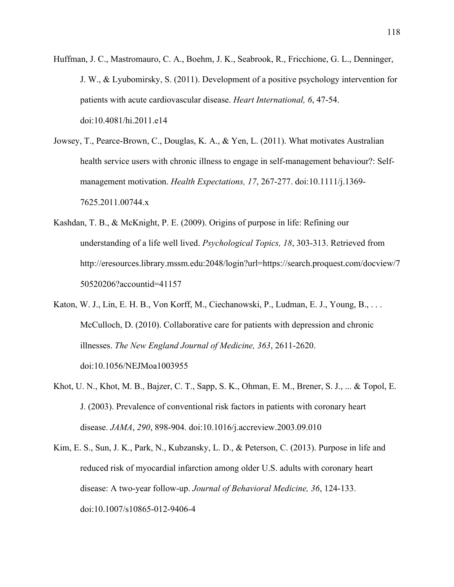- Huffman, J. C., Mastromauro, C. A., Boehm, J. K., Seabrook, R., Fricchione, G. L., Denninger, J. W., & Lyubomirsky, S. (2011). Development of a positive psychology intervention for patients with acute cardiovascular disease. *Heart International, 6*, 47-54. doi:10.4081/hi.2011.e14
- Jowsey, T., Pearce-Brown, C., Douglas, K. A., & Yen, L. (2011). What motivates Australian health service users with chronic illness to engage in self-management behaviour?: Selfmanagement motivation. *Health Expectations, 17*, 267-277. doi:10.1111/j.1369- 7625.2011.00744.x
- Kashdan, T. B., & McKnight, P. E. (2009). Origins of purpose in life: Refining our understanding of a life well lived. *Psychological Topics, 18*, 303-313. Retrieved from http://eresources.library.mssm.edu:2048/login?url=https://search.proquest.com/docview/7 50520206?accountid=41157
- Katon, W. J., Lin, E. H. B., Von Korff, M., Ciechanowski, P., Ludman, E. J., Young, B., . . . McCulloch, D. (2010). Collaborative care for patients with depression and chronic illnesses. *The New England Journal of Medicine, 363*, 2611-2620. doi:10.1056/NEJMoa1003955
- Khot, U. N., Khot, M. B., Bajzer, C. T., Sapp, S. K., Ohman, E. M., Brener, S. J., ... & Topol, E. J. (2003). Prevalence of conventional risk factors in patients with coronary heart disease. *JAMA*, *290*, 898-904. doi:10.1016/j.accreview.2003.09.010
- Kim, E. S., Sun, J. K., Park, N., Kubzansky, L. D., & Peterson, C. (2013). Purpose in life and reduced risk of myocardial infarction among older U.S. adults with coronary heart disease: A two-year follow-up. *Journal of Behavioral Medicine, 36*, 124-133. doi:10.1007/s10865-012-9406-4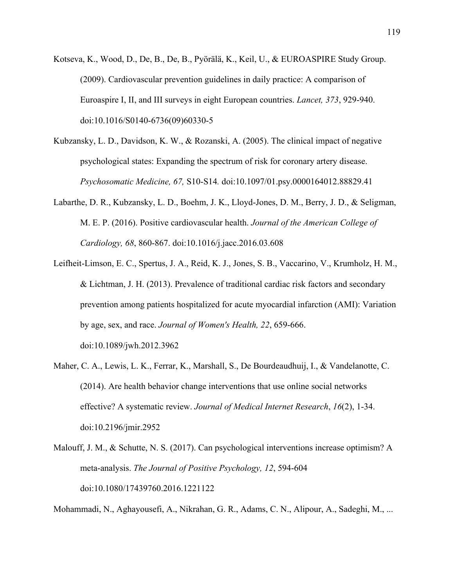- Kotseva, K., Wood, D., De, B., De, B., Pyörälä, K., Keil, U., & EUROASPIRE Study Group. (2009). Cardiovascular prevention guidelines in daily practice: A comparison of Euroaspire I, II, and III surveys in eight European countries. *Lancet, 373*, 929-940. doi:10.1016/S0140-6736(09)60330-5
- Kubzansky, L. D., Davidson, K. W., & Rozanski, A. (2005). The clinical impact of negative psychological states: Expanding the spectrum of risk for coronary artery disease. *Psychosomatic Medicine, 67,* S10-S14*.* doi:10.1097/01.psy.0000164012.88829.41
- Labarthe, D. R., Kubzansky, L. D., Boehm, J. K., Lloyd-Jones, D. M., Berry, J. D., & Seligman, M. E. P. (2016). Positive cardiovascular health. *Journal of the American College of Cardiology, 68*, 860-867. doi:10.1016/j.jacc.2016.03.608
- Leifheit-Limson, E. C., Spertus, J. A., Reid, K. J., Jones, S. B., Vaccarino, V., Krumholz, H. M., & Lichtman, J. H. (2013). Prevalence of traditional cardiac risk factors and secondary prevention among patients hospitalized for acute myocardial infarction (AMI): Variation by age, sex, and race. *Journal of Women's Health, 22*, 659-666. doi:10.1089/jwh.2012.3962
- Maher, C. A., Lewis, L. K., Ferrar, K., Marshall, S., De Bourdeaudhuij, I., & Vandelanotte, C. (2014). Are health behavior change interventions that use online social networks effective? A systematic review. *Journal of Medical Internet Research*, *16*(2), 1-34. doi:10.2196/jmir.2952
- Malouff, J. M., & Schutte, N. S. (2017). Can psychological interventions increase optimism? A meta-analysis. *The Journal of Positive Psychology, 12*, 594-604 doi:10.1080/17439760.2016.1221122

Mohammadi, N., Aghayousefi, A., Nikrahan, G. R., Adams, C. N., Alipour, A., Sadeghi, M., ...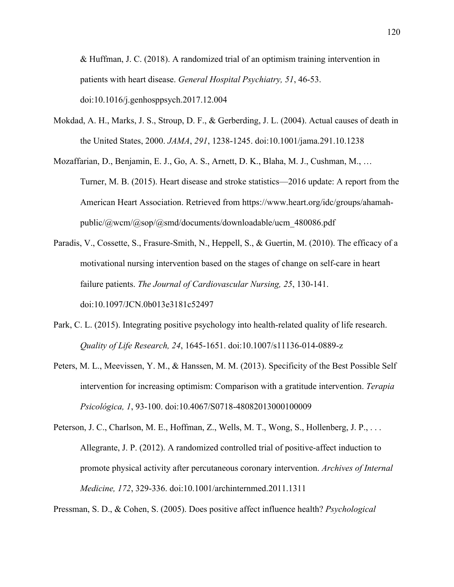& Huffman, J. C. (2018). A randomized trial of an optimism training intervention in patients with heart disease. *General Hospital Psychiatry, 51*, 46-53. doi:10.1016/j.genhosppsych.2017.12.004

Mokdad, A. H., Marks, J. S., Stroup, D. F., & Gerberding, J. L. (2004). Actual causes of death in the United States, 2000. *JAMA*, *291*, 1238-1245. doi:10.1001/jama.291.10.1238

Mozaffarian, D., Benjamin, E. J., Go, A. S., Arnett, D. K., Blaha, M. J., Cushman, M., … Turner, M. B. (2015). Heart disease and stroke statistics—2016 update: A report from the American Heart Association. Retrieved from https://www.heart.org/idc/groups/ahamahpublic/@wcm/@sop/@smd/documents/downloadable/ucm\_480086.pdf

- Paradis, V., Cossette, S., Frasure-Smith, N., Heppell, S., & Guertin, M. (2010). The efficacy of a motivational nursing intervention based on the stages of change on self-care in heart failure patients. *The Journal of Cardiovascular Nursing, 25*, 130-141. doi:10.1097/JCN.0b013e3181c52497
- Park, C. L. (2015). Integrating positive psychology into health-related quality of life research. *Quality of Life Research, 24*, 1645-1651. doi:10.1007/s11136-014-0889-z
- Peters, M. L., Meevissen, Y. M., & Hanssen, M. M. (2013). Specificity of the Best Possible Self intervention for increasing optimism: Comparison with a gratitude intervention. *Terapia Psicológica, 1*, 93-100. doi:10.4067/S0718-48082013000100009
- Peterson, J. C., Charlson, M. E., Hoffman, Z., Wells, M. T., Wong, S., Hollenberg, J. P., . . . Allegrante, J. P. (2012). A randomized controlled trial of positive-affect induction to promote physical activity after percutaneous coronary intervention. *Archives of Internal Medicine, 172*, 329-336. doi:10.1001/archinternmed.2011.1311

Pressman, S. D., & Cohen, S. (2005). Does positive affect influence health? *Psychological*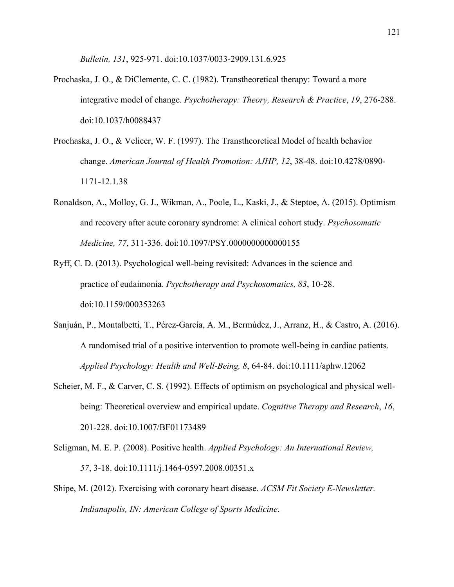*Bulletin, 131*, 925-971. doi:10.1037/0033-2909.131.6.925

- Prochaska, J. O., & DiClemente, C. C. (1982). Transtheoretical therapy: Toward a more integrative model of change. *Psychotherapy: Theory, Research & Practice*, *19*, 276-288. doi:10.1037/h0088437
- Prochaska, J. O., & Velicer, W. F. (1997). The Transtheoretical Model of health behavior change. *American Journal of Health Promotion: AJHP, 12*, 38-48. doi:10.4278/0890- 1171-12.1.38
- Ronaldson, A., Molloy, G. J., Wikman, A., Poole, L., Kaski, J., & Steptoe, A. (2015). Optimism and recovery after acute coronary syndrome: A clinical cohort study. *Psychosomatic Medicine, 77*, 311-336. doi:10.1097/PSY.0000000000000155
- Ryff, C. D. (2013). Psychological well-being revisited: Advances in the science and practice of eudaimonia. *Psychotherapy and Psychosomatics, 83*, 10-28. doi:10.1159/000353263
- Sanjuán, P., Montalbetti, T., Pérez‐García, A. M., Bermúdez, J., Arranz, H., & Castro, A. (2016). A randomised trial of a positive intervention to promote well‐being in cardiac patients. *Applied Psychology: Health and Well‐Being, 8*, 64-84. doi:10.1111/aphw.12062
- Scheier, M. F., & Carver, C. S. (1992). Effects of optimism on psychological and physical wellbeing: Theoretical overview and empirical update. *Cognitive Therapy and Research*, *16*, 201-228. doi:10.1007/BF01173489
- Seligman, M. E. P. (2008). Positive health. *Applied Psychology: An International Review, 57*, 3-18. doi:10.1111/j.1464-0597.2008.00351.x
- Shipe, M. (2012). Exercising with coronary heart disease. *ACSM Fit Society E-Newsletter. Indianapolis, IN: American College of Sports Medicine*.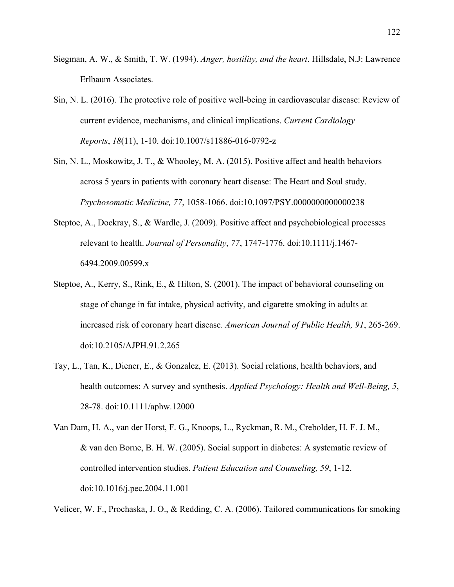- Siegman, A. W., & Smith, T. W. (1994). *Anger, hostility, and the heart*. Hillsdale, N.J: Lawrence Erlbaum Associates.
- Sin, N. L. (2016). The protective role of positive well-being in cardiovascular disease: Review of current evidence, mechanisms, and clinical implications. *Current Cardiology Reports*, *18*(11), 1-10. doi:10.1007/s11886-016-0792-z
- Sin, N. L., Moskowitz, J. T., & Whooley, M. A. (2015). Positive affect and health behaviors across 5 years in patients with coronary heart disease: The Heart and Soul study. *Psychosomatic Medicine, 77*, 1058-1066. doi:10.1097/PSY.0000000000000238
- Steptoe, A., Dockray, S., & Wardle, J. (2009). Positive affect and psychobiological processes relevant to health. *Journal of Personality*, *77*, 1747-1776. doi:10.1111/j.1467- 6494.2009.00599.x
- Steptoe, A., Kerry, S., Rink, E., & Hilton, S. (2001). The impact of behavioral counseling on stage of change in fat intake, physical activity, and cigarette smoking in adults at increased risk of coronary heart disease. *American Journal of Public Health, 91*, 265-269. doi:10.2105/AJPH.91.2.265
- Tay, L., Tan, K., Diener, E., & Gonzalez, E. (2013). Social relations, health behaviors, and health outcomes: A survey and synthesis. *Applied Psychology: Health and Well-Being, 5*, 28-78. doi:10.1111/aphw.12000
- Van Dam, H. A., van der Horst, F. G., Knoops, L., Ryckman, R. M., Crebolder, H. F. J. M., & van den Borne, B. H. W. (2005). Social support in diabetes: A systematic review of controlled intervention studies. *Patient Education and Counseling, 59*, 1-12. doi:10.1016/j.pec.2004.11.001

Velicer, W. F., Prochaska, J. O., & Redding, C. A. (2006). Tailored communications for smoking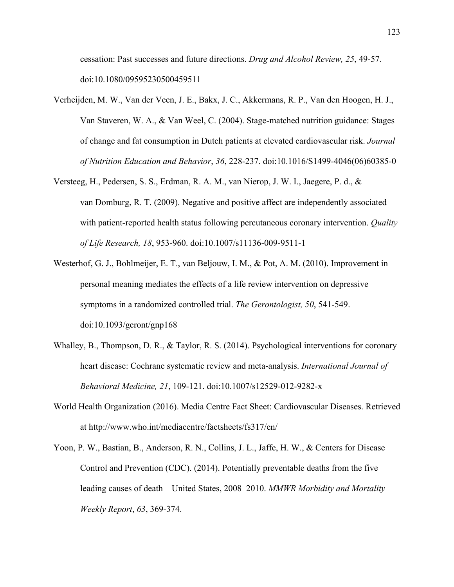cessation: Past successes and future directions. *Drug and Alcohol Review, 25*, 49-57. doi:10.1080/09595230500459511

- Verheijden, M. W., Van der Veen, J. E., Bakx, J. C., Akkermans, R. P., Van den Hoogen, H. J., Van Staveren, W. A., & Van Weel, C. (2004). Stage-matched nutrition guidance: Stages of change and fat consumption in Dutch patients at elevated cardiovascular risk. *Journal of Nutrition Education and Behavior*, *36*, 228-237. doi:10.1016/S1499-4046(06)60385-0
- Versteeg, H., Pedersen, S. S., Erdman, R. A. M., van Nierop, J. W. I., Jaegere, P. d., & van Domburg, R. T. (2009). Negative and positive affect are independently associated with patient-reported health status following percutaneous coronary intervention. *Quality of Life Research, 18*, 953-960. doi:10.1007/s11136-009-9511-1
- Westerhof, G. J., Bohlmeijer, E. T., van Beljouw, I. M., & Pot, A. M. (2010). Improvement in personal meaning mediates the effects of a life review intervention on depressive symptoms in a randomized controlled trial. *The Gerontologist, 50*, 541-549. doi:10.1093/geront/gnp168
- Whalley, B., Thompson, D. R., & Taylor, R. S. (2014). Psychological interventions for coronary heart disease: Cochrane systematic review and meta-analysis. *International Journal of Behavioral Medicine, 21*, 109-121. doi:10.1007/s12529-012-9282-x
- World Health Organization (2016). Media Centre Fact Sheet: Cardiovascular Diseases. Retrieved at http://www.who.int/mediacentre/factsheets/fs317/en/
- Yoon, P. W., Bastian, B., Anderson, R. N., Collins, J. L., Jaffe, H. W., & Centers for Disease Control and Prevention (CDC). (2014). Potentially preventable deaths from the five leading causes of death—United States, 2008–2010. *MMWR Morbidity and Mortality Weekly Report*, *63*, 369-374.